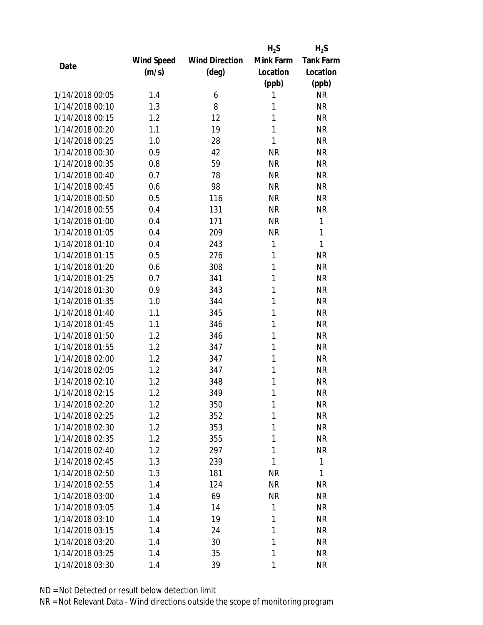|                 |                   |                       | $H_2S$    | $H_2S$           |
|-----------------|-------------------|-----------------------|-----------|------------------|
|                 | <b>Wind Speed</b> | <b>Wind Direction</b> | Mink Farm | <b>Tank Farm</b> |
| Date            | (m/s)             | $(\text{deg})$        | Location  | Location         |
|                 |                   |                       | (ppb)     | (ppb)            |
| 1/14/2018 00:05 | 1.4               | 6                     | 1         | <b>NR</b>        |
| 1/14/2018 00:10 | 1.3               | 8                     | 1         | <b>NR</b>        |
| 1/14/2018 00:15 | 1.2               | 12                    | 1         | <b>NR</b>        |
| 1/14/2018 00:20 | 1.1               | 19                    | 1         | <b>NR</b>        |
| 1/14/2018 00:25 | 1.0               | 28                    | 1         | <b>NR</b>        |
| 1/14/2018 00:30 | 0.9               | 42                    | <b>NR</b> | <b>NR</b>        |
| 1/14/2018 00:35 | 0.8               | 59                    | <b>NR</b> | <b>NR</b>        |
| 1/14/2018 00:40 | 0.7               | 78                    | <b>NR</b> | <b>NR</b>        |
| 1/14/2018 00:45 | 0.6               | 98                    | <b>NR</b> | <b>NR</b>        |
| 1/14/2018 00:50 | 0.5               | 116                   | <b>NR</b> | <b>NR</b>        |
| 1/14/2018 00:55 | 0.4               | 131                   | <b>NR</b> | <b>NR</b>        |
| 1/14/2018 01:00 | 0.4               | 171                   | <b>NR</b> | 1                |
| 1/14/2018 01:05 | 0.4               | 209                   | <b>NR</b> | 1                |
| 1/14/2018 01:10 | 0.4               | 243                   | 1         | 1                |
| 1/14/2018 01:15 | 0.5               | 276                   | 1         | <b>NR</b>        |
| 1/14/2018 01:20 | 0.6               | 308                   | 1         | <b>NR</b>        |
| 1/14/2018 01:25 | 0.7               | 341                   | 1         | <b>NR</b>        |
| 1/14/2018 01:30 | 0.9               | 343                   | 1         | <b>NR</b>        |
| 1/14/2018 01:35 | 1.0               | 344                   | 1         | <b>NR</b>        |
| 1/14/2018 01:40 | 1.1               | 345                   | 1         | <b>NR</b>        |
| 1/14/2018 01:45 | 1.1               | 346                   | 1         | <b>NR</b>        |
| 1/14/2018 01:50 | 1.2               | 346                   | 1         | <b>NR</b>        |
| 1/14/2018 01:55 | 1.2               | 347                   | 1         | <b>NR</b>        |
| 1/14/2018 02:00 | 1.2               | 347                   | 1         | <b>NR</b>        |
| 1/14/2018 02:05 | 1.2               | 347                   | 1         | <b>NR</b>        |
| 1/14/2018 02:10 | 1.2               | 348                   | 1         | <b>NR</b>        |
| 1/14/2018 02:15 | 1.2               | 349                   | 1         | <b>NR</b>        |
| 1/14/2018 02:20 | 1.2               | 350                   | 1         | <b>NR</b>        |
| 1/14/2018 02:25 | 1.2               | 352                   | 1         | <b>NR</b>        |
| 1/14/2018 02:30 | 1.2               | 353                   | 1         | <b>NR</b>        |
| 1/14/2018 02:35 | 1.2               | 355                   | 1         | <b>NR</b>        |
| 1/14/2018 02:40 | 1.2               | 297                   | 1         | <b>NR</b>        |
| 1/14/2018 02:45 | 1.3               | 239                   | 1         | 1                |
| 1/14/2018 02:50 | 1.3               | 181                   | <b>NR</b> | 1                |
| 1/14/2018 02:55 | 1.4               | 124                   | <b>NR</b> | <b>NR</b>        |
| 1/14/2018 03:00 | 1.4               | 69                    | <b>NR</b> | <b>NR</b>        |
| 1/14/2018 03:05 | 1.4               | 14                    | 1         | <b>NR</b>        |
| 1/14/2018 03:10 | 1.4               | 19                    | 1         | <b>NR</b>        |
| 1/14/2018 03:15 | 1.4               | 24                    | 1         | <b>NR</b>        |
| 1/14/2018 03:20 | 1.4               | 30                    | 1         | <b>NR</b>        |
| 1/14/2018 03:25 | 1.4               | 35                    | 1         | <b>NR</b>        |
| 1/14/2018 03:30 | 1.4               | 39                    | 1         | <b>NR</b>        |
|                 |                   |                       |           |                  |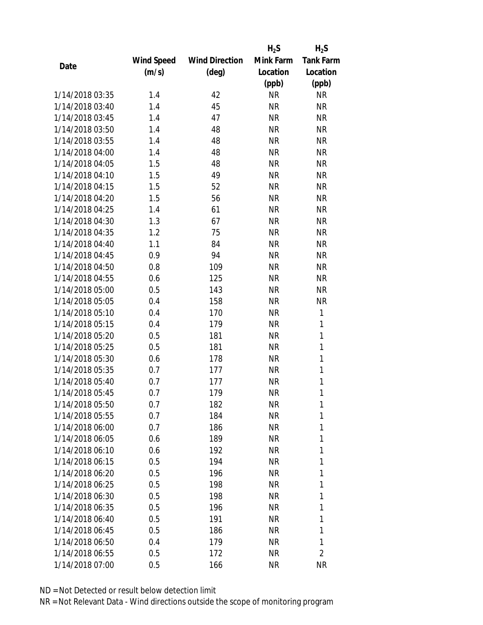|                 |            |                       | $H_2S$    | $H_2S$           |
|-----------------|------------|-----------------------|-----------|------------------|
|                 | Wind Speed | <b>Wind Direction</b> | Mink Farm | <b>Tank Farm</b> |
| Date            | (m/s)      | $(\text{deg})$        | Location  | Location         |
|                 |            |                       | (ppb)     | (ppb)            |
| 1/14/2018 03:35 | 1.4        | 42                    | <b>NR</b> | <b>NR</b>        |
| 1/14/2018 03:40 | 1.4        | 45                    | <b>NR</b> | <b>NR</b>        |
| 1/14/2018 03:45 | 1.4        | 47                    | <b>NR</b> | <b>NR</b>        |
| 1/14/2018 03:50 | 1.4        | 48                    | <b>NR</b> | <b>NR</b>        |
| 1/14/2018 03:55 | 1.4        | 48                    | <b>NR</b> | <b>NR</b>        |
| 1/14/2018 04:00 | 1.4        | 48                    | <b>NR</b> | <b>NR</b>        |
| 1/14/2018 04:05 | 1.5        | 48                    | <b>NR</b> | <b>NR</b>        |
| 1/14/2018 04:10 | 1.5        | 49                    | <b>NR</b> | <b>NR</b>        |
| 1/14/2018 04:15 | 1.5        | 52                    | <b>NR</b> | <b>NR</b>        |
| 1/14/2018 04:20 | 1.5        | 56                    | <b>NR</b> | <b>NR</b>        |
| 1/14/2018 04:25 | 1.4        | 61                    | <b>NR</b> | <b>NR</b>        |
| 1/14/2018 04:30 | 1.3        | 67                    | <b>NR</b> | <b>NR</b>        |
| 1/14/2018 04:35 | 1.2        | 75                    | <b>NR</b> | <b>NR</b>        |
| 1/14/2018 04:40 | 1.1        | 84                    | <b>NR</b> | <b>NR</b>        |
| 1/14/2018 04:45 | 0.9        | 94                    | <b>NR</b> | <b>NR</b>        |
| 1/14/2018 04:50 | 0.8        | 109                   | <b>NR</b> | <b>NR</b>        |
| 1/14/2018 04:55 | 0.6        | 125                   | <b>NR</b> | <b>NR</b>        |
| 1/14/2018 05:00 | 0.5        | 143                   | <b>NR</b> | <b>NR</b>        |
| 1/14/2018 05:05 | 0.4        | 158                   | <b>NR</b> | <b>NR</b>        |
| 1/14/2018 05:10 | 0.4        | 170                   | <b>NR</b> | 1                |
| 1/14/2018 05:15 | 0.4        | 179                   | <b>NR</b> | 1                |
| 1/14/2018 05:20 | 0.5        | 181                   | <b>NR</b> | $\mathbf{1}$     |
| 1/14/2018 05:25 | 0.5        | 181                   | <b>NR</b> | 1                |
| 1/14/2018 05:30 | 0.6        | 178                   | <b>NR</b> | 1                |
| 1/14/2018 05:35 | 0.7        | 177                   | <b>NR</b> | 1                |
| 1/14/2018 05:40 | 0.7        | 177                   | <b>NR</b> | $\mathbf{1}$     |
| 1/14/2018 05:45 | 0.7        | 179                   | <b>NR</b> | 1                |
| 1/14/2018 05:50 | 0.7        | 182                   | ΝR        | 1                |
| 1/14/2018 05:55 | 0.7        | 184                   | <b>NR</b> | 1                |
| 1/14/2018 06:00 | 0.7        | 186                   | NR        | 1                |
| 1/14/2018 06:05 | 0.6        | 189                   | <b>NR</b> | 1                |
| 1/14/2018 06:10 | 0.6        | 192                   | ΝR        | 1                |
| 1/14/2018 06:15 | 0.5        | 194                   | NR        | 1                |
| 1/14/2018 06:20 | 0.5        | 196                   | <b>NR</b> | 1                |
| 1/14/2018 06:25 | 0.5        | 198                   | NR        | 1                |
| 1/14/2018 06:30 | 0.5        | 198                   | <b>NR</b> | 1                |
| 1/14/2018 06:35 | 0.5        | 196                   | NR        | 1                |
| 1/14/2018 06:40 | 0.5        | 191                   | NR        | 1                |
| 1/14/2018 06:45 | 0.5        | 186                   | NR        | 1                |
| 1/14/2018 06:50 |            | 179                   | NR        | 1                |
|                 | 0.4        |                       |           |                  |
| 1/14/2018 06:55 | 0.5        | 172                   | <b>NR</b> | $\overline{2}$   |
| 1/14/2018 07:00 | 0.5        | 166                   | <b>NR</b> | <b>NR</b>        |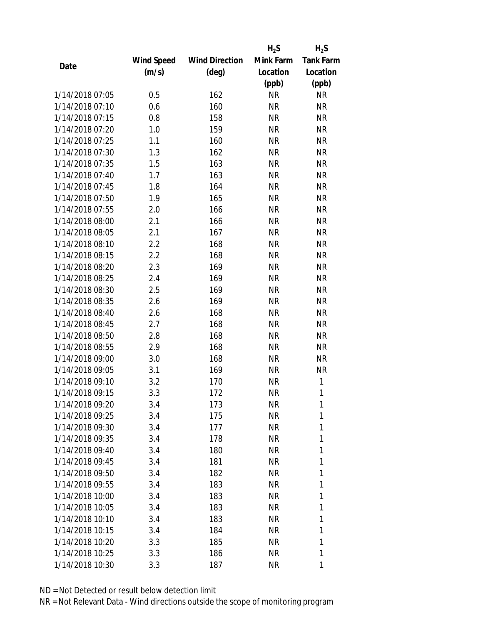|                 |            |                       | $H_2S$    | $H_2S$           |
|-----------------|------------|-----------------------|-----------|------------------|
|                 | Wind Speed | <b>Wind Direction</b> | Mink Farm | <b>Tank Farm</b> |
| Date            | (m/s)      | (deg)                 | Location  | Location         |
|                 |            |                       | (ppb)     | (ppb)            |
| 1/14/2018 07:05 | 0.5        | 162                   | <b>NR</b> | <b>NR</b>        |
| 1/14/2018 07:10 | 0.6        | 160                   | <b>NR</b> | <b>NR</b>        |
| 1/14/2018 07:15 | 0.8        | 158                   | <b>NR</b> | <b>NR</b>        |
| 1/14/2018 07:20 | 1.0        | 159                   | <b>NR</b> | <b>NR</b>        |
| 1/14/2018 07:25 | 1.1        | 160                   | <b>NR</b> | <b>NR</b>        |
| 1/14/2018 07:30 | 1.3        | 162                   | <b>NR</b> | <b>NR</b>        |
| 1/14/2018 07:35 | 1.5        | 163                   | <b>NR</b> | <b>NR</b>        |
| 1/14/2018 07:40 | 1.7        | 163                   | <b>NR</b> | <b>NR</b>        |
| 1/14/2018 07:45 | 1.8        | 164                   | <b>NR</b> | <b>NR</b>        |
| 1/14/2018 07:50 | 1.9        | 165                   | <b>NR</b> | <b>NR</b>        |
| 1/14/2018 07:55 | 2.0        | 166                   | <b>NR</b> | <b>NR</b>        |
| 1/14/2018 08:00 | 2.1        | 166                   | <b>NR</b> | <b>NR</b>        |
| 1/14/2018 08:05 | 2.1        | 167                   | <b>NR</b> | <b>NR</b>        |
| 1/14/2018 08:10 | 2.2        | 168                   | <b>NR</b> | <b>NR</b>        |
| 1/14/2018 08:15 | 2.2        | 168                   | <b>NR</b> | <b>NR</b>        |
| 1/14/2018 08:20 | 2.3        | 169                   | <b>NR</b> | <b>NR</b>        |
| 1/14/2018 08:25 | 2.4        | 169                   | <b>NR</b> | <b>NR</b>        |
| 1/14/2018 08:30 | 2.5        | 169                   | <b>NR</b> | <b>NR</b>        |
| 1/14/2018 08:35 | 2.6        | 169                   | <b>NR</b> | <b>NR</b>        |
| 1/14/2018 08:40 | 2.6        | 168                   | <b>NR</b> | <b>NR</b>        |
| 1/14/2018 08:45 | 2.7        | 168                   | <b>NR</b> | <b>NR</b>        |
| 1/14/2018 08:50 | 2.8        | 168                   | <b>NR</b> | <b>NR</b>        |
| 1/14/2018 08:55 | 2.9        | 168                   | <b>NR</b> | <b>NR</b>        |
| 1/14/2018 09:00 | 3.0        | 168                   | <b>NR</b> | <b>NR</b>        |
| 1/14/2018 09:05 | 3.1        | 169                   | <b>NR</b> | <b>NR</b>        |
| 1/14/2018 09:10 | 3.2        | 170                   | <b>NR</b> | 1                |
| 1/14/2018 09:15 | 3.3        | 172                   | <b>NR</b> | 1                |
| 1/14/2018 09:20 | 3.4        | 173                   | ΝR        | 1                |
| 1/14/2018 09:25 | 3.4        | 175                   | <b>NR</b> | 1                |
| 1/14/2018 09:30 | 3.4        | 177                   | NR        | 1                |
| 1/14/2018 09:35 | 3.4        | 178                   | <b>NR</b> | 1                |
| 1/14/2018 09:40 | 3.4        | 180                   | NR        | 1                |
| 1/14/2018 09:45 | 3.4        | 181                   | NR        | 1                |
| 1/14/2018 09:50 | 3.4        | 182                   | <b>NR</b> | 1                |
| 1/14/2018 09:55 | 3.4        | 183                   | NR        | 1                |
| 1/14/2018 10:00 | 3.4        | 183                   | <b>NR</b> | 1                |
| 1/14/2018 10:05 | 3.4        | 183                   | NR        | 1                |
| 1/14/2018 10:10 | 3.4        | 183                   | NR        | 1                |
| 1/14/2018 10:15 | 3.4        | 184                   | <b>NR</b> | 1                |
| 1/14/2018 10:20 | 3.3        | 185                   | ΝR        | 1                |
| 1/14/2018 10:25 | 3.3        | 186                   | <b>NR</b> | 1                |
| 1/14/2018 10:30 | 3.3        | 187                   | NR        | 1                |
|                 |            |                       |           |                  |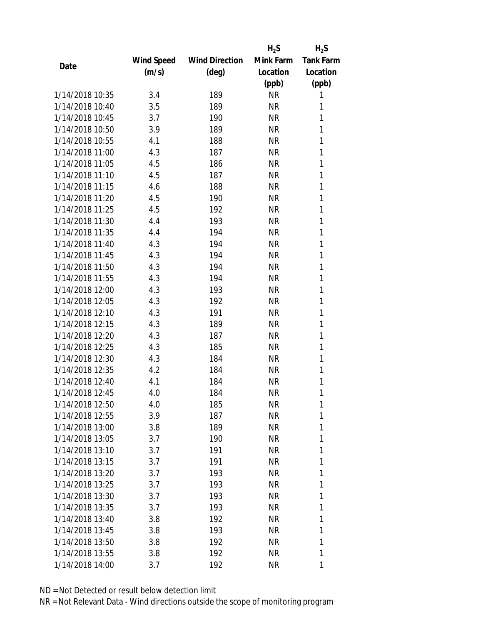|                 |            |                       | $H_2S$    | $H_2S$           |
|-----------------|------------|-----------------------|-----------|------------------|
|                 | Wind Speed | <b>Wind Direction</b> | Mink Farm | <b>Tank Farm</b> |
| Date            | (m/s)      | (deg)                 | Location  | Location         |
|                 |            |                       | (ppb)     | (ppb)            |
| 1/14/2018 10:35 | 3.4        | 189                   | <b>NR</b> | 1                |
| 1/14/2018 10:40 | 3.5        | 189                   | <b>NR</b> | 1                |
| 1/14/2018 10:45 | 3.7        | 190                   | <b>NR</b> | 1                |
| 1/14/2018 10:50 | 3.9        | 189                   | <b>NR</b> | 1                |
| 1/14/2018 10:55 | 4.1        | 188                   | <b>NR</b> | 1                |
| 1/14/2018 11:00 | 4.3        | 187                   | <b>NR</b> | 1                |
| 1/14/2018 11:05 | 4.5        | 186                   | <b>NR</b> | 1                |
| 1/14/2018 11:10 | 4.5        | 187                   | <b>NR</b> | 1                |
| 1/14/2018 11:15 | 4.6        | 188                   | <b>NR</b> | 1                |
| 1/14/2018 11:20 | 4.5        | 190                   | <b>NR</b> | 1                |
| 1/14/2018 11:25 | 4.5        | 192                   | <b>NR</b> | 1                |
| 1/14/2018 11:30 | 4.4        | 193                   | <b>NR</b> | 1                |
| 1/14/2018 11:35 | 4.4        | 194                   | <b>NR</b> | 1                |
| 1/14/2018 11:40 | 4.3        | 194                   | <b>NR</b> | 1                |
| 1/14/2018 11:45 | 4.3        | 194                   | <b>NR</b> | 1                |
| 1/14/2018 11:50 | 4.3        | 194                   | <b>NR</b> | 1                |
| 1/14/2018 11:55 | 4.3        | 194                   | <b>NR</b> | 1                |
| 1/14/2018 12:00 | 4.3        | 193                   | <b>NR</b> | 1                |
| 1/14/2018 12:05 | 4.3        | 192                   | <b>NR</b> | 1                |
| 1/14/2018 12:10 | 4.3        | 191                   | <b>NR</b> | 1                |
| 1/14/2018 12:15 | 4.3        | 189                   | <b>NR</b> | 1                |
| 1/14/2018 12:20 | 4.3        | 187                   | <b>NR</b> | 1                |
| 1/14/2018 12:25 | 4.3        | 185                   | <b>NR</b> | 1                |
| 1/14/2018 12:30 | 4.3        | 184                   | <b>NR</b> | 1                |
| 1/14/2018 12:35 | 4.2        | 184                   | <b>NR</b> | 1                |
| 1/14/2018 12:40 | 4.1        | 184                   | <b>NR</b> | 1                |
| 1/14/2018 12:45 | 4.0        | 184                   | <b>NR</b> | 1                |
| 1/14/2018 12:50 | 4.0        | 185                   | ΝR        | 1                |
| 1/14/2018 12:55 | 3.9        | 187                   | <b>NR</b> | 1                |
| 1/14/2018 13:00 | 3.8        | 189                   | NR        | 1                |
| 1/14/2018 13:05 | 3.7        | 190                   | <b>NR</b> | 1                |
| 1/14/2018 13:10 | 3.7        | 191                   | NR        | 1                |
| 1/14/2018 13:15 | 3.7        | 191                   | NR        | 1                |
| 1/14/2018 13:20 | 3.7        | 193                   | <b>NR</b> | 1                |
| 1/14/2018 13:25 | 3.7        | 193                   | NR        | 1                |
| 1/14/2018 13:30 | 3.7        | 193                   | <b>NR</b> | 1                |
| 1/14/2018 13:35 | 3.7        | 193                   | NR        | 1                |
| 1/14/2018 13:40 | 3.8        | 192                   | NR        | 1                |
| 1/14/2018 13:45 | 3.8        | 193                   | <b>NR</b> | 1                |
| 1/14/2018 13:50 | 3.8        | 192                   | ΝR        | 1                |
| 1/14/2018 13:55 | 3.8        | 192                   | <b>NR</b> | 1                |
| 1/14/2018 14:00 | 3.7        | 192                   | NR        | 1                |
|                 |            |                       |           |                  |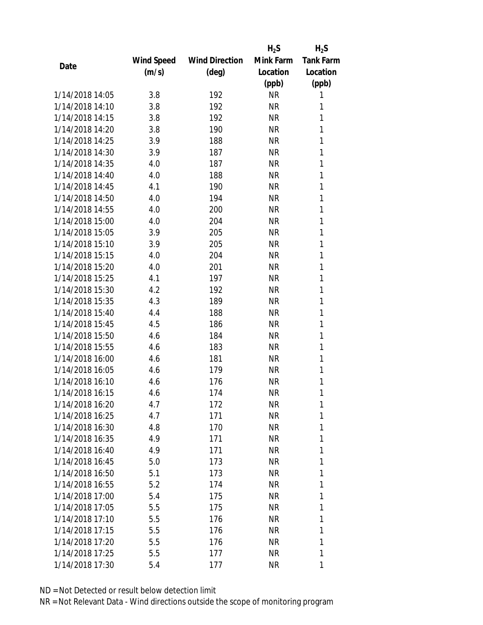|                 |            |                       | $H_2S$    | $H_2S$           |
|-----------------|------------|-----------------------|-----------|------------------|
|                 | Wind Speed | <b>Wind Direction</b> | Mink Farm | <b>Tank Farm</b> |
| Date            | (m/s)      | $(\text{deg})$        | Location  | Location         |
|                 |            |                       | (ppb)     | (ppb)            |
| 1/14/2018 14:05 | 3.8        | 192                   | <b>NR</b> | 1                |
| 1/14/2018 14:10 | 3.8        | 192                   | <b>NR</b> | 1                |
| 1/14/2018 14:15 | 3.8        | 192                   | <b>NR</b> | 1                |
| 1/14/2018 14:20 | 3.8        | 190                   | <b>NR</b> | 1                |
| 1/14/2018 14:25 | 3.9        | 188                   | <b>NR</b> | 1                |
| 1/14/2018 14:30 | 3.9        | 187                   | <b>NR</b> | 1                |
| 1/14/2018 14:35 | 4.0        | 187                   | <b>NR</b> | 1                |
| 1/14/2018 14:40 | 4.0        | 188                   | <b>NR</b> | 1                |
| 1/14/2018 14:45 | 4.1        | 190                   | <b>NR</b> | 1                |
| 1/14/2018 14:50 | 4.0        | 194                   | <b>NR</b> | 1                |
| 1/14/2018 14:55 | 4.0        | 200                   | <b>NR</b> | 1                |
| 1/14/2018 15:00 | 4.0        | 204                   | <b>NR</b> | 1                |
| 1/14/2018 15:05 | 3.9        | 205                   | <b>NR</b> | 1                |
| 1/14/2018 15:10 | 3.9        | 205                   | <b>NR</b> | 1                |
| 1/14/2018 15:15 | 4.0        | 204                   | <b>NR</b> | 1                |
| 1/14/2018 15:20 | 4.0        | 201                   | <b>NR</b> | 1                |
| 1/14/2018 15:25 | 4.1        | 197                   | <b>NR</b> | 1                |
| 1/14/2018 15:30 | 4.2        | 192                   | <b>NR</b> | 1                |
| 1/14/2018 15:35 | 4.3        | 189                   | <b>NR</b> | 1                |
| 1/14/2018 15:40 | 4.4        | 188                   | <b>NR</b> | 1                |
| 1/14/2018 15:45 | 4.5        | 186                   | <b>NR</b> | 1                |
| 1/14/2018 15:50 | 4.6        | 184                   | <b>NR</b> | 1                |
| 1/14/2018 15:55 | 4.6        | 183                   | <b>NR</b> | 1                |
| 1/14/2018 16:00 | 4.6        | 181                   | <b>NR</b> | 1                |
| 1/14/2018 16:05 | 4.6        | 179                   | <b>NR</b> | 1                |
| 1/14/2018 16:10 | 4.6        | 176                   | <b>NR</b> | 1                |
| 1/14/2018 16:15 | 4.6        | 174                   | <b>NR</b> | 1                |
| 1/14/2018 16:20 | 4.7        | 172                   | ΝR        | 1                |
| 1/14/2018 16:25 | 4.7        | 171                   | <b>NR</b> | 1                |
| 1/14/2018 16:30 | 4.8        | 170                   | NR        | 1                |
| 1/14/2018 16:35 | 4.9        | 171                   | <b>NR</b> | 1                |
| 1/14/2018 16:40 | 4.9        | 171                   | NR        | 1                |
| 1/14/2018 16:45 | 5.0        | 173                   | NR        | 1                |
| 1/14/2018 16:50 | 5.1        | 173                   | <b>NR</b> | 1                |
| 1/14/2018 16:55 | 5.2        | 174                   | NR        | 1                |
| 1/14/2018 17:00 | 5.4        | 175                   | <b>NR</b> | 1                |
| 1/14/2018 17:05 | 5.5        | 175                   | NR        | 1                |
| 1/14/2018 17:10 | 5.5        | 176                   | NR        | 1                |
| 1/14/2018 17:15 | 5.5        | 176                   | NR        | 1                |
| 1/14/2018 17:20 | 5.5        | 176                   | NR        | 1                |
| 1/14/2018 17:25 | 5.5        | 177                   | <b>NR</b> | 1                |
| 1/14/2018 17:30 | 5.4        | 177                   | ΝR        | 1                |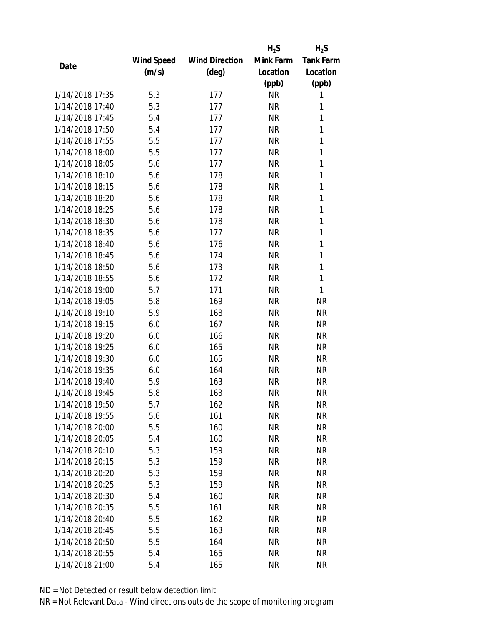|                 |            |                       | $H_2S$    | $H_2S$           |
|-----------------|------------|-----------------------|-----------|------------------|
|                 | Wind Speed | <b>Wind Direction</b> | Mink Farm | <b>Tank Farm</b> |
| Date            | (m/s)      | $(\text{deg})$        | Location  | Location         |
|                 |            |                       | (ppb)     | (ppb)            |
| 1/14/2018 17:35 | 5.3        | 177                   | <b>NR</b> | 1                |
| 1/14/2018 17:40 | 5.3        | 177                   | <b>NR</b> | 1                |
| 1/14/2018 17:45 | 5.4        | 177                   | <b>NR</b> | 1                |
| 1/14/2018 17:50 | 5.4        | 177                   | <b>NR</b> | 1                |
| 1/14/2018 17:55 | 5.5        | 177                   | <b>NR</b> | 1                |
| 1/14/2018 18:00 | 5.5        | 177                   | <b>NR</b> | 1                |
| 1/14/2018 18:05 | 5.6        | 177                   | <b>NR</b> | 1                |
| 1/14/2018 18:10 | 5.6        | 178                   | <b>NR</b> | 1                |
| 1/14/2018 18:15 | 5.6        | 178                   | <b>NR</b> | 1                |
| 1/14/2018 18:20 | 5.6        | 178                   | <b>NR</b> | 1                |
| 1/14/2018 18:25 | 5.6        | 178                   | <b>NR</b> | 1                |
| 1/14/2018 18:30 | 5.6        | 178                   | <b>NR</b> | 1                |
| 1/14/2018 18:35 | 5.6        | 177                   | <b>NR</b> | 1                |
| 1/14/2018 18:40 | 5.6        | 176                   | <b>NR</b> | 1                |
| 1/14/2018 18:45 | 5.6        | 174                   | <b>NR</b> | 1                |
| 1/14/2018 18:50 | 5.6        | 173                   | <b>NR</b> | 1                |
| 1/14/2018 18:55 | 5.6        | 172                   | <b>NR</b> | 1                |
| 1/14/2018 19:00 | 5.7        | 171                   | <b>NR</b> | 1                |
| 1/14/2018 19:05 | 5.8        | 169                   | <b>NR</b> | <b>NR</b>        |
| 1/14/2018 19:10 | 5.9        | 168                   | <b>NR</b> | <b>NR</b>        |
| 1/14/2018 19:15 | 6.0        | 167                   | <b>NR</b> | <b>NR</b>        |
| 1/14/2018 19:20 | 6.0        | 166                   | <b>NR</b> | <b>NR</b>        |
| 1/14/2018 19:25 | 6.0        | 165                   | <b>NR</b> | <b>NR</b>        |
| 1/14/2018 19:30 | 6.0        | 165                   | <b>NR</b> | <b>NR</b>        |
| 1/14/2018 19:35 | 6.0        | 164                   | <b>NR</b> | <b>NR</b>        |
| 1/14/2018 19:40 | 5.9        | 163                   | <b>NR</b> | <b>NR</b>        |
| 1/14/2018 19:45 | 5.8        | 163                   | <b>NR</b> | <b>NR</b>        |
| 1/14/2018 19:50 | 5.7        | 162                   | <b>NR</b> | <b>NR</b>        |
| 1/14/2018 19:55 | 5.6        | 161                   | <b>NR</b> | <b>NR</b>        |
| 1/14/2018 20:00 | 5.5        | 160                   | NR        | <b>NR</b>        |
| 1/14/2018 20:05 | 5.4        | 160                   | <b>NR</b> | <b>NR</b>        |
| 1/14/2018 20:10 | 5.3        | 159                   | <b>NR</b> | NR               |
| 1/14/2018 20:15 | 5.3        | 159                   | NR        | <b>NR</b>        |
| 1/14/2018 20:20 | 5.3        | 159                   | <b>NR</b> | <b>NR</b>        |
| 1/14/2018 20:25 | 5.3        | 159                   | <b>NR</b> | <b>NR</b>        |
| 1/14/2018 20:30 | 5.4        | 160                   | <b>NR</b> | <b>NR</b>        |
| 1/14/2018 20:35 | 5.5        | 161                   | <b>NR</b> | <b>NR</b>        |
| 1/14/2018 20:40 | 5.5        | 162                   | <b>NR</b> | <b>NR</b>        |
| 1/14/2018 20:45 | 5.5        | 163                   | <b>NR</b> | <b>NR</b>        |
| 1/14/2018 20:50 | 5.5        | 164                   | <b>NR</b> | ΝR               |
| 1/14/2018 20:55 | 5.4        | 165                   | <b>NR</b> | <b>NR</b>        |
| 1/14/2018 21:00 | 5.4        | 165                   | <b>NR</b> | <b>NR</b>        |
|                 |            |                       |           |                  |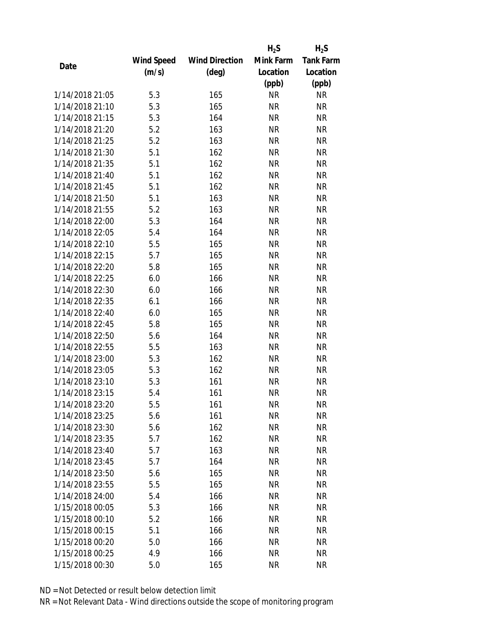|                 |            |                       | $H_2S$    | $H_2S$           |
|-----------------|------------|-----------------------|-----------|------------------|
|                 | Wind Speed | <b>Wind Direction</b> | Mink Farm | <b>Tank Farm</b> |
| Date            | (m/s)      | $(\text{deg})$        | Location  | Location         |
|                 |            |                       | (ppb)     | (ppb)            |
| 1/14/2018 21:05 | 5.3        | 165                   | <b>NR</b> | NR               |
| 1/14/2018 21:10 | 5.3        | 165                   | <b>NR</b> | <b>NR</b>        |
| 1/14/2018 21:15 | 5.3        | 164                   | <b>NR</b> | <b>NR</b>        |
| 1/14/2018 21:20 | 5.2        | 163                   | <b>NR</b> | <b>NR</b>        |
| 1/14/2018 21:25 | 5.2        | 163                   | <b>NR</b> | <b>NR</b>        |
| 1/14/2018 21:30 | 5.1        | 162                   | <b>NR</b> | <b>NR</b>        |
| 1/14/2018 21:35 | 5.1        | 162                   | <b>NR</b> | <b>NR</b>        |
| 1/14/2018 21:40 | 5.1        | 162                   | <b>NR</b> | <b>NR</b>        |
| 1/14/2018 21:45 | 5.1        | 162                   | <b>NR</b> | <b>NR</b>        |
| 1/14/2018 21:50 | 5.1        | 163                   | <b>NR</b> | <b>NR</b>        |
| 1/14/2018 21:55 | 5.2        | 163                   | <b>NR</b> | <b>NR</b>        |
| 1/14/2018 22:00 | 5.3        | 164                   | <b>NR</b> | <b>NR</b>        |
| 1/14/2018 22:05 | 5.4        | 164                   | <b>NR</b> | <b>NR</b>        |
| 1/14/2018 22:10 | 5.5        | 165                   | <b>NR</b> | <b>NR</b>        |
| 1/14/2018 22:15 | 5.7        | 165                   | <b>NR</b> | <b>NR</b>        |
| 1/14/2018 22:20 | 5.8        | 165                   | <b>NR</b> | <b>NR</b>        |
| 1/14/2018 22:25 | 6.0        | 166                   | <b>NR</b> | <b>NR</b>        |
| 1/14/2018 22:30 | 6.0        | 166                   | <b>NR</b> | <b>NR</b>        |
| 1/14/2018 22:35 | 6.1        | 166                   | <b>NR</b> | <b>NR</b>        |
| 1/14/2018 22:40 | 6.0        | 165                   | <b>NR</b> | <b>NR</b>        |
| 1/14/2018 22:45 | 5.8        | 165                   | <b>NR</b> | <b>NR</b>        |
| 1/14/2018 22:50 | 5.6        | 164                   | <b>NR</b> | <b>NR</b>        |
| 1/14/2018 22:55 | 5.5        | 163                   | <b>NR</b> | <b>NR</b>        |
| 1/14/2018 23:00 | 5.3        | 162                   | <b>NR</b> | <b>NR</b>        |
| 1/14/2018 23:05 | 5.3        | 162                   | <b>NR</b> | <b>NR</b>        |
| 1/14/2018 23:10 | 5.3        | 161                   | <b>NR</b> | <b>NR</b>        |
| 1/14/2018 23:15 | 5.4        | 161                   | <b>NR</b> | <b>NR</b>        |
| 1/14/2018 23:20 | 5.5        | 161                   | NR        | ΝR               |
| 1/14/2018 23:25 | 5.6        | 161                   | <b>NR</b> | <b>NR</b>        |
| 1/14/2018 23:30 |            |                       |           | <b>NR</b>        |
| 1/14/2018 23:35 | 5.6        | 162                   | NR        |                  |
|                 | 5.7        | 162                   | <b>NR</b> | NR               |
| 1/14/2018 23:40 | 5.7        | 163                   | <b>NR</b> | NR               |
| 1/14/2018 23:45 | 5.7        | 164                   | NR        | <b>NR</b>        |
| 1/14/2018 23:50 | 5.6        | 165                   | <b>NR</b> | <b>NR</b>        |
| 1/14/2018 23:55 | 5.5        | 165                   | <b>NR</b> | <b>NR</b>        |
| 1/14/2018 24:00 | 5.4        | 166                   | <b>NR</b> | NR               |
| 1/15/2018 00:05 | 5.3        | 166                   | NR        | NR               |
| 1/15/2018 00:10 | 5.2        | 166                   | ΝR        | NR               |
| 1/15/2018 00:15 | 5.1        | 166                   | <b>NR</b> | <b>NR</b>        |
| 1/15/2018 00:20 | 5.0        | 166                   | NR        | NR               |
| 1/15/2018 00:25 | 4.9        | 166                   | <b>NR</b> | NR               |
| 1/15/2018 00:30 | 5.0        | 165                   | <b>NR</b> | <b>NR</b>        |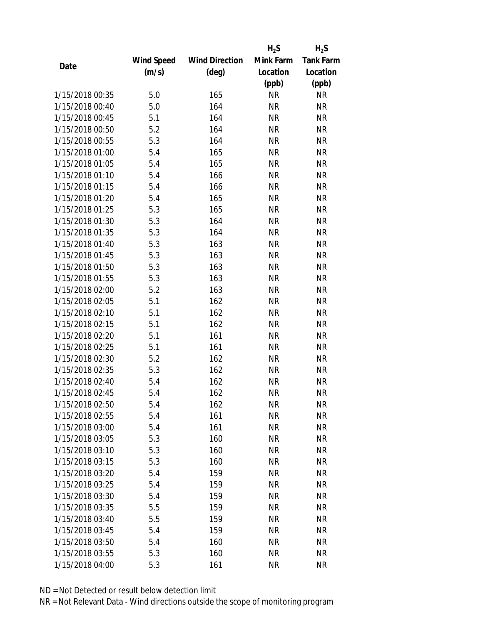|                 |            |                       | $H_2S$    | $H_2S$           |
|-----------------|------------|-----------------------|-----------|------------------|
|                 | Wind Speed | <b>Wind Direction</b> | Mink Farm | <b>Tank Farm</b> |
| Date            | (m/s)      | (deg)                 | Location  | Location         |
|                 |            |                       | (ppb)     | (ppb)            |
| 1/15/2018 00:35 | 5.0        | 165                   | <b>NR</b> | <b>NR</b>        |
| 1/15/2018 00:40 | 5.0        | 164                   | <b>NR</b> | <b>NR</b>        |
| 1/15/2018 00:45 | 5.1        | 164                   | <b>NR</b> | <b>NR</b>        |
| 1/15/2018 00:50 | 5.2        | 164                   | <b>NR</b> | <b>NR</b>        |
| 1/15/2018 00:55 | 5.3        | 164                   | <b>NR</b> | <b>NR</b>        |
| 1/15/2018 01:00 | 5.4        | 165                   | <b>NR</b> | <b>NR</b>        |
| 1/15/2018 01:05 | 5.4        | 165                   | <b>NR</b> | <b>NR</b>        |
| 1/15/2018 01:10 | 5.4        | 166                   | <b>NR</b> | <b>NR</b>        |
| 1/15/2018 01:15 | 5.4        | 166                   | <b>NR</b> | <b>NR</b>        |
| 1/15/2018 01:20 | 5.4        | 165                   | <b>NR</b> | <b>NR</b>        |
| 1/15/2018 01:25 | 5.3        | 165                   | <b>NR</b> | <b>NR</b>        |
| 1/15/2018 01:30 | 5.3        | 164                   | <b>NR</b> | <b>NR</b>        |
| 1/15/2018 01:35 | 5.3        | 164                   | <b>NR</b> | <b>NR</b>        |
| 1/15/2018 01:40 | 5.3        | 163                   | <b>NR</b> | <b>NR</b>        |
| 1/15/2018 01:45 | 5.3        | 163                   | <b>NR</b> | <b>NR</b>        |
| 1/15/2018 01:50 | 5.3        | 163                   | <b>NR</b> | <b>NR</b>        |
| 1/15/2018 01:55 | 5.3        | 163                   | <b>NR</b> | <b>NR</b>        |
| 1/15/2018 02:00 | 5.2        | 163                   | <b>NR</b> | <b>NR</b>        |
| 1/15/2018 02:05 | 5.1        | 162                   | <b>NR</b> | <b>NR</b>        |
| 1/15/2018 02:10 | 5.1        | 162                   | <b>NR</b> | <b>NR</b>        |
| 1/15/2018 02:15 | 5.1        | 162                   | <b>NR</b> | <b>NR</b>        |
| 1/15/2018 02:20 | 5.1        | 161                   | <b>NR</b> | <b>NR</b>        |
| 1/15/2018 02:25 | 5.1        | 161                   | <b>NR</b> | <b>NR</b>        |
| 1/15/2018 02:30 | 5.2        | 162                   | <b>NR</b> | <b>NR</b>        |
| 1/15/2018 02:35 | 5.3        | 162                   | <b>NR</b> | <b>NR</b>        |
| 1/15/2018 02:40 | 5.4        | 162                   | <b>NR</b> | <b>NR</b>        |
| 1/15/2018 02:45 | 5.4        | 162                   | <b>NR</b> | <b>NR</b>        |
| 1/15/2018 02:50 | 5.4        | 162                   | ΝR        | <b>NR</b>        |
| 1/15/2018 02:55 | 5.4        | 161                   | <b>NR</b> | <b>NR</b>        |
| 1/15/2018 03:00 | 5.4        | 161                   | <b>NR</b> | <b>NR</b>        |
| 1/15/2018 03:05 | 5.3        | 160                   | <b>NR</b> | <b>NR</b>        |
| 1/15/2018 03:10 | 5.3        | 160                   | <b>NR</b> | <b>NR</b>        |
| 1/15/2018 03:15 | 5.3        | 160                   | <b>NR</b> | <b>NR</b>        |
| 1/15/2018 03:20 | 5.4        | 159                   | <b>NR</b> | <b>NR</b>        |
| 1/15/2018 03:25 | 5.4        | 159                   | <b>NR</b> | <b>NR</b>        |
| 1/15/2018 03:30 | 5.4        | 159                   | <b>NR</b> | <b>NR</b>        |
| 1/15/2018 03:35 | 5.5        | 159                   | ΝR        | <b>NR</b>        |
| 1/15/2018 03:40 | 5.5        | 159                   | ΝR        | <b>NR</b>        |
| 1/15/2018 03:45 | 5.4        | 159                   | <b>NR</b> | <b>NR</b>        |
| 1/15/2018 03:50 | 5.4        | 160                   | NR        | <b>NR</b>        |
| 1/15/2018 03:55 | 5.3        | 160                   | <b>NR</b> | <b>NR</b>        |
| 1/15/2018 04:00 | 5.3        | 161                   | <b>NR</b> | <b>NR</b>        |
|                 |            |                       |           |                  |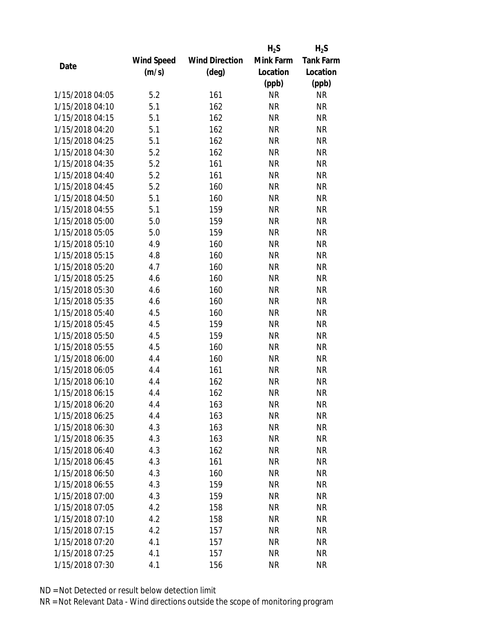|                 |            |                       | $H_2S$    | $H_2S$           |
|-----------------|------------|-----------------------|-----------|------------------|
|                 | Wind Speed | <b>Wind Direction</b> | Mink Farm | <b>Tank Farm</b> |
| Date            | (m/s)      | $(\text{deg})$        | Location  | Location         |
|                 |            |                       | (ppb)     | (ppb)            |
| 1/15/2018 04:05 | 5.2        | 161                   | <b>NR</b> | <b>NR</b>        |
| 1/15/2018 04:10 | 5.1        | 162                   | <b>NR</b> | <b>NR</b>        |
| 1/15/2018 04:15 | 5.1        | 162                   | <b>NR</b> | <b>NR</b>        |
| 1/15/2018 04:20 | 5.1        | 162                   | <b>NR</b> | <b>NR</b>        |
| 1/15/2018 04:25 | 5.1        | 162                   | <b>NR</b> | <b>NR</b>        |
| 1/15/2018 04:30 | 5.2        | 162                   | <b>NR</b> | <b>NR</b>        |
| 1/15/2018 04:35 | 5.2        | 161                   | <b>NR</b> | <b>NR</b>        |
| 1/15/2018 04:40 | 5.2        | 161                   | <b>NR</b> | <b>NR</b>        |
| 1/15/2018 04:45 | 5.2        | 160                   | <b>NR</b> | <b>NR</b>        |
| 1/15/2018 04:50 | 5.1        | 160                   | <b>NR</b> | <b>NR</b>        |
| 1/15/2018 04:55 | 5.1        | 159                   | <b>NR</b> | <b>NR</b>        |
| 1/15/2018 05:00 | 5.0        | 159                   | <b>NR</b> | <b>NR</b>        |
| 1/15/2018 05:05 | 5.0        | 159                   | <b>NR</b> | <b>NR</b>        |
| 1/15/2018 05:10 | 4.9        | 160                   | <b>NR</b> | <b>NR</b>        |
| 1/15/2018 05:15 | 4.8        | 160                   | <b>NR</b> | <b>NR</b>        |
| 1/15/2018 05:20 | 4.7        | 160                   | <b>NR</b> | <b>NR</b>        |
| 1/15/2018 05:25 | 4.6        | 160                   | <b>NR</b> | <b>NR</b>        |
| 1/15/2018 05:30 | 4.6        | 160                   | <b>NR</b> | <b>NR</b>        |
| 1/15/2018 05:35 | 4.6        | 160                   | <b>NR</b> | <b>NR</b>        |
| 1/15/2018 05:40 | 4.5        | 160                   | <b>NR</b> | <b>NR</b>        |
| 1/15/2018 05:45 | 4.5        | 159                   | <b>NR</b> | <b>NR</b>        |
| 1/15/2018 05:50 | 4.5        | 159                   | <b>NR</b> | <b>NR</b>        |
| 1/15/2018 05:55 | 4.5        | 160                   | <b>NR</b> | <b>NR</b>        |
| 1/15/2018 06:00 | 4.4        | 160                   | <b>NR</b> | <b>NR</b>        |
| 1/15/2018 06:05 | 4.4        | 161                   | <b>NR</b> | <b>NR</b>        |
| 1/15/2018 06:10 | 4.4        | 162                   | <b>NR</b> | <b>NR</b>        |
| 1/15/2018 06:15 | 4.4        | 162                   | <b>NR</b> | <b>NR</b>        |
| 1/15/2018 06:20 | 4.4        | 163                   | NR        | <b>NR</b>        |
| 1/15/2018 06:25 | 4.4        | 163                   | <b>NR</b> | <b>NR</b>        |
| 1/15/2018 06:30 | 4.3        | 163                   | NR        | <b>NR</b>        |
| 1/15/2018 06:35 | 4.3        | 163                   | <b>NR</b> | <b>NR</b>        |
| 1/15/2018 06:40 | 4.3        | 162                   | <b>NR</b> | <b>NR</b>        |
| 1/15/2018 06:45 | 4.3        | 161                   | <b>NR</b> | <b>NR</b>        |
| 1/15/2018 06:50 | 4.3        | 160                   | <b>NR</b> | <b>NR</b>        |
| 1/15/2018 06:55 | 4.3        | 159                   | <b>NR</b> | <b>NR</b>        |
| 1/15/2018 07:00 | 4.3        | 159                   | <b>NR</b> | <b>NR</b>        |
| 1/15/2018 07:05 | 4.2        | 158                   | NR        | <b>NR</b>        |
| 1/15/2018 07:10 | 4.2        | 158                   | NR        | <b>NR</b>        |
| 1/15/2018 07:15 | 4.2        | 157                   | <b>NR</b> | <b>NR</b>        |
| 1/15/2018 07:20 | 4.1        | 157                   | NR        | <b>NR</b>        |
| 1/15/2018 07:25 | 4.1        | 157                   | <b>NR</b> | <b>NR</b>        |
| 1/15/2018 07:30 | 4.1        | 156                   | <b>NR</b> | <b>NR</b>        |
|                 |            |                       |           |                  |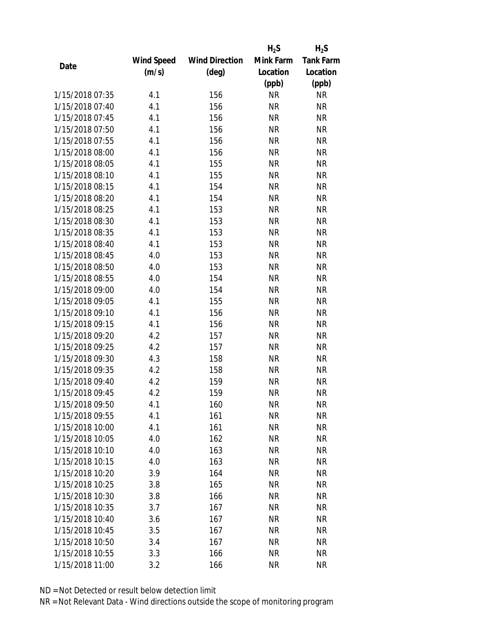|                 |            |                       | $H_2S$    | $H_2S$           |
|-----------------|------------|-----------------------|-----------|------------------|
|                 | Wind Speed | <b>Wind Direction</b> | Mink Farm | <b>Tank Farm</b> |
| Date            | (m/s)      | $(\text{deg})$        | Location  | Location         |
|                 |            |                       | (ppb)     | (ppb)            |
| 1/15/2018 07:35 | 4.1        | 156                   | <b>NR</b> | <b>NR</b>        |
| 1/15/2018 07:40 | 4.1        | 156                   | <b>NR</b> | <b>NR</b>        |
| 1/15/2018 07:45 | 4.1        | 156                   | <b>NR</b> | <b>NR</b>        |
| 1/15/2018 07:50 | 4.1        | 156                   | <b>NR</b> | <b>NR</b>        |
| 1/15/2018 07:55 | 4.1        | 156                   | <b>NR</b> | <b>NR</b>        |
| 1/15/2018 08:00 | 4.1        | 156                   | <b>NR</b> | <b>NR</b>        |
| 1/15/2018 08:05 | 4.1        | 155                   | <b>NR</b> | <b>NR</b>        |
| 1/15/2018 08:10 | 4.1        | 155                   | <b>NR</b> | <b>NR</b>        |
| 1/15/2018 08:15 | 4.1        | 154                   | <b>NR</b> | <b>NR</b>        |
| 1/15/2018 08:20 | 4.1        | 154                   | <b>NR</b> | <b>NR</b>        |
| 1/15/2018 08:25 | 4.1        | 153                   | <b>NR</b> | <b>NR</b>        |
| 1/15/2018 08:30 | 4.1        | 153                   | <b>NR</b> | <b>NR</b>        |
| 1/15/2018 08:35 | 4.1        | 153                   | <b>NR</b> | <b>NR</b>        |
| 1/15/2018 08:40 | 4.1        | 153                   | <b>NR</b> | <b>NR</b>        |
| 1/15/2018 08:45 | 4.0        | 153                   | <b>NR</b> | <b>NR</b>        |
| 1/15/2018 08:50 | 4.0        | 153                   | <b>NR</b> | <b>NR</b>        |
| 1/15/2018 08:55 | 4.0        | 154                   | <b>NR</b> | <b>NR</b>        |
| 1/15/2018 09:00 | 4.0        | 154                   | <b>NR</b> | <b>NR</b>        |
| 1/15/2018 09:05 | 4.1        | 155                   | <b>NR</b> | <b>NR</b>        |
| 1/15/2018 09:10 | 4.1        | 156                   | <b>NR</b> | <b>NR</b>        |
| 1/15/2018 09:15 | 4.1        | 156                   | <b>NR</b> | <b>NR</b>        |
| 1/15/2018 09:20 | 4.2        | 157                   | <b>NR</b> | <b>NR</b>        |
| 1/15/2018 09:25 | 4.2        | 157                   | <b>NR</b> | <b>NR</b>        |
| 1/15/2018 09:30 | 4.3        | 158                   | <b>NR</b> | <b>NR</b>        |
| 1/15/2018 09:35 | 4.2        | 158                   | <b>NR</b> | <b>NR</b>        |
| 1/15/2018 09:40 | 4.2        | 159                   | <b>NR</b> | <b>NR</b>        |
| 1/15/2018 09:45 | 4.2        | 159                   | <b>NR</b> | <b>NR</b>        |
| 1/15/2018 09:50 | 4.1        | 160                   | NR        | <b>NR</b>        |
| 1/15/2018 09:55 | 4.1        | 161                   | <b>NR</b> | <b>NR</b>        |
| 1/15/2018 10:00 | 4.1        | 161                   | NR        | <b>NR</b>        |
| 1/15/2018 10:05 | 4.0        | 162                   | <b>NR</b> | <b>NR</b>        |
| 1/15/2018 10:10 | 4.0        | 163                   | <b>NR</b> | <b>NR</b>        |
| 1/15/2018 10:15 | 4.0        | 163                   | NR        | <b>NR</b>        |
| 1/15/2018 10:20 | 3.9        | 164                   | <b>NR</b> | <b>NR</b>        |
| 1/15/2018 10:25 | 3.8        | 165                   | NR        | <b>NR</b>        |
| 1/15/2018 10:30 | 3.8        | 166                   | <b>NR</b> | <b>NR</b>        |
| 1/15/2018 10:35 | 3.7        | 167                   | NR        | <b>NR</b>        |
| 1/15/2018 10:40 | 3.6        | 167                   | NR        | <b>NR</b>        |
| 1/15/2018 10:45 | 3.5        | 167                   | <b>NR</b> | <b>NR</b>        |
| 1/15/2018 10:50 | 3.4        | 167                   | ΝR        | <b>NR</b>        |
| 1/15/2018 10:55 | 3.3        | 166                   | <b>NR</b> | <b>NR</b>        |
| 1/15/2018 11:00 | 3.2        | 166                   | <b>NR</b> | <b>NR</b>        |
|                 |            |                       |           |                  |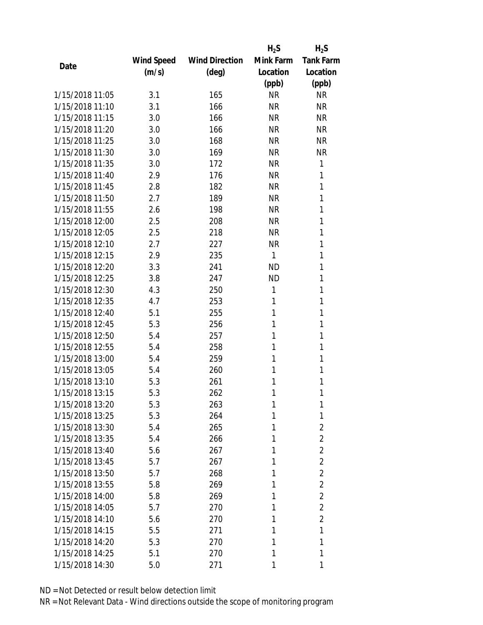|                 |            |                       | $H_2S$    | $H_2S$           |
|-----------------|------------|-----------------------|-----------|------------------|
|                 | Wind Speed | <b>Wind Direction</b> | Mink Farm | <b>Tank Farm</b> |
| Date            | (m/s)      | (deg)                 | Location  | Location         |
|                 |            |                       | (ppb)     | (ppb)            |
| 1/15/2018 11:05 | 3.1        | 165                   | <b>NR</b> | <b>NR</b>        |
| 1/15/2018 11:10 | 3.1        | 166                   | <b>NR</b> | <b>NR</b>        |
| 1/15/2018 11:15 | 3.0        | 166                   | <b>NR</b> | <b>NR</b>        |
| 1/15/2018 11:20 | 3.0        | 166                   | <b>NR</b> | <b>NR</b>        |
| 1/15/2018 11:25 | 3.0        | 168                   | <b>NR</b> | <b>NR</b>        |
| 1/15/2018 11:30 | 3.0        | 169                   | <b>NR</b> | <b>NR</b>        |
| 1/15/2018 11:35 | 3.0        | 172                   | <b>NR</b> | 1                |
| 1/15/2018 11:40 | 2.9        | 176                   | <b>NR</b> | 1                |
| 1/15/2018 11:45 | 2.8        | 182                   | <b>NR</b> | 1                |
| 1/15/2018 11:50 | 2.7        | 189                   | <b>NR</b> | 1                |
| 1/15/2018 11:55 | 2.6        | 198                   | <b>NR</b> | 1                |
| 1/15/2018 12:00 | 2.5        | 208                   | <b>NR</b> | 1                |
| 1/15/2018 12:05 | 2.5        | 218                   | <b>NR</b> | 1                |
| 1/15/2018 12:10 | 2.7        | 227                   | <b>NR</b> | 1                |
| 1/15/2018 12:15 | 2.9        | 235                   | 1         | 1                |
| 1/15/2018 12:20 | 3.3        | 241                   | <b>ND</b> | 1                |
| 1/15/2018 12:25 | 3.8        | 247                   | <b>ND</b> | 1                |
| 1/15/2018 12:30 | 4.3        | 250                   | 1         | 1                |
| 1/15/2018 12:35 | 4.7        | 253                   | 1         | 1                |
| 1/15/2018 12:40 | 5.1        | 255                   | 1         | 1                |
| 1/15/2018 12:45 | 5.3        | 256                   | 1         | 1                |
| 1/15/2018 12:50 | 5.4        | 257                   | 1         | 1                |
| 1/15/2018 12:55 | 5.4        | 258                   | 1         | 1                |
| 1/15/2018 13:00 | 5.4        | 259                   | 1         | 1                |
| 1/15/2018 13:05 | 5.4        | 260                   | 1         | 1                |
| 1/15/2018 13:10 | 5.3        | 261                   | 1         | 1                |
| 1/15/2018 13:15 | 5.3        | 262                   | 1         | 1                |
| 1/15/2018 13:20 | 5.3        | 263                   | 1         | 1                |
| 1/15/2018 13:25 | 5.3        | 264                   | 1         | 1                |
| 1/15/2018 13:30 | 5.4        | 265                   | 1         | $\overline{2}$   |
| 1/15/2018 13:35 | 5.4        | 266                   | 1         | $\overline{2}$   |
| 1/15/2018 13:40 | 5.6        | 267                   | 1         | $\overline{2}$   |
| 1/15/2018 13:45 | 5.7        | 267                   | 1         | $\overline{2}$   |
| 1/15/2018 13:50 | 5.7        | 268                   | 1         | $\overline{2}$   |
| 1/15/2018 13:55 | 5.8        | 269                   | 1         | $\overline{2}$   |
| 1/15/2018 14:00 | 5.8        | 269                   | 1         | $\overline{2}$   |
| 1/15/2018 14:05 | 5.7        | 270                   | 1         | $\overline{2}$   |
| 1/15/2018 14:10 | 5.6        | 270                   | 1         | $\overline{2}$   |
| 1/15/2018 14:15 | 5.5        | 271                   | 1         | 1                |
| 1/15/2018 14:20 | 5.3        | 270                   | 1         | 1                |
| 1/15/2018 14:25 | 5.1        | 270                   | 1         | 1                |
| 1/15/2018 14:30 | 5.0        | 271                   | 1         | 1                |
|                 |            |                       |           |                  |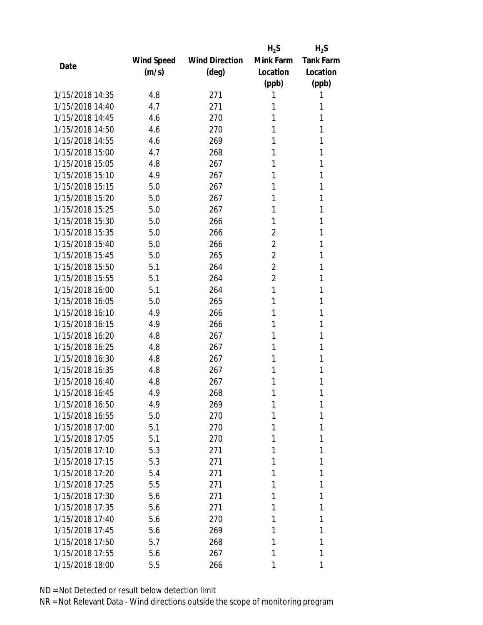|                 |            |                       | $H_2S$         | $H_2S$           |
|-----------------|------------|-----------------------|----------------|------------------|
|                 | Wind Speed | <b>Wind Direction</b> | Mink Farm      | <b>Tank Farm</b> |
| Date            | (m/s)      | $(\text{deg})$        | Location       | Location         |
|                 |            |                       | (ppb)          | (ppb)            |
| 1/15/2018 14:35 | 4.8        | 271                   | 1              | 1                |
| 1/15/2018 14:40 | 4.7        | 271                   | 1              | 1                |
| 1/15/2018 14:45 | 4.6        | 270                   | 1              | 1                |
| 1/15/2018 14:50 | 4.6        | 270                   | 1              | 1                |
| 1/15/2018 14:55 | 4.6        | 269                   | 1              | 1                |
| 1/15/2018 15:00 | 4.7        | 268                   | 1              | 1                |
| 1/15/2018 15:05 | 4.8        | 267                   | 1              | 1                |
| 1/15/2018 15:10 | 4.9        | 267                   | 1              | 1                |
| 1/15/2018 15:15 | 5.0        | 267                   | 1              | 1                |
| 1/15/2018 15:20 | 5.0        | 267                   | 1              | 1                |
| 1/15/2018 15:25 | 5.0        | 267                   | 1              | 1                |
| 1/15/2018 15:30 | 5.0        | 266                   | 1              | 1                |
| 1/15/2018 15:35 | 5.0        | 266                   | 2              | 1                |
| 1/15/2018 15:40 | 5.0        | 266                   | $\overline{2}$ | 1                |
| 1/15/2018 15:45 | 5.0        | 265                   | $\overline{2}$ | 1                |
| 1/15/2018 15:50 | 5.1        | 264                   | $\overline{2}$ | 1                |
| 1/15/2018 15:55 | 5.1        | 264                   | $\overline{2}$ | 1                |
| 1/15/2018 16:00 | 5.1        | 264                   | 1              | 1                |
| 1/15/2018 16:05 | 5.0        | 265                   | 1              | 1                |
| 1/15/2018 16:10 | 4.9        | 266                   | 1              | 1                |
| 1/15/2018 16:15 | 4.9        | 266                   | 1              | 1                |
| 1/15/2018 16:20 | 4.8        | 267                   | 1              | 1                |
| 1/15/2018 16:25 | 4.8        | 267                   | 1              | 1                |
| 1/15/2018 16:30 | 4.8        | 267                   | 1              | 1                |
| 1/15/2018 16:35 | 4.8        | 267                   | 1              | 1                |
| 1/15/2018 16:40 | 4.8        | 267                   | 1              | 1                |
| 1/15/2018 16:45 | 4.9        | 268                   | 1              | 1                |
| 1/15/2018 16:50 | 4.9        | 269                   | 1              | 1                |
| 1/15/2018 16:55 | 5.0        | 270                   | 1              | 1                |
| 1/15/2018 17:00 | 5.1        | 270                   | 1              | 1                |
| 1/15/2018 17:05 | 5.1        | 270                   | 1              | 1                |
| 1/15/2018 17:10 | 5.3        | 271                   | 1              | 1                |
| 1/15/2018 17:15 | 5.3        | 271                   | 1              | 1                |
| 1/15/2018 17:20 | 5.4        | 271                   | 1              | 1                |
| 1/15/2018 17:25 | 5.5        | 271                   | 1              | 1                |
| 1/15/2018 17:30 | 5.6        | 271                   | 1              | 1                |
| 1/15/2018 17:35 | 5.6        | 271                   | 1              | 1                |
| 1/15/2018 17:40 | 5.6        | 270                   | 1              | 1                |
| 1/15/2018 17:45 | 5.6        | 269                   | 1              | 1                |
| 1/15/2018 17:50 | 5.7        | 268                   | 1              | 1                |
| 1/15/2018 17:55 | 5.6        | 267                   | 1              | 1                |
| 1/15/2018 18:00 | 5.5        | 266                   |                | 1                |
|                 |            |                       |                |                  |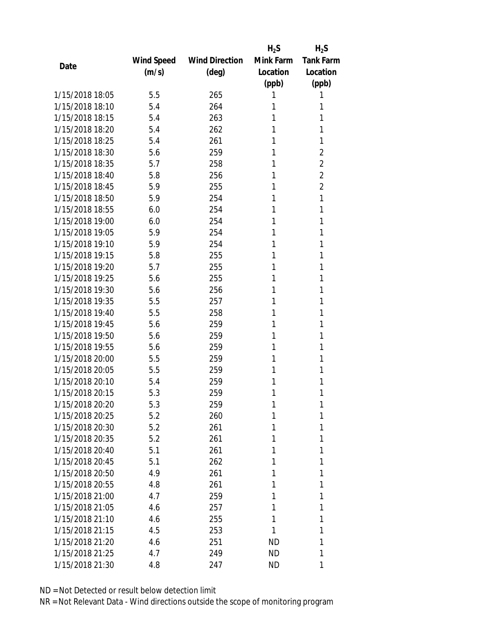|                 |            |                       | $H_2S$    | $H_2S$           |
|-----------------|------------|-----------------------|-----------|------------------|
|                 | Wind Speed | <b>Wind Direction</b> | Mink Farm | <b>Tank Farm</b> |
| Date            | (m/s)      | $(\text{deg})$        | Location  | Location         |
|                 |            |                       | (ppb)     | (ppb)            |
| 1/15/2018 18:05 | 5.5        | 265                   | 1         | 1                |
| 1/15/2018 18:10 | 5.4        | 264                   | 1         | 1                |
| 1/15/2018 18:15 | 5.4        | 263                   | 1         | 1                |
| 1/15/2018 18:20 | 5.4        | 262                   | 1         | 1                |
| 1/15/2018 18:25 | 5.4        | 261                   | 1         | 1                |
| 1/15/2018 18:30 | 5.6        | 259                   | 1         | 2                |
| 1/15/2018 18:35 | 5.7        | 258                   | 1         | $\overline{2}$   |
| 1/15/2018 18:40 | 5.8        | 256                   | 1         | $\overline{2}$   |
| 1/15/2018 18:45 | 5.9        | 255                   | 1         | $\overline{2}$   |
| 1/15/2018 18:50 | 5.9        | 254                   | 1         | 1                |
| 1/15/2018 18:55 | 6.0        | 254                   | 1         | 1                |
| 1/15/2018 19:00 | 6.0        | 254                   | 1         | 1                |
| 1/15/2018 19:05 | 5.9        | 254                   | 1         | 1                |
| 1/15/2018 19:10 | 5.9        | 254                   | 1         | 1                |
| 1/15/2018 19:15 | 5.8        | 255                   | 1         | 1                |
| 1/15/2018 19:20 | 5.7        | 255                   | 1         | 1                |
| 1/15/2018 19:25 | 5.6        | 255                   | 1         | 1                |
| 1/15/2018 19:30 | 5.6        | 256                   | 1         | 1                |
| 1/15/2018 19:35 | 5.5        | 257                   | 1         | 1                |
| 1/15/2018 19:40 | 5.5        | 258                   | 1         | 1                |
| 1/15/2018 19:45 | 5.6        | 259                   | 1         | 1                |
| 1/15/2018 19:50 | 5.6        | 259                   | 1         | 1                |
| 1/15/2018 19:55 | 5.6        | 259                   | 1         | 1                |
| 1/15/2018 20:00 | 5.5        | 259                   | 1         | 1                |
| 1/15/2018 20:05 | 5.5        | 259                   | 1         | 1                |
| 1/15/2018 20:10 | 5.4        | 259                   | 1         | 1                |
| 1/15/2018 20:15 | 5.3        | 259                   | 1         | 1                |
| 1/15/2018 20:20 | 5.3        | 259                   | 1         | 1                |
| 1/15/2018 20:25 | 5.2        | 260                   | 1         | 1                |
| 1/15/2018 20:30 | 5.2        | 261                   | 1         | 1                |
| 1/15/2018 20:35 | 5.2        | 261                   | 1         | 1                |
| 1/15/2018 20:40 | 5.1        | 261                   | 1         | 1                |
| 1/15/2018 20:45 | 5.1        | 262                   | 1         | 1                |
| 1/15/2018 20:50 | 4.9        | 261                   | 1         | 1                |
| 1/15/2018 20:55 | 4.8        | 261                   | 1         | 1                |
| 1/15/2018 21:00 | 4.7        | 259                   | 1         | 1                |
| 1/15/2018 21:05 | 4.6        | 257                   | 1         | 1                |
| 1/15/2018 21:10 | 4.6        | 255                   | 1         | 1                |
| 1/15/2018 21:15 | 4.5        | 253                   | 1         | 1                |
| 1/15/2018 21:20 | 4.6        | 251                   | ND        | 1                |
| 1/15/2018 21:25 | 4.7        | 249                   | ND        | 1                |
| 1/15/2018 21:30 | 4.8        | 247                   | ND        | 1                |
|                 |            |                       |           |                  |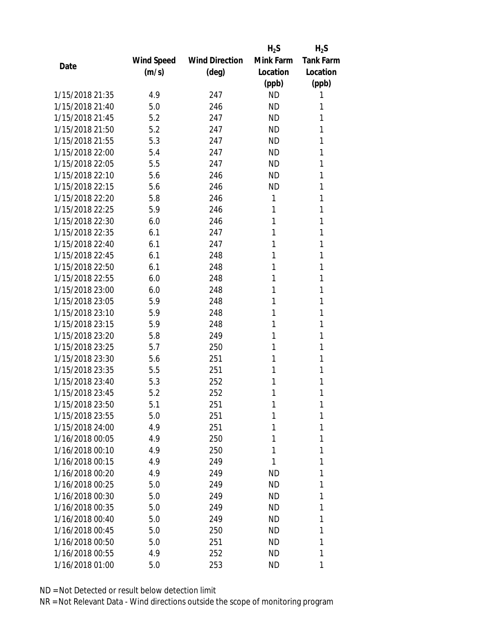|                 |            |                       | $H_2S$    | $H_2S$           |
|-----------------|------------|-----------------------|-----------|------------------|
|                 | Wind Speed | <b>Wind Direction</b> | Mink Farm | <b>Tank Farm</b> |
| Date            | (m/s)      | $(\text{deg})$        | Location  | Location         |
|                 |            |                       | (ppb)     | (ppb)            |
| 1/15/2018 21:35 | 4.9        | 247                   | <b>ND</b> | 1                |
| 1/15/2018 21:40 | 5.0        | 246                   | <b>ND</b> | 1                |
| 1/15/2018 21:45 | 5.2        | 247                   | <b>ND</b> | 1                |
| 1/15/2018 21:50 | 5.2        | 247                   | <b>ND</b> | 1                |
| 1/15/2018 21:55 | 5.3        | 247                   | <b>ND</b> | 1                |
| 1/15/2018 22:00 | 5.4        | 247                   | <b>ND</b> | 1                |
| 1/15/2018 22:05 | 5.5        | 247                   | <b>ND</b> | 1                |
| 1/15/2018 22:10 | 5.6        | 246                   | <b>ND</b> | 1                |
| 1/15/2018 22:15 | 5.6        | 246                   | <b>ND</b> | 1                |
| 1/15/2018 22:20 | 5.8        | 246                   | 1         | 1                |
| 1/15/2018 22:25 | 5.9        | 246                   | 1         | 1                |
| 1/15/2018 22:30 | 6.0        | 246                   | 1         | 1                |
| 1/15/2018 22:35 | 6.1        | 247                   | 1         | 1                |
| 1/15/2018 22:40 | 6.1        | 247                   | 1         | 1                |
| 1/15/2018 22:45 | 6.1        | 248                   | 1         | 1                |
| 1/15/2018 22:50 | 6.1        | 248                   | 1         | 1                |
| 1/15/2018 22:55 | 6.0        | 248                   | 1         | 1                |
| 1/15/2018 23:00 | 6.0        | 248                   | 1         | 1                |
| 1/15/2018 23:05 | 5.9        | 248                   | 1         | 1                |
| 1/15/2018 23:10 | 5.9        | 248                   | 1         | 1                |
| 1/15/2018 23:15 | 5.9        | 248                   | 1         | 1                |
| 1/15/2018 23:20 | 5.8        | 249                   | 1         | 1                |
| 1/15/2018 23:25 | 5.7        | 250                   | 1         | 1                |
| 1/15/2018 23:30 | 5.6        | 251                   | 1         | 1                |
| 1/15/2018 23:35 | 5.5        | 251                   | 1         | 1                |
| 1/15/2018 23:40 | 5.3        | 252                   | 1         | 1                |
| 1/15/2018 23:45 | 5.2        | 252                   | 1         | 1                |
| 1/15/2018 23:50 | 5.1        | 251                   | 1         | 1                |
| 1/15/2018 23:55 | 5.0        | 251                   | 1         | 1                |
| 1/15/2018 24:00 | 4.9        | 251                   | 1         | 1                |
| 1/16/2018 00:05 | 4.9        | 250                   | 1         | 1                |
| 1/16/2018 00:10 | 4.9        | 250                   | 1         | 1                |
| 1/16/2018 00:15 | 4.9        | 249                   | 1         | 1                |
| 1/16/2018 00:20 | 4.9        | 249                   | ND        | 1                |
| 1/16/2018 00:25 | 5.0        | 249                   | <b>ND</b> | 1                |
| 1/16/2018 00:30 | 5.0        | 249                   | ND        | 1                |
| 1/16/2018 00:35 | 5.0        | 249                   | ND        | 1                |
| 1/16/2018 00:40 | 5.0        | 249                   | ND        | 1                |
| 1/16/2018 00:45 | 5.0        | 250                   | <b>ND</b> | 1                |
| 1/16/2018 00:50 | 5.0        | 251                   | ND        | 1                |
| 1/16/2018 00:55 | 4.9        | 252                   | ND        | 1                |
| 1/16/2018 01:00 | 5.0        | 253                   | ND        | 1                |
|                 |            |                       |           |                  |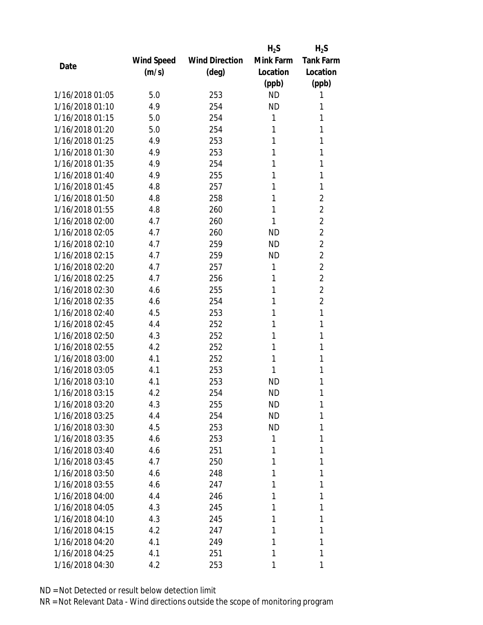|                 |                   |                       | $H_2S$    | $H_2S$           |
|-----------------|-------------------|-----------------------|-----------|------------------|
|                 | <b>Wind Speed</b> | <b>Wind Direction</b> | Mink Farm | <b>Tank Farm</b> |
| Date            | (m/s)             | $(\text{deg})$        | Location  | Location         |
|                 |                   |                       | (ppb)     | (ppb)            |
| 1/16/2018 01:05 | 5.0               | 253                   | <b>ND</b> | 1                |
| 1/16/2018 01:10 | 4.9               | 254                   | <b>ND</b> | 1                |
| 1/16/2018 01:15 | 5.0               | 254                   | 1         | 1                |
| 1/16/2018 01:20 | 5.0               | 254                   | 1         | 1                |
| 1/16/2018 01:25 | 4.9               | 253                   | 1         | 1                |
| 1/16/2018 01:30 | 4.9               | 253                   | 1         | 1                |
| 1/16/2018 01:35 | 4.9               | 254                   | 1         | 1                |
| 1/16/2018 01:40 | 4.9               | 255                   | 1         | 1                |
| 1/16/2018 01:45 | 4.8               | 257                   | 1         | 1                |
| 1/16/2018 01:50 | 4.8               | 258                   | 1         | $\overline{2}$   |
| 1/16/2018 01:55 | 4.8               | 260                   | 1         | $\overline{2}$   |
| 1/16/2018 02:00 | 4.7               | 260                   | 1         | $\overline{2}$   |
| 1/16/2018 02:05 | 4.7               | 260                   | <b>ND</b> | $\overline{2}$   |
| 1/16/2018 02:10 | 4.7               | 259                   | <b>ND</b> | $\overline{2}$   |
| 1/16/2018 02:15 | 4.7               | 259                   | <b>ND</b> | $\overline{2}$   |
| 1/16/2018 02:20 | 4.7               | 257                   | 1         | $\overline{2}$   |
| 1/16/2018 02:25 | 4.7               | 256                   | 1         | $\overline{2}$   |
| 1/16/2018 02:30 | 4.6               | 255                   | 1         | $\overline{2}$   |
| 1/16/2018 02:35 | 4.6               | 254                   | 1         | $\overline{2}$   |
| 1/16/2018 02:40 | 4.5               | 253                   | 1         | 1                |
| 1/16/2018 02:45 | 4.4               | 252                   | 1         | 1                |
| 1/16/2018 02:50 | 4.3               | 252                   | 1         | 1                |
| 1/16/2018 02:55 | 4.2               | 252                   | 1         | 1                |
| 1/16/2018 03:00 | 4.1               | 252                   | 1         | 1                |
| 1/16/2018 03:05 | 4.1               | 253                   | 1         | 1                |
| 1/16/2018 03:10 | 4.1               | 253                   | <b>ND</b> | 1                |
| 1/16/2018 03:15 | 4.2               | 254                   | <b>ND</b> | 1                |
| 1/16/2018 03:20 | 4.3               | 255                   | ND        | 1                |
| 1/16/2018 03:25 | 4.4               | 254                   | <b>ND</b> | 1                |
| 1/16/2018 03:30 | 4.5               | 253                   | ND        | 1                |
| 1/16/2018 03:35 | 4.6               | 253                   | 1         | 1                |
| 1/16/2018 03:40 | 4.6               | 251                   | 1         | 1                |
| 1/16/2018 03:45 | 4.7               | 250                   | 1         | 1                |
| 1/16/2018 03:50 | 4.6               | 248                   | 1         | 1                |
| 1/16/2018 03:55 | 4.6               | 247                   | 1         | 1                |
| 1/16/2018 04:00 | 4.4               | 246                   | 1         | 1                |
| 1/16/2018 04:05 | 4.3               | 245                   | 1         | 1                |
| 1/16/2018 04:10 | 4.3               | 245                   | 1         | 1                |
| 1/16/2018 04:15 | 4.2               | 247                   | 1         | 1                |
| 1/16/2018 04:20 | 4.1               | 249                   | 1         | 1                |
| 1/16/2018 04:25 | 4.1               | 251                   | 1         | 1                |
| 1/16/2018 04:30 | 4.2               | 253                   | 1         | 1                |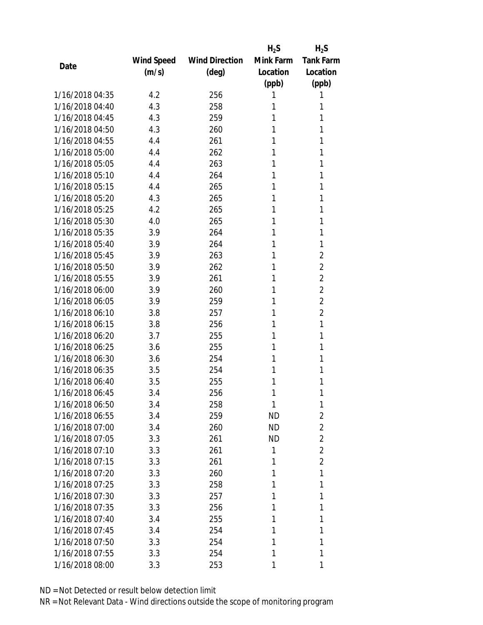|                 |            |                       | $H_2S$    | $H_2S$           |
|-----------------|------------|-----------------------|-----------|------------------|
|                 | Wind Speed | <b>Wind Direction</b> | Mink Farm | <b>Tank Farm</b> |
| Date            | (m/s)      | $(\text{deg})$        | Location  | Location         |
|                 |            |                       | (ppb)     | (ppb)            |
| 1/16/2018 04:35 | 4.2        | 256                   | 1         | 1                |
| 1/16/2018 04:40 | 4.3        | 258                   | 1         | 1                |
| 1/16/2018 04:45 | 4.3        | 259                   | 1         | 1                |
| 1/16/2018 04:50 | 4.3        | 260                   | 1         | 1                |
| 1/16/2018 04:55 | 4.4        | 261                   | 1         | 1                |
| 1/16/2018 05:00 | 4.4        | 262                   | 1         | 1                |
| 1/16/2018 05:05 | 4.4        | 263                   | 1         | 1                |
| 1/16/2018 05:10 | 4.4        | 264                   | 1         | 1                |
| 1/16/2018 05:15 | 4.4        | 265                   | 1         | 1                |
| 1/16/2018 05:20 | 4.3        | 265                   | 1         | 1                |
| 1/16/2018 05:25 | 4.2        | 265                   | 1         | 1                |
| 1/16/2018 05:30 | 4.0        | 265                   | 1         | 1                |
| 1/16/2018 05:35 | 3.9        | 264                   | 1         | 1                |
| 1/16/2018 05:40 | 3.9        | 264                   | 1         | 1                |
| 1/16/2018 05:45 | 3.9        | 263                   | 1         | $\overline{2}$   |
| 1/16/2018 05:50 | 3.9        | 262                   | 1         | $\overline{2}$   |
| 1/16/2018 05:55 | 3.9        | 261                   | 1         | $\overline{2}$   |
| 1/16/2018 06:00 | 3.9        | 260                   | 1         | $\overline{2}$   |
| 1/16/2018 06:05 | 3.9        | 259                   | 1         | $\overline{2}$   |
| 1/16/2018 06:10 | 3.8        | 257                   | 1         | $\overline{2}$   |
| 1/16/2018 06:15 | 3.8        | 256                   | 1         | 1                |
| 1/16/2018 06:20 | 3.7        | 255                   | 1         | 1                |
| 1/16/2018 06:25 | 3.6        | 255                   | 1         | 1                |
| 1/16/2018 06:30 | 3.6        | 254                   | 1         | 1                |
| 1/16/2018 06:35 | 3.5        | 254                   | 1         | 1                |
| 1/16/2018 06:40 | 3.5        | 255                   | 1         | 1                |
| 1/16/2018 06:45 | 3.4        | 256                   | 1         | 1                |
| 1/16/2018 06:50 | 3.4        | 258                   | 1         | 1                |
| 1/16/2018 06:55 | 3.4        | 259                   | <b>ND</b> | $\overline{2}$   |
| 1/16/2018 07:00 | 3.4        | 260                   | ND        | $\overline{2}$   |
| 1/16/2018 07:05 | 3.3        | 261                   | <b>ND</b> | $\overline{2}$   |
| 1/16/2018 07:10 | 3.3        | 261                   | 1         | $\overline{2}$   |
| 1/16/2018 07:15 | 3.3        | 261                   | 1         | $\overline{2}$   |
| 1/16/2018 07:20 | 3.3        | 260                   | 1         | 1                |
| 1/16/2018 07:25 | 3.3        | 258                   | 1         | 1                |
| 1/16/2018 07:30 | 3.3        | 257                   | 1         | 1                |
| 1/16/2018 07:35 | 3.3        | 256                   | 1         | 1                |
| 1/16/2018 07:40 | 3.4        | 255                   | 1         | 1                |
| 1/16/2018 07:45 | 3.4        | 254                   | 1         | 1                |
| 1/16/2018 07:50 | 3.3        | 254                   | 1         | 1                |
| 1/16/2018 07:55 | 3.3        | 254                   | 1         | 1                |
| 1/16/2018 08:00 | 3.3        | 253                   | 1         | 1                |
|                 |            |                       |           |                  |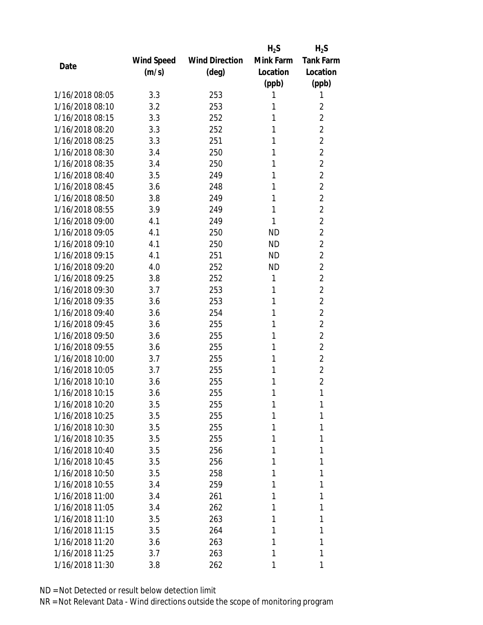|                 |            |                       | $H_2S$    | $H_2S$           |
|-----------------|------------|-----------------------|-----------|------------------|
|                 | Wind Speed | <b>Wind Direction</b> | Mink Farm | <b>Tank Farm</b> |
| Date            | (m/s)      | $(\text{deg})$        | Location  | Location         |
|                 |            |                       | (ppb)     | (ppb)            |
| 1/16/2018 08:05 | 3.3        | 253                   | 1         | 1                |
| 1/16/2018 08:10 | 3.2        | 253                   | 1         | 2                |
| 1/16/2018 08:15 | 3.3        | 252                   | 1         | $\overline{2}$   |
| 1/16/2018 08:20 | 3.3        | 252                   | 1         | $\overline{2}$   |
| 1/16/2018 08:25 | 3.3        | 251                   | 1         | $\overline{2}$   |
| 1/16/2018 08:30 | 3.4        | 250                   | 1         | $\overline{2}$   |
| 1/16/2018 08:35 | 3.4        | 250                   | 1         | $\overline{2}$   |
| 1/16/2018 08:40 | 3.5        | 249                   | 1         | $\overline{2}$   |
| 1/16/2018 08:45 | 3.6        | 248                   | 1         | $\overline{2}$   |
| 1/16/2018 08:50 | 3.8        | 249                   | 1         | $\overline{2}$   |
| 1/16/2018 08:55 | 3.9        | 249                   | 1         | $\overline{2}$   |
| 1/16/2018 09:00 | 4.1        | 249                   | 1         | $\overline{2}$   |
| 1/16/2018 09:05 | 4.1        | 250                   | <b>ND</b> | $\overline{2}$   |
| 1/16/2018 09:10 | 4.1        | 250                   | <b>ND</b> | $\overline{2}$   |
| 1/16/2018 09:15 | 4.1        | 251                   | <b>ND</b> | $\overline{2}$   |
| 1/16/2018 09:20 | 4.0        | 252                   | <b>ND</b> | $\overline{2}$   |
| 1/16/2018 09:25 | 3.8        | 252                   | 1         | $\overline{2}$   |
| 1/16/2018 09:30 | 3.7        | 253                   | 1         | $\overline{2}$   |
| 1/16/2018 09:35 | 3.6        | 253                   | 1         | $\overline{2}$   |
| 1/16/2018 09:40 | 3.6        | 254                   | 1         | $\overline{2}$   |
| 1/16/2018 09:45 | 3.6        | 255                   | 1         | $\overline{2}$   |
| 1/16/2018 09:50 | 3.6        | 255                   | 1         | $\overline{2}$   |
| 1/16/2018 09:55 | 3.6        | 255                   | 1         | $\overline{2}$   |
| 1/16/2018 10:00 | 3.7        | 255                   | 1         | $\overline{2}$   |
| 1/16/2018 10:05 | 3.7        | 255                   | 1         | $\overline{2}$   |
| 1/16/2018 10:10 | 3.6        | 255                   | 1         | $\overline{2}$   |
| 1/16/2018 10:15 | 3.6        | 255                   | 1         | 1                |
| 1/16/2018 10:20 | 3.5        | 255                   | 1         | 1                |
| 1/16/2018 10:25 | 3.5        | 255                   | 1         | 1                |
| 1/16/2018 10:30 | 3.5        | 255                   | 1         | 1                |
| 1/16/2018 10:35 | 3.5        | 255                   | 1         | 1                |
| 1/16/2018 10:40 | 3.5        | 256                   | 1         | 1                |
| 1/16/2018 10:45 | 3.5        | 256                   | 1         | 1                |
| 1/16/2018 10:50 | 3.5        | 258                   | 1         | 1                |
| 1/16/2018 10:55 | 3.4        | 259                   | 1         | 1                |
| 1/16/2018 11:00 | 3.4        | 261                   | 1         | 1                |
| 1/16/2018 11:05 | 3.4        | 262                   | 1         | 1                |
| 1/16/2018 11:10 | 3.5        | 263                   | 1         | 1                |
| 1/16/2018 11:15 | 3.5        | 264                   | 1         | 1                |
| 1/16/2018 11:20 | 3.6        | 263                   | 1         | 1                |
| 1/16/2018 11:25 | 3.7        | 263                   | 1         | 1                |
| 1/16/2018 11:30 | 3.8        | 262                   | 1         | 1                |
|                 |            |                       |           |                  |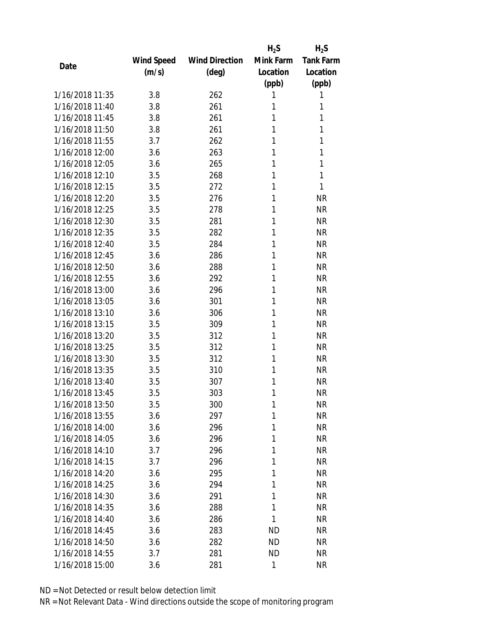|                 |            |                       | $H_2S$    | $H_2S$           |
|-----------------|------------|-----------------------|-----------|------------------|
|                 | Wind Speed | <b>Wind Direction</b> | Mink Farm | <b>Tank Farm</b> |
| Date            | (m/s)      | $(\text{deg})$        | Location  | Location         |
|                 |            |                       | (ppb)     | (ppb)            |
| 1/16/2018 11:35 | 3.8        | 262                   | 1         | 1                |
| 1/16/2018 11:40 | 3.8        | 261                   | 1         | 1                |
| 1/16/2018 11:45 | 3.8        | 261                   | 1         | 1                |
| 1/16/2018 11:50 | 3.8        | 261                   | 1         | 1                |
| 1/16/2018 11:55 | 3.7        | 262                   | 1         | 1                |
| 1/16/2018 12:00 | 3.6        | 263                   | 1         | 1                |
| 1/16/2018 12:05 | 3.6        | 265                   | 1         | 1                |
| 1/16/2018 12:10 | 3.5        | 268                   | 1         | 1                |
| 1/16/2018 12:15 | 3.5        | 272                   | 1         | 1                |
| 1/16/2018 12:20 | 3.5        | 276                   | 1         | <b>NR</b>        |
| 1/16/2018 12:25 | 3.5        | 278                   | 1         | <b>NR</b>        |
| 1/16/2018 12:30 | 3.5        | 281                   | 1         | <b>NR</b>        |
| 1/16/2018 12:35 | 3.5        | 282                   | 1         | <b>NR</b>        |
| 1/16/2018 12:40 | 3.5        | 284                   | 1         | <b>NR</b>        |
| 1/16/2018 12:45 | 3.6        | 286                   | 1         | <b>NR</b>        |
| 1/16/2018 12:50 | 3.6        | 288                   | 1         | <b>NR</b>        |
| 1/16/2018 12:55 | 3.6        | 292                   | 1         | <b>NR</b>        |
| 1/16/2018 13:00 | 3.6        | 296                   | 1         | <b>NR</b>        |
| 1/16/2018 13:05 | 3.6        | 301                   | 1         | <b>NR</b>        |
| 1/16/2018 13:10 | 3.6        | 306                   | 1         | <b>NR</b>        |
| 1/16/2018 13:15 | 3.5        | 309                   | 1         | <b>NR</b>        |
| 1/16/2018 13:20 | 3.5        | 312                   | 1         | <b>NR</b>        |
| 1/16/2018 13:25 | 3.5        | 312                   | 1         | <b>NR</b>        |
| 1/16/2018 13:30 | 3.5        | 312                   | 1         | <b>NR</b>        |
| 1/16/2018 13:35 | 3.5        | 310                   | 1         | <b>NR</b>        |
| 1/16/2018 13:40 | 3.5        | 307                   | 1         | <b>NR</b>        |
| 1/16/2018 13:45 | 3.5        | 303                   | 1         | <b>NR</b>        |
| 1/16/2018 13:50 | 3.5        | 300                   | 1         | ΝR               |
| 1/16/2018 13:55 | 3.6        | 297                   | 1         | <b>NR</b>        |
| 1/16/2018 14:00 | 3.6        | 296                   | 1         | <b>NR</b>        |
| 1/16/2018 14:05 | 3.6        | 296                   | 1         | <b>NR</b>        |
| 1/16/2018 14:10 | 3.7        | 296                   | 1         | <b>NR</b>        |
| 1/16/2018 14:15 | 3.7        | 296                   | 1         | <b>NR</b>        |
| 1/16/2018 14:20 | 3.6        | 295                   | 1         | <b>NR</b>        |
| 1/16/2018 14:25 | 3.6        | 294                   | 1         | <b>NR</b>        |
| 1/16/2018 14:30 | 3.6        | 291                   | 1         | <b>NR</b>        |
| 1/16/2018 14:35 | 3.6        | 288                   | 1         | <b>NR</b>        |
| 1/16/2018 14:40 | 3.6        | 286                   | 1         | <b>NR</b>        |
| 1/16/2018 14:45 | 3.6        | 283                   | <b>ND</b> | <b>NR</b>        |
| 1/16/2018 14:50 | 3.6        | 282                   | ND        | <b>NR</b>        |
| 1/16/2018 14:55 | 3.7        | 281                   | ND        | <b>NR</b>        |
| 1/16/2018 15:00 | 3.6        | 281                   | 1         | <b>NR</b>        |
|                 |            |                       |           |                  |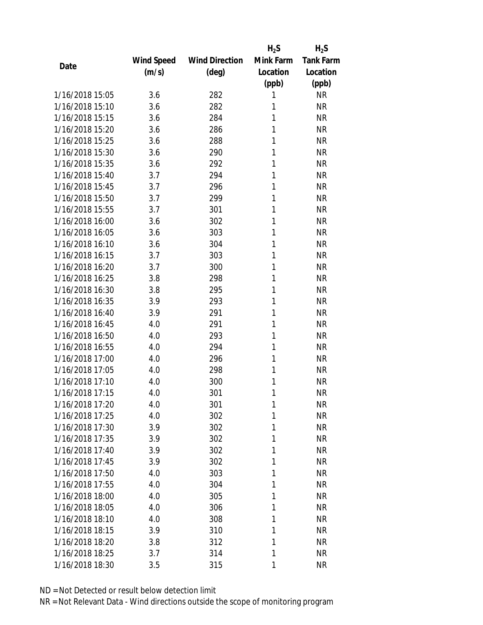|                 |            |                       | $H_2S$    | $H_2S$           |
|-----------------|------------|-----------------------|-----------|------------------|
|                 | Wind Speed | <b>Wind Direction</b> | Mink Farm | <b>Tank Farm</b> |
| Date            | (m/s)      | (deg)                 | Location  | Location         |
|                 |            |                       | (ppb)     | (ppb)            |
| 1/16/2018 15:05 | 3.6        | 282                   | 1         | <b>NR</b>        |
| 1/16/2018 15:10 | 3.6        | 282                   | 1         | <b>NR</b>        |
| 1/16/2018 15:15 | 3.6        | 284                   | 1         | <b>NR</b>        |
| 1/16/2018 15:20 | 3.6        | 286                   | 1         | <b>NR</b>        |
| 1/16/2018 15:25 | 3.6        | 288                   | 1         | <b>NR</b>        |
| 1/16/2018 15:30 | 3.6        | 290                   | 1         | <b>NR</b>        |
| 1/16/2018 15:35 | 3.6        | 292                   | 1         | <b>NR</b>        |
| 1/16/2018 15:40 | 3.7        | 294                   | 1         | <b>NR</b>        |
| 1/16/2018 15:45 | 3.7        | 296                   | 1         | <b>NR</b>        |
| 1/16/2018 15:50 | 3.7        | 299                   | 1         | <b>NR</b>        |
| 1/16/2018 15:55 | 3.7        | 301                   | 1         | <b>NR</b>        |
| 1/16/2018 16:00 | 3.6        | 302                   | 1         | <b>NR</b>        |
| 1/16/2018 16:05 | 3.6        | 303                   | 1         | <b>NR</b>        |
| 1/16/2018 16:10 | 3.6        | 304                   | 1         | <b>NR</b>        |
| 1/16/2018 16:15 | 3.7        | 303                   | 1         | <b>NR</b>        |
| 1/16/2018 16:20 | 3.7        | 300                   | 1         | <b>NR</b>        |
| 1/16/2018 16:25 | 3.8        | 298                   | 1         | <b>NR</b>        |
| 1/16/2018 16:30 | 3.8        | 295                   | 1         | <b>NR</b>        |
| 1/16/2018 16:35 | 3.9        | 293                   | 1         | <b>NR</b>        |
| 1/16/2018 16:40 | 3.9        | 291                   | 1         | <b>NR</b>        |
| 1/16/2018 16:45 | 4.0        | 291                   | 1         | <b>NR</b>        |
| 1/16/2018 16:50 | 4.0        | 293                   | 1         | <b>NR</b>        |
| 1/16/2018 16:55 | 4.0        | 294                   | 1         | <b>NR</b>        |
| 1/16/2018 17:00 | 4.0        | 296                   | 1         | <b>NR</b>        |
| 1/16/2018 17:05 | 4.0        | 298                   | 1         | <b>NR</b>        |
| 1/16/2018 17:10 | 4.0        | 300                   | 1         | <b>NR</b>        |
| 1/16/2018 17:15 | 4.0        | 301                   | 1         | <b>NR</b>        |
| 1/16/2018 17:20 | 4.0        | 301                   | 1         | <b>NR</b>        |
| 1/16/2018 17:25 | 4.0        | 302                   | 1         | <b>NR</b>        |
| 1/16/2018 17:30 | 3.9        | 302                   | 1         | <b>NR</b>        |
| 1/16/2018 17:35 | 3.9        | 302                   | 1         | <b>NR</b>        |
| 1/16/2018 17:40 | 3.9        | 302                   | 1         | <b>NR</b>        |
| 1/16/2018 17:45 | 3.9        | 302                   | 1         | <b>NR</b>        |
| 1/16/2018 17:50 | 4.0        | 303                   | 1         | <b>NR</b>        |
| 1/16/2018 17:55 | 4.0        | 304                   | 1         | <b>NR</b>        |
| 1/16/2018 18:00 | 4.0        | 305                   | 1         | <b>NR</b>        |
| 1/16/2018 18:05 | 4.0        | 306                   | 1         | <b>NR</b>        |
| 1/16/2018 18:10 | 4.0        | 308                   | 1         | <b>NR</b>        |
| 1/16/2018 18:15 | 3.9        | 310                   | 1         | NR               |
| 1/16/2018 18:20 | 3.8        | 312                   | 1         | <b>NR</b>        |
| 1/16/2018 18:25 | 3.7        | 314                   | 1         | <b>NR</b>        |
| 1/16/2018 18:30 | 3.5        | 315                   | 1         | <b>NR</b>        |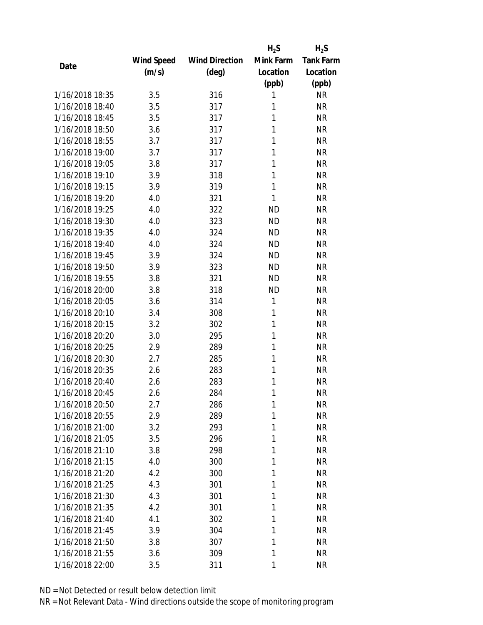|                 |            |                       | $H_2S$    | $H_2S$           |
|-----------------|------------|-----------------------|-----------|------------------|
|                 | Wind Speed | <b>Wind Direction</b> | Mink Farm | <b>Tank Farm</b> |
| Date            | (m/s)      | (deg)                 | Location  | Location         |
|                 |            |                       | (ppb)     | (ppb)            |
| 1/16/2018 18:35 | 3.5        | 316                   | 1         | <b>NR</b>        |
| 1/16/2018 18:40 | 3.5        | 317                   | 1         | <b>NR</b>        |
| 1/16/2018 18:45 | 3.5        | 317                   | 1         | <b>NR</b>        |
| 1/16/2018 18:50 | 3.6        | 317                   | 1         | <b>NR</b>        |
| 1/16/2018 18:55 | 3.7        | 317                   | 1         | <b>NR</b>        |
| 1/16/2018 19:00 | 3.7        | 317                   | 1         | <b>NR</b>        |
| 1/16/2018 19:05 | 3.8        | 317                   | 1         | <b>NR</b>        |
| 1/16/2018 19:10 | 3.9        | 318                   | 1         | <b>NR</b>        |
| 1/16/2018 19:15 | 3.9        | 319                   | 1         | <b>NR</b>        |
| 1/16/2018 19:20 | 4.0        | 321                   | 1         | <b>NR</b>        |
| 1/16/2018 19:25 | 4.0        | 322                   | <b>ND</b> | <b>NR</b>        |
| 1/16/2018 19:30 | 4.0        | 323                   | <b>ND</b> | <b>NR</b>        |
| 1/16/2018 19:35 | 4.0        | 324                   | <b>ND</b> | <b>NR</b>        |
| 1/16/2018 19:40 | 4.0        | 324                   | <b>ND</b> | <b>NR</b>        |
| 1/16/2018 19:45 | 3.9        | 324                   | <b>ND</b> | <b>NR</b>        |
| 1/16/2018 19:50 | 3.9        | 323                   | <b>ND</b> | <b>NR</b>        |
| 1/16/2018 19:55 | 3.8        | 321                   | <b>ND</b> | <b>NR</b>        |
| 1/16/2018 20:00 | 3.8        | 318                   | <b>ND</b> | <b>NR</b>        |
| 1/16/2018 20:05 | 3.6        | 314                   | 1         | <b>NR</b>        |
| 1/16/2018 20:10 | 3.4        | 308                   | 1         | <b>NR</b>        |
| 1/16/2018 20:15 | 3.2        | 302                   | 1         | <b>NR</b>        |
| 1/16/2018 20:20 | 3.0        | 295                   | 1         | <b>NR</b>        |
| 1/16/2018 20:25 | 2.9        | 289                   | 1         | <b>NR</b>        |
| 1/16/2018 20:30 | 2.7        | 285                   | 1         | <b>NR</b>        |
| 1/16/2018 20:35 | 2.6        | 283                   | 1         | <b>NR</b>        |
| 1/16/2018 20:40 | 2.6        | 283                   | 1         | <b>NR</b>        |
| 1/16/2018 20:45 | 2.6        | 284                   | 1         | <b>NR</b>        |
| 1/16/2018 20:50 | 2.7        | 286                   | 1         | <b>NR</b>        |
| 1/16/2018 20:55 | 2.9        | 289                   | 1         | <b>NR</b>        |
| 1/16/2018 21:00 | 3.2        | 293                   | 1         | <b>NR</b>        |
| 1/16/2018 21:05 | 3.5        | 296                   | 1         | <b>NR</b>        |
| 1/16/2018 21:10 | 3.8        | 298                   | 1         | <b>NR</b>        |
| 1/16/2018 21:15 | 4.0        | 300                   | 1         | <b>NR</b>        |
| 1/16/2018 21:20 | 4.2        | 300                   | 1         | <b>NR</b>        |
| 1/16/2018 21:25 | 4.3        | 301                   | 1         | <b>NR</b>        |
| 1/16/2018 21:30 | 4.3        | 301                   | 1         | <b>NR</b>        |
| 1/16/2018 21:35 | 4.2        | 301                   | 1         | <b>NR</b>        |
| 1/16/2018 21:40 | 4.1        | 302                   | 1         | <b>NR</b>        |
| 1/16/2018 21:45 | 3.9        | 304                   | 1         | <b>NR</b>        |
| 1/16/2018 21:50 | 3.8        | 307                   | 1         | <b>NR</b>        |
| 1/16/2018 21:55 | 3.6        | 309                   | 1         | <b>NR</b>        |
| 1/16/2018 22:00 | 3.5        | 311                   | 1         | <b>NR</b>        |
|                 |            |                       |           |                  |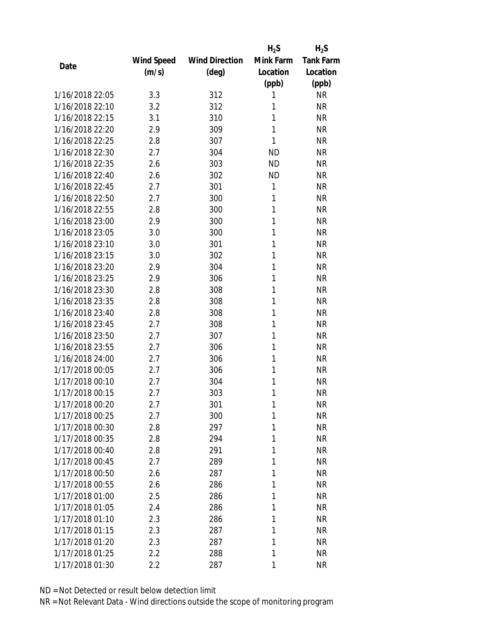|                 |            |                       | $H_2S$    | $H_2S$           |
|-----------------|------------|-----------------------|-----------|------------------|
|                 | Wind Speed | <b>Wind Direction</b> | Mink Farm | <b>Tank Farm</b> |
| Date            | (m/s)      | $(\text{deg})$        | Location  | Location         |
|                 |            |                       | (ppb)     | (ppb)            |
| 1/16/2018 22:05 | 3.3        | 312                   | 1         | <b>NR</b>        |
| 1/16/2018 22:10 | 3.2        | 312                   | 1         | <b>NR</b>        |
| 1/16/2018 22:15 | 3.1        | 310                   | 1         | <b>NR</b>        |
| 1/16/2018 22:20 | 2.9        | 309                   | 1         | <b>NR</b>        |
| 1/16/2018 22:25 | 2.8        | 307                   | 1         | <b>NR</b>        |
| 1/16/2018 22:30 | 2.7        | 304                   | <b>ND</b> | <b>NR</b>        |
| 1/16/2018 22:35 | 2.6        | 303                   | <b>ND</b> | <b>NR</b>        |
| 1/16/2018 22:40 | 2.6        | 302                   | <b>ND</b> | <b>NR</b>        |
| 1/16/2018 22:45 | 2.7        | 301                   | 1         | <b>NR</b>        |
| 1/16/2018 22:50 | 2.7        | 300                   | 1         | <b>NR</b>        |
| 1/16/2018 22:55 | 2.8        | 300                   | 1         | <b>NR</b>        |
| 1/16/2018 23:00 | 2.9        | 300                   | 1         | <b>NR</b>        |
| 1/16/2018 23:05 | 3.0        | 300                   | 1         | <b>NR</b>        |
| 1/16/2018 23:10 | 3.0        | 301                   | 1         | <b>NR</b>        |
| 1/16/2018 23:15 | 3.0        | 302                   | 1         | <b>NR</b>        |
| 1/16/2018 23:20 | 2.9        | 304                   | 1         | <b>NR</b>        |
| 1/16/2018 23:25 | 2.9        | 306                   | 1         | <b>NR</b>        |
| 1/16/2018 23:30 | 2.8        | 308                   | 1         | <b>NR</b>        |
| 1/16/2018 23:35 | 2.8        | 308                   | 1         | <b>NR</b>        |
| 1/16/2018 23:40 | 2.8        | 308                   | 1         | <b>NR</b>        |
| 1/16/2018 23:45 | 2.7        | 308                   | 1         | <b>NR</b>        |
| 1/16/2018 23:50 | 2.7        | 307                   | 1         | <b>NR</b>        |
| 1/16/2018 23:55 | 2.7        | 306                   | 1         | <b>NR</b>        |
| 1/16/2018 24:00 | 2.7        | 306                   | 1         | <b>NR</b>        |
| 1/17/2018 00:05 | 2.7        | 306                   | 1         | <b>NR</b>        |
| 1/17/2018 00:10 | 2.7        | 304                   | 1         | <b>NR</b>        |
| 1/17/2018 00:15 | 2.7        | 303                   | 1         | <b>NR</b>        |
| 1/17/2018 00:20 | 2.7        | 301                   | 1         | ΝR               |
| 1/17/2018 00:25 | 2.7        | 300                   | 1         | <b>NR</b>        |
| 1/17/2018 00:30 | 2.8        | 297                   | 1         | <b>NR</b>        |
| 1/17/2018 00:35 | 2.8        | 294                   | 1         | <b>NR</b>        |
| 1/17/2018 00:40 | 2.8        | 291                   | 1         | <b>NR</b>        |
| 1/17/2018 00:45 | 2.7        | 289                   | 1         | <b>NR</b>        |
| 1/17/2018 00:50 | 2.6        | 287                   | 1         | <b>NR</b>        |
| 1/17/2018 00:55 | 2.6        | 286                   | 1         | <b>NR</b>        |
| 1/17/2018 01:00 | 2.5        | 286                   | 1         | <b>NR</b>        |
| 1/17/2018 01:05 | 2.4        | 286                   | 1         | <b>NR</b>        |
| 1/17/2018 01:10 | 2.3        | 286                   | 1         | <b>NR</b>        |
| 1/17/2018 01:15 | 2.3        | 287                   | 1         | <b>NR</b>        |
| 1/17/2018 01:20 | 2.3        | 287                   | 1         | <b>NR</b>        |
| 1/17/2018 01:25 | 2.2        | 288                   | 1         | <b>NR</b>        |
| 1/17/2018 01:30 | 2.2        | 287                   | 1         | <b>NR</b>        |
|                 |            |                       |           |                  |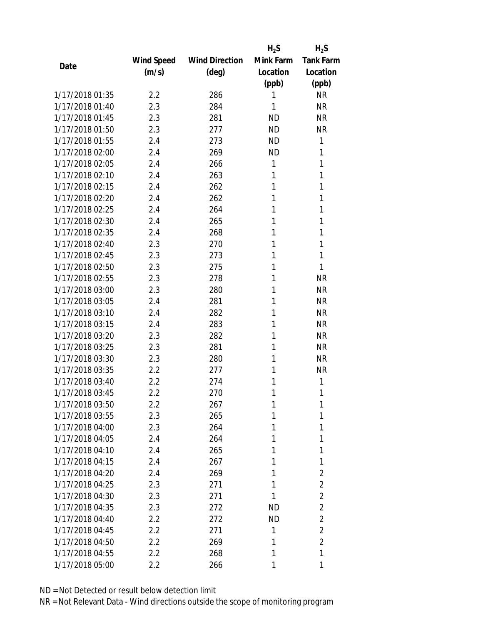|                 |            |                       | $H_2S$    | $H_2S$           |
|-----------------|------------|-----------------------|-----------|------------------|
|                 | Wind Speed | <b>Wind Direction</b> | Mink Farm | <b>Tank Farm</b> |
| Date            | (m/s)      | $(\text{deg})$        | Location  | Location         |
|                 |            |                       | (ppb)     | (ppb)            |
| 1/17/2018 01:35 | 2.2        | 286                   | 1         | <b>NR</b>        |
| 1/17/2018 01:40 | 2.3        | 284                   | 1         | <b>NR</b>        |
| 1/17/2018 01:45 | 2.3        | 281                   | <b>ND</b> | <b>NR</b>        |
| 1/17/2018 01:50 | 2.3        | 277                   | <b>ND</b> | <b>NR</b>        |
| 1/17/2018 01:55 | 2.4        | 273                   | <b>ND</b> | 1                |
| 1/17/2018 02:00 | 2.4        | 269                   | <b>ND</b> | 1                |
| 1/17/2018 02:05 | 2.4        | 266                   | 1         | 1                |
| 1/17/2018 02:10 | 2.4        | 263                   | 1         | 1                |
| 1/17/2018 02:15 | 2.4        | 262                   | 1         | 1                |
| 1/17/2018 02:20 | 2.4        | 262                   | 1         | 1                |
| 1/17/2018 02:25 | 2.4        | 264                   | 1         | 1                |
| 1/17/2018 02:30 | 2.4        | 265                   | 1         | 1                |
| 1/17/2018 02:35 | 2.4        | 268                   | 1         | 1                |
| 1/17/2018 02:40 | 2.3        | 270                   | 1         | 1                |
| 1/17/2018 02:45 | 2.3        | 273                   | 1         | 1                |
| 1/17/2018 02:50 | 2.3        | 275                   | 1         | 1                |
| 1/17/2018 02:55 | 2.3        | 278                   | 1         | <b>NR</b>        |
| 1/17/2018 03:00 | 2.3        | 280                   | 1         | <b>NR</b>        |
| 1/17/2018 03:05 | 2.4        | 281                   | 1         | <b>NR</b>        |
| 1/17/2018 03:10 | 2.4        | 282                   | 1         | <b>NR</b>        |
| 1/17/2018 03:15 | 2.4        | 283                   | 1         | <b>NR</b>        |
| 1/17/2018 03:20 | 2.3        | 282                   | 1         | <b>NR</b>        |
| 1/17/2018 03:25 | 2.3        | 281                   | 1         | <b>NR</b>        |
| 1/17/2018 03:30 | 2.3        | 280                   | 1         | <b>NR</b>        |
| 1/17/2018 03:35 | 2.2        | 277                   | 1         | <b>NR</b>        |
| 1/17/2018 03:40 | 2.2        | 274                   | 1         | 1                |
| 1/17/2018 03:45 | 2.2        | 270                   | 1         | 1                |
| 1/17/2018 03:50 | 2.2        | 267                   | 1         | 1                |
| 1/17/2018 03:55 | 2.3        | 265                   | 1         | 1                |
| 1/17/2018 04:00 | 2.3        | 264                   | 1         | 1                |
| 1/17/2018 04:05 | 2.4        | 264                   | 1         | 1                |
| 1/17/2018 04:10 | 2.4        | 265                   | 1         | 1                |
| 1/17/2018 04:15 | 2.4        | 267                   | 1         | 1                |
| 1/17/2018 04:20 | 2.4        | 269                   | 1         | 2                |
| 1/17/2018 04:25 | 2.3        | 271                   | 1         | $\overline{2}$   |
| 1/17/2018 04:30 | 2.3        | 271                   | 1         | $\overline{2}$   |
| 1/17/2018 04:35 | 2.3        | 272                   | ND        | $\overline{2}$   |
| 1/17/2018 04:40 | 2.2        | 272                   | ND.       | $\overline{2}$   |
| 1/17/2018 04:45 | 2.2        | 271                   | 1         | $\overline{2}$   |
| 1/17/2018 04:50 | 2.2        | 269                   | 1         | $\overline{2}$   |
| 1/17/2018 04:55 | 2.2        | 268                   | 1         | 1                |
| 1/17/2018 05:00 | 2.2        | 266                   | 1         | 1                |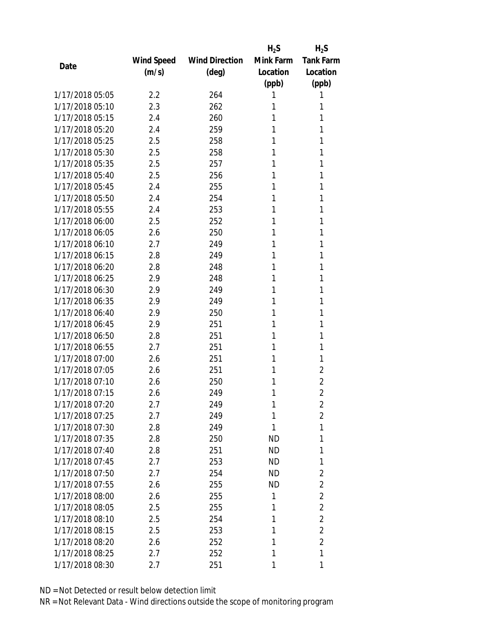|                 |            |                       | $H_2S$    | $H_2S$           |
|-----------------|------------|-----------------------|-----------|------------------|
|                 | Wind Speed | <b>Wind Direction</b> | Mink Farm | <b>Tank Farm</b> |
| Date            | (m/s)      | $(\text{deg})$        | Location  | Location         |
|                 |            |                       | (ppb)     | (ppb)            |
| 1/17/2018 05:05 | 2.2        | 264                   | 1         | 1                |
| 1/17/2018 05:10 | 2.3        | 262                   | 1         | 1                |
| 1/17/2018 05:15 | 2.4        | 260                   | 1         | 1                |
| 1/17/2018 05:20 | 2.4        | 259                   | 1         | 1                |
| 1/17/2018 05:25 | 2.5        | 258                   | 1         | 1                |
| 1/17/2018 05:30 | 2.5        | 258                   | 1         | 1                |
| 1/17/2018 05:35 | 2.5        | 257                   | 1         | 1                |
| 1/17/2018 05:40 | 2.5        | 256                   | 1         | 1                |
| 1/17/2018 05:45 | 2.4        | 255                   | 1         | 1                |
| 1/17/2018 05:50 | 2.4        | 254                   | 1         | 1                |
| 1/17/2018 05:55 | 2.4        | 253                   | 1         | 1                |
| 1/17/2018 06:00 | 2.5        | 252                   | 1         | 1                |
| 1/17/2018 06:05 | 2.6        | 250                   | 1         | 1                |
| 1/17/2018 06:10 | 2.7        | 249                   | 1         | 1                |
| 1/17/2018 06:15 | 2.8        | 249                   | 1         | 1                |
| 1/17/2018 06:20 | 2.8        | 248                   | 1         | 1                |
| 1/17/2018 06:25 | 2.9        | 248                   | 1         | 1                |
| 1/17/2018 06:30 | 2.9        | 249                   | 1         | 1                |
| 1/17/2018 06:35 | 2.9        | 249                   | 1         | 1                |
| 1/17/2018 06:40 | 2.9        | 250                   | 1         | 1                |
| 1/17/2018 06:45 | 2.9        | 251                   | 1         | 1                |
| 1/17/2018 06:50 | 2.8        | 251                   | 1         | 1                |
| 1/17/2018 06:55 | 2.7        | 251                   | 1         | 1                |
| 1/17/2018 07:00 | 2.6        | 251                   | 1         | 1                |
| 1/17/2018 07:05 | 2.6        | 251                   | 1         | 2                |
| 1/17/2018 07:10 | 2.6        | 250                   | 1         | $\overline{2}$   |
| 1/17/2018 07:15 | 2.6        | 249                   | 1         | $\overline{2}$   |
| 1/17/2018 07:20 | 2.7        | 249                   | 1         | $\overline{2}$   |
| 1/17/2018 07:25 | 2.7        | 249                   | 1         | $\overline{2}$   |
| 1/17/2018 07:30 | 2.8        | 249                   | 1         | $\mathbf{1}$     |
| 1/17/2018 07:35 | 2.8        | 250                   | <b>ND</b> | 1                |
| 1/17/2018 07:40 | 2.8        | 251                   | ND.       | 1                |
| 1/17/2018 07:45 | 2.7        | 253                   | ND        | 1                |
| 1/17/2018 07:50 | 2.7        | 254                   | <b>ND</b> | 2                |
| 1/17/2018 07:55 | 2.6        | 255                   | <b>ND</b> | $\overline{2}$   |
| 1/17/2018 08:00 | 2.6        | 255                   | 1         | $\overline{2}$   |
| 1/17/2018 08:05 | 2.5        | 255                   | 1         | $\overline{2}$   |
| 1/17/2018 08:10 | 2.5        | 254                   | 1         | $\overline{2}$   |
| 1/17/2018 08:15 | 2.5        | 253                   | 1         | $\overline{2}$   |
| 1/17/2018 08:20 | 2.6        | 252                   | 1         | $\overline{2}$   |
| 1/17/2018 08:25 | 2.7        | 252                   | 1         | 1                |
| 1/17/2018 08:30 | 2.7        | 251                   | 1         | 1                |
|                 |            |                       |           |                  |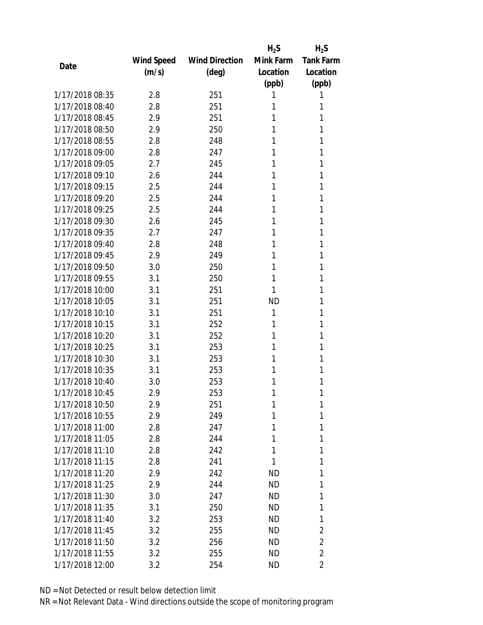|                 |            |                       | $H_2S$    | $H_2S$           |
|-----------------|------------|-----------------------|-----------|------------------|
|                 | Wind Speed | <b>Wind Direction</b> | Mink Farm | <b>Tank Farm</b> |
| Date            | (m/s)      | $(\text{deg})$        | Location  | Location         |
|                 |            |                       | (ppb)     | (ppb)            |
| 1/17/2018 08:35 | 2.8        | 251                   | 1         | 1                |
| 1/17/2018 08:40 | 2.8        | 251                   | 1         | 1                |
| 1/17/2018 08:45 | 2.9        | 251                   | 1         | 1                |
| 1/17/2018 08:50 | 2.9        | 250                   | 1         | 1                |
| 1/17/2018 08:55 | 2.8        | 248                   | 1         | 1                |
| 1/17/2018 09:00 | 2.8        | 247                   | 1         | 1                |
| 1/17/2018 09:05 | 2.7        | 245                   | 1         | 1                |
| 1/17/2018 09:10 | 2.6        | 244                   | 1         | 1                |
| 1/17/2018 09:15 | 2.5        | 244                   | 1         | 1                |
| 1/17/2018 09:20 | 2.5        | 244                   | 1         | 1                |
| 1/17/2018 09:25 | 2.5        | 244                   | 1         | 1                |
| 1/17/2018 09:30 | 2.6        | 245                   | 1         | 1                |
| 1/17/2018 09:35 | 2.7        | 247                   | 1         | 1                |
| 1/17/2018 09:40 | 2.8        | 248                   | 1         | 1                |
| 1/17/2018 09:45 | 2.9        | 249                   | 1         | 1                |
| 1/17/2018 09:50 | 3.0        | 250                   | 1         | 1                |
| 1/17/2018 09:55 | 3.1        | 250                   | 1         | 1                |
| 1/17/2018 10:00 | 3.1        | 251                   | 1         | 1                |
| 1/17/2018 10:05 | 3.1        | 251                   | <b>ND</b> | 1                |
| 1/17/2018 10:10 | 3.1        | 251                   | 1         | 1                |
| 1/17/2018 10:15 | 3.1        | 252                   | 1         | 1                |
| 1/17/2018 10:20 | 3.1        | 252                   | 1         | 1                |
| 1/17/2018 10:25 | 3.1        | 253                   | 1         | 1                |
| 1/17/2018 10:30 | 3.1        | 253                   | 1         | 1                |
| 1/17/2018 10:35 | 3.1        | 253                   | 1         | 1                |
| 1/17/2018 10:40 | 3.0        | 253                   | 1         | 1                |
| 1/17/2018 10:45 | 2.9        | 253                   | 1         | 1                |
| 1/17/2018 10:50 | 2.9        | 251                   | 1         | 1                |
| 1/17/2018 10:55 | 2.9        | 249                   | 1         | 1                |
| 1/17/2018 11:00 | 2.8        | 247                   | 1         | 1                |
| 1/17/2018 11:05 | 2.8        | 244                   | 1         | 1                |
| 1/17/2018 11:10 | 2.8        | 242                   | 1         | 1                |
| 1/17/2018 11:15 | 2.8        | 241                   | 1         | 1                |
| 1/17/2018 11:20 | 2.9        | 242                   | ND        | 1                |
| 1/17/2018 11:25 | 2.9        | 244                   | <b>ND</b> | 1                |
| 1/17/2018 11:30 | 3.0        | 247                   | ND        | 1                |
| 1/17/2018 11:35 | 3.1        | 250                   | ND        | 1                |
| 1/17/2018 11:40 | 3.2        | 253                   | ND        | 1                |
| 1/17/2018 11:45 | 3.2        | 255                   | ND.       | 2                |
| 1/17/2018 11:50 | 3.2        | 256                   | ND        | $\overline{2}$   |
| 1/17/2018 11:55 | 3.2        | 255                   | ND        | $\overline{2}$   |
| 1/17/2018 12:00 | 3.2        | 254                   | ND        | 2                |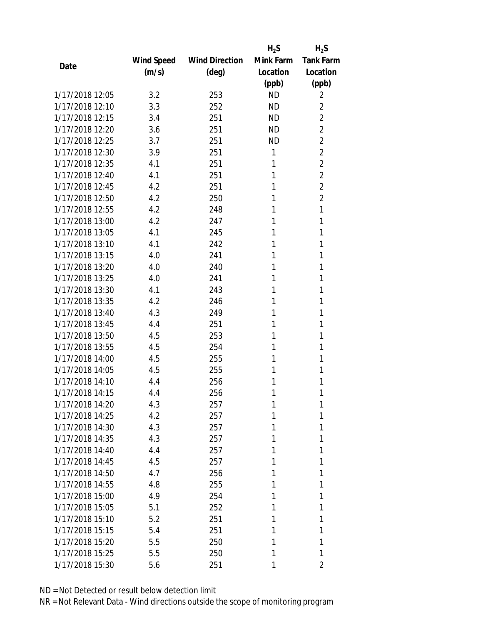|                 |            |                       | $H_2S$    | $H_2S$           |
|-----------------|------------|-----------------------|-----------|------------------|
|                 | Wind Speed | <b>Wind Direction</b> | Mink Farm | <b>Tank Farm</b> |
| Date            | (m/s)      | $(\text{deg})$        | Location  | Location         |
|                 |            |                       | (ppb)     | (ppb)            |
| 1/17/2018 12:05 | 3.2        | 253                   | <b>ND</b> | 2                |
| 1/17/2018 12:10 | 3.3        | 252                   | <b>ND</b> | 2                |
| 1/17/2018 12:15 | 3.4        | 251                   | <b>ND</b> | $\overline{2}$   |
| 1/17/2018 12:20 | 3.6        | 251                   | <b>ND</b> | $\overline{2}$   |
| 1/17/2018 12:25 | 3.7        | 251                   | <b>ND</b> | $\overline{2}$   |
| 1/17/2018 12:30 | 3.9        | 251                   | 1         | $\overline{2}$   |
| 1/17/2018 12:35 | 4.1        | 251                   | 1         | $\overline{2}$   |
| 1/17/2018 12:40 | 4.1        | 251                   | 1         | $\overline{2}$   |
| 1/17/2018 12:45 | 4.2        | 251                   | 1         | $\overline{2}$   |
| 1/17/2018 12:50 | 4.2        | 250                   | 1         | $\overline{2}$   |
| 1/17/2018 12:55 | 4.2        | 248                   | 1         | 1                |
| 1/17/2018 13:00 | 4.2        | 247                   | 1         | 1                |
| 1/17/2018 13:05 | 4.1        | 245                   | 1         | 1                |
| 1/17/2018 13:10 | 4.1        | 242                   | 1         | 1                |
| 1/17/2018 13:15 | 4.0        | 241                   | 1         | 1                |
| 1/17/2018 13:20 | 4.0        | 240                   | 1         | 1                |
| 1/17/2018 13:25 | 4.0        | 241                   | 1         | 1                |
| 1/17/2018 13:30 | 4.1        | 243                   | 1         | 1                |
| 1/17/2018 13:35 | 4.2        | 246                   | 1         | 1                |
| 1/17/2018 13:40 | 4.3        | 249                   | 1         | 1                |
| 1/17/2018 13:45 | 4.4        | 251                   | 1         | 1                |
| 1/17/2018 13:50 | 4.5        | 253                   | 1         | 1                |
| 1/17/2018 13:55 | 4.5        | 254                   | 1         | 1                |
| 1/17/2018 14:00 | 4.5        | 255                   | 1         | 1                |
| 1/17/2018 14:05 | 4.5        | 255                   | 1         | 1                |
| 1/17/2018 14:10 | 4.4        | 256                   | 1         | 1                |
| 1/17/2018 14:15 | 4.4        | 256                   | 1         | 1                |
| 1/17/2018 14:20 | 4.3        | 257                   | 1         | 1                |
| 1/17/2018 14:25 | 4.2        | 257                   | 1         | 1                |
| 1/17/2018 14:30 | 4.3        | 257                   | 1         | 1                |
| 1/17/2018 14:35 | 4.3        | 257                   | 1         | 1                |
| 1/17/2018 14:40 | 4.4        | 257                   | 1         | 1                |
| 1/17/2018 14:45 | 4.5        | 257                   | 1         | 1                |
| 1/17/2018 14:50 | 4.7        | 256                   | 1         | 1                |
| 1/17/2018 14:55 | 4.8        | 255                   | 1         | 1                |
| 1/17/2018 15:00 | 4.9        | 254                   | 1         | 1                |
| 1/17/2018 15:05 | 5.1        | 252                   | 1         | 1                |
| 1/17/2018 15:10 | 5.2        | 251                   | 1         | 1                |
| 1/17/2018 15:15 | 5.4        | 251                   | 1         | 1                |
| 1/17/2018 15:20 | 5.5        | 250                   | 1         | 1                |
| 1/17/2018 15:25 | 5.5        | 250                   | 1         | 1                |
| 1/17/2018 15:30 | 5.6        | 251                   | 1         | 2                |
|                 |            |                       |           |                  |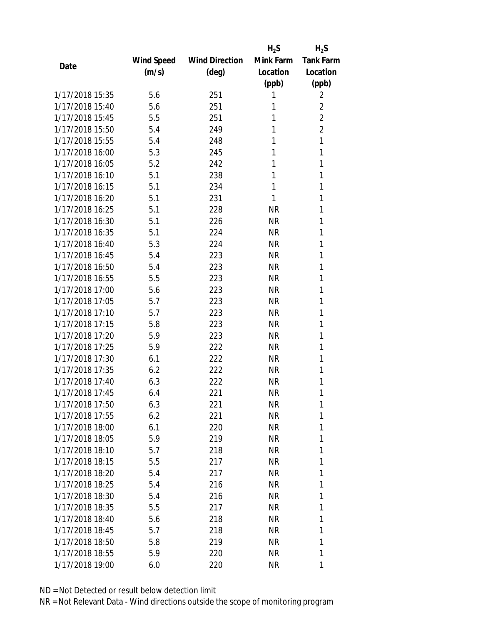|                 |            |                       | $H_2S$    | $H_2S$           |
|-----------------|------------|-----------------------|-----------|------------------|
|                 | Wind Speed | <b>Wind Direction</b> | Mink Farm | <b>Tank Farm</b> |
| Date            | (m/s)      | $(\text{deg})$        | Location  | Location         |
|                 |            |                       | (ppb)     | (ppb)            |
| 1/17/2018 15:35 | 5.6        | 251                   | 1         | 2                |
| 1/17/2018 15:40 | 5.6        | 251                   | 1         | $\overline{2}$   |
| 1/17/2018 15:45 | 5.5        | 251                   | 1         | $\overline{2}$   |
| 1/17/2018 15:50 | 5.4        | 249                   | 1         | $\overline{2}$   |
| 1/17/2018 15:55 | 5.4        | 248                   | 1         | 1                |
| 1/17/2018 16:00 | 5.3        | 245                   | 1         | 1                |
| 1/17/2018 16:05 | 5.2        | 242                   | 1         | 1                |
| 1/17/2018 16:10 | 5.1        | 238                   | 1         | 1                |
| 1/17/2018 16:15 | 5.1        | 234                   | 1         | 1                |
| 1/17/2018 16:20 | 5.1        | 231                   | 1         | 1                |
| 1/17/2018 16:25 | 5.1        | 228                   | <b>NR</b> | 1                |
| 1/17/2018 16:30 | 5.1        | 226                   | <b>NR</b> | 1                |
| 1/17/2018 16:35 | 5.1        | 224                   | <b>NR</b> | 1                |
| 1/17/2018 16:40 | 5.3        | 224                   | <b>NR</b> | 1                |
| 1/17/2018 16:45 | 5.4        | 223                   | <b>NR</b> | 1                |
| 1/17/2018 16:50 | 5.4        | 223                   | <b>NR</b> | 1                |
| 1/17/2018 16:55 | 5.5        | 223                   | <b>NR</b> | 1                |
| 1/17/2018 17:00 | 5.6        | 223                   | <b>NR</b> | 1                |
| 1/17/2018 17:05 | 5.7        | 223                   | <b>NR</b> | 1                |
| 1/17/2018 17:10 | 5.7        | 223                   | <b>NR</b> | 1                |
| 1/17/2018 17:15 | 5.8        | 223                   | <b>NR</b> | 1                |
| 1/17/2018 17:20 | 5.9        | 223                   | <b>NR</b> | 1                |
| 1/17/2018 17:25 | 5.9        | 222                   | <b>NR</b> | 1                |
| 1/17/2018 17:30 | 6.1        | 222                   | <b>NR</b> | 1                |
| 1/17/2018 17:35 | 6.2        | 222                   | <b>NR</b> | 1                |
| 1/17/2018 17:40 | 6.3        | 222                   | <b>NR</b> | 1                |
| 1/17/2018 17:45 | 6.4        | 221                   | <b>NR</b> | 1                |
| 1/17/2018 17:50 | 6.3        | 221                   | NR        | 1                |
| 1/17/2018 17:55 | 6.2        | 221                   | <b>NR</b> | 1                |
| 1/17/2018 18:00 | 6.1        | 220                   | NR        | 1                |
| 1/17/2018 18:05 | 5.9        | 219                   | NR        | 1                |
| 1/17/2018 18:10 | 5.7        | 218                   | <b>NR</b> | 1                |
| 1/17/2018 18:15 | 5.5        | 217                   | NR        | 1                |
| 1/17/2018 18:20 | 5.4        | 217                   | <b>NR</b> | 1                |
| 1/17/2018 18:25 | 5.4        | 216                   | NR        | 1                |
| 1/17/2018 18:30 | 5.4        | 216                   | NR        | 1                |
| 1/17/2018 18:35 | 5.5        | 217                   | NR        | 1                |
| 1/17/2018 18:40 | 5.6        | 218                   | NR        | 1                |
| 1/17/2018 18:45 | 5.7        | 218                   | <b>NR</b> | 1                |
| 1/17/2018 18:50 | 5.8        | 219                   | NR        | 1                |
| 1/17/2018 18:55 | 5.9        | 220                   | <b>NR</b> | 1                |
| 1/17/2018 19:00 | 6.0        | 220                   | <b>NR</b> | 1                |
|                 |            |                       |           |                  |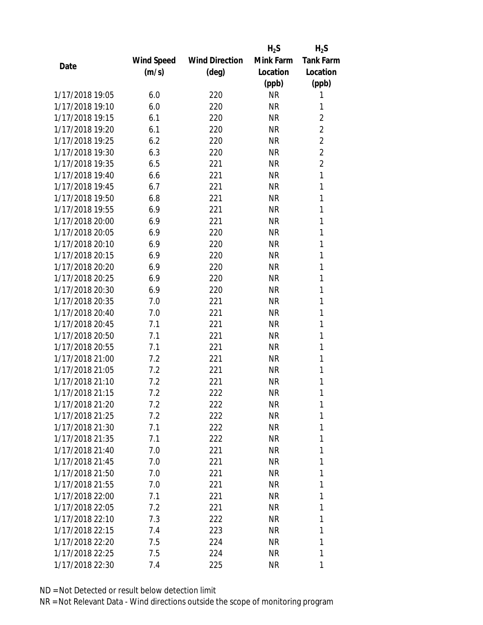|                 |            |                       | $H_2S$    | $H_2S$           |
|-----------------|------------|-----------------------|-----------|------------------|
|                 | Wind Speed | <b>Wind Direction</b> | Mink Farm | <b>Tank Farm</b> |
| Date            | (m/s)      | $(\text{deg})$        | Location  | Location         |
|                 |            |                       | (ppb)     | (ppb)            |
| 1/17/2018 19:05 | 6.0        | 220                   | <b>NR</b> | 1                |
| 1/17/2018 19:10 | 6.0        | 220                   | <b>NR</b> | 1                |
| 1/17/2018 19:15 | 6.1        | 220                   | <b>NR</b> | $\overline{2}$   |
| 1/17/2018 19:20 | 6.1        | 220                   | <b>NR</b> | $\overline{2}$   |
| 1/17/2018 19:25 | 6.2        | 220                   | <b>NR</b> | $\overline{2}$   |
| 1/17/2018 19:30 | 6.3        | 220                   | <b>NR</b> | $\overline{2}$   |
| 1/17/2018 19:35 | 6.5        | 221                   | <b>NR</b> | $\overline{2}$   |
| 1/17/2018 19:40 | 6.6        | 221                   | <b>NR</b> | 1                |
| 1/17/2018 19:45 | 6.7        | 221                   | <b>NR</b> | 1                |
| 1/17/2018 19:50 | 6.8        | 221                   | <b>NR</b> | 1                |
| 1/17/2018 19:55 | 6.9        | 221                   | <b>NR</b> | 1                |
| 1/17/2018 20:00 | 6.9        | 221                   | <b>NR</b> | 1                |
| 1/17/2018 20:05 | 6.9        | 220                   | <b>NR</b> | 1                |
| 1/17/2018 20:10 | 6.9        | 220                   | <b>NR</b> | 1                |
| 1/17/2018 20:15 | 6.9        | 220                   | <b>NR</b> | 1                |
| 1/17/2018 20:20 | 6.9        | 220                   | <b>NR</b> | 1                |
| 1/17/2018 20:25 | 6.9        | 220                   | <b>NR</b> | 1                |
| 1/17/2018 20:30 | 6.9        | 220                   | <b>NR</b> | 1                |
| 1/17/2018 20:35 | 7.0        | 221                   | <b>NR</b> | 1                |
| 1/17/2018 20:40 | 7.0        | 221                   | <b>NR</b> | 1                |
| 1/17/2018 20:45 | 7.1        | 221                   | <b>NR</b> | 1                |
| 1/17/2018 20:50 | 7.1        | 221                   | <b>NR</b> | 1                |
| 1/17/2018 20:55 | 7.1        | 221                   | <b>NR</b> | 1                |
| 1/17/2018 21:00 | 7.2        | 221                   | <b>NR</b> | 1                |
| 1/17/2018 21:05 | 7.2        | 221                   | <b>NR</b> | 1                |
| 1/17/2018 21:10 | 7.2        | 221                   | <b>NR</b> | 1                |
| 1/17/2018 21:15 | 7.2        | 222                   | <b>NR</b> | 1                |
| 1/17/2018 21:20 | 7.2        | 222                   | ΝR        | 1                |
| 1/17/2018 21:25 | 7.2        | 222                   | <b>NR</b> | 1                |
| 1/17/2018 21:30 | 7.1        | 222                   | NR        | 1                |
| 1/17/2018 21:35 | 7.1        | 222                   | NR        | 1                |
| 1/17/2018 21:40 | 7.0        | 221                   | <b>NR</b> | 1                |
| 1/17/2018 21:45 | 7.0        | 221                   | NR        | 1                |
| 1/17/2018 21:50 | 7.0        | 221                   | <b>NR</b> | 1                |
| 1/17/2018 21:55 | 7.0        | 221                   | NR        | 1                |
| 1/17/2018 22:00 | 7.1        | 221                   | <b>NR</b> | 1                |
| 1/17/2018 22:05 | 7.2        | 221                   | NR        | 1                |
| 1/17/2018 22:10 | 7.3        | 222                   | NR        | 1                |
| 1/17/2018 22:15 | 7.4        | 223                   | <b>NR</b> | 1                |
| 1/17/2018 22:20 |            |                       |           | 1                |
|                 | 7.5        | 224                   | NR        |                  |
| 1/17/2018 22:25 | 7.5        | 224                   | <b>NR</b> | 1                |
| 1/17/2018 22:30 | 7.4        | 225                   | <b>NR</b> | 1                |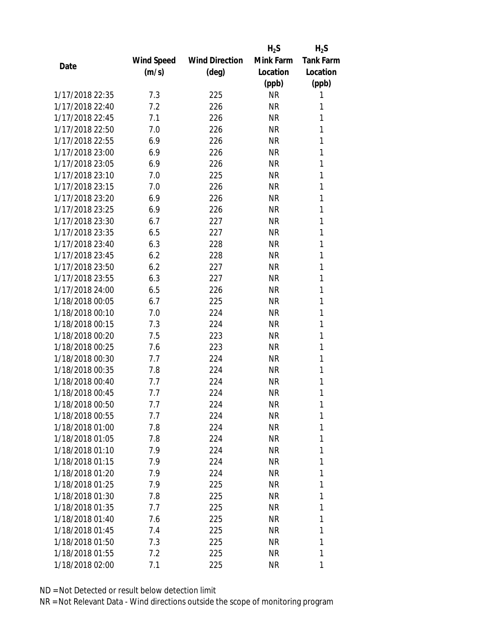|                 |            |                       | $H_2S$    | $H_2S$           |
|-----------------|------------|-----------------------|-----------|------------------|
|                 | Wind Speed | <b>Wind Direction</b> | Mink Farm | <b>Tank Farm</b> |
| Date            | (m/s)      | $(\text{deg})$        | Location  | Location         |
|                 |            |                       | (ppb)     | (ppb)            |
| 1/17/2018 22:35 | 7.3        | 225                   | <b>NR</b> | 1                |
| 1/17/2018 22:40 | 7.2        | 226                   | <b>NR</b> | 1                |
| 1/17/2018 22:45 | 7.1        | 226                   | <b>NR</b> | 1                |
| 1/17/2018 22:50 | 7.0        | 226                   | <b>NR</b> | 1                |
| 1/17/2018 22:55 | 6.9        | 226                   | <b>NR</b> | 1                |
| 1/17/2018 23:00 | 6.9        | 226                   | <b>NR</b> | 1                |
| 1/17/2018 23:05 | 6.9        | 226                   | <b>NR</b> | 1                |
| 1/17/2018 23:10 | 7.0        | 225                   | <b>NR</b> | 1                |
| 1/17/2018 23:15 | 7.0        | 226                   | <b>NR</b> | 1                |
| 1/17/2018 23:20 | 6.9        | 226                   | <b>NR</b> | 1                |
| 1/17/2018 23:25 | 6.9        | 226                   | NR        | 1                |
| 1/17/2018 23:30 | 6.7        | 227                   | <b>NR</b> | 1                |
| 1/17/2018 23:35 | 6.5        | 227                   | <b>NR</b> | 1                |
| 1/17/2018 23:40 | 6.3        | 228                   | <b>NR</b> | 1                |
| 1/17/2018 23:45 | 6.2        | 228                   | <b>NR</b> | 1                |
| 1/17/2018 23:50 | 6.2        | 227                   | <b>NR</b> | 1                |
| 1/17/2018 23:55 | 6.3        | 227                   | <b>NR</b> | 1                |
| 1/17/2018 24:00 | 6.5        | 226                   | <b>NR</b> | 1                |
| 1/18/2018 00:05 | 6.7        | 225                   | <b>NR</b> | 1                |
| 1/18/2018 00:10 | 7.0        | 224                   | <b>NR</b> | 1                |
| 1/18/2018 00:15 | 7.3        | 224                   | <b>NR</b> | 1                |
| 1/18/2018 00:20 | 7.5        | 223                   | <b>NR</b> | 1                |
| 1/18/2018 00:25 | 7.6        | 223                   | <b>NR</b> | 1                |
| 1/18/2018 00:30 | 7.7        | 224                   | <b>NR</b> | 1                |
| 1/18/2018 00:35 | 7.8        | 224                   | <b>NR</b> | 1                |
| 1/18/2018 00:40 | 7.7        | 224                   | <b>NR</b> | 1                |
| 1/18/2018 00:45 | 7.7        | 224                   | <b>NR</b> | 1                |
| 1/18/2018 00:50 | 7.7        | 224                   | ΝR        | 1                |
| 1/18/2018 00:55 | 7.7        | 224                   | <b>NR</b> | 1                |
| 1/18/2018 01:00 | 7.8        | 224                   | NR        | 1                |
| 1/18/2018 01:05 | 7.8        | 224                   | NR        | 1                |
| 1/18/2018 01:10 | 7.9        | 224                   | <b>NR</b> | 1                |
| 1/18/2018 01:15 | 7.9        | 224                   | NR        | 1                |
| 1/18/2018 01:20 | 7.9        | 224                   | <b>NR</b> | 1                |
| 1/18/2018 01:25 | 7.9        | 225                   | NR        | 1                |
| 1/18/2018 01:30 | 7.8        | 225                   | <b>NR</b> | 1                |
| 1/18/2018 01:35 | 7.7        | 225                   | NR        | 1                |
| 1/18/2018 01:40 | 7.6        | 225                   | NR        | 1                |
| 1/18/2018 01:45 | 7.4        | 225                   | <b>NR</b> | 1                |
| 1/18/2018 01:50 | 7.3        |                       | NR        | 1                |
|                 |            | 225                   |           |                  |
| 1/18/2018 01:55 | 7.2        | 225                   | <b>NR</b> | 1                |
| 1/18/2018 02:00 | 7.1        | 225                   | <b>NR</b> | 1                |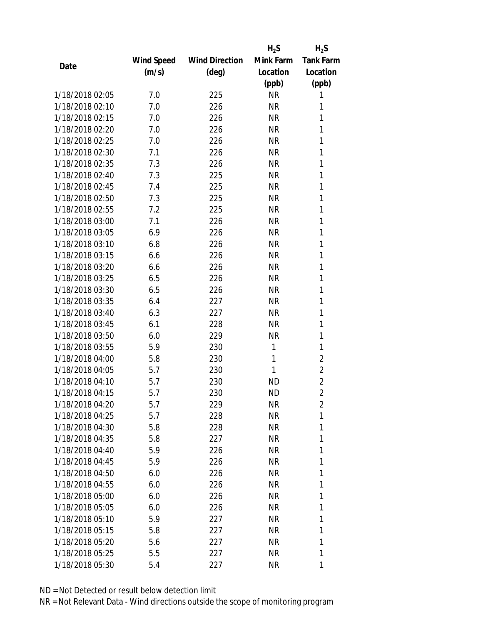|                 |            |                       | $H_2S$    | $H_2S$           |
|-----------------|------------|-----------------------|-----------|------------------|
|                 | Wind Speed | <b>Wind Direction</b> | Mink Farm | <b>Tank Farm</b> |
| Date            | (m/s)      | $(\text{deg})$        | Location  | Location         |
|                 |            |                       | (ppb)     | (ppb)            |
| 1/18/2018 02:05 | 7.0        | 225                   | <b>NR</b> | 1                |
| 1/18/2018 02:10 | 7.0        | 226                   | <b>NR</b> | 1                |
| 1/18/2018 02:15 | 7.0        | 226                   | <b>NR</b> | 1                |
| 1/18/2018 02:20 | 7.0        | 226                   | NR        | 1                |
| 1/18/2018 02:25 | 7.0        | 226                   | <b>NR</b> | 1                |
| 1/18/2018 02:30 | 7.1        | 226                   | <b>NR</b> | 1                |
| 1/18/2018 02:35 | 7.3        | 226                   | NR        | 1                |
| 1/18/2018 02:40 | 7.3        | 225                   | <b>NR</b> | 1                |
| 1/18/2018 02:45 | 7.4        | 225                   | <b>NR</b> | 1                |
| 1/18/2018 02:50 | 7.3        | 225                   | <b>NR</b> | 1                |
| 1/18/2018 02:55 | 7.2        | 225                   | <b>NR</b> | 1                |
| 1/18/2018 03:00 | 7.1        | 226                   | <b>NR</b> | 1                |
| 1/18/2018 03:05 | 6.9        | 226                   | <b>NR</b> | 1                |
| 1/18/2018 03:10 | 6.8        | 226                   | <b>NR</b> | 1                |
| 1/18/2018 03:15 | 6.6        | 226                   | <b>NR</b> | 1                |
| 1/18/2018 03:20 | 6.6        | 226                   | NR        | 1                |
| 1/18/2018 03:25 | 6.5        | 226                   | <b>NR</b> | 1                |
| 1/18/2018 03:30 | 6.5        | 226                   | <b>NR</b> | 1                |
| 1/18/2018 03:35 | 6.4        | 227                   | <b>NR</b> | 1                |
| 1/18/2018 03:40 | 6.3        | 227                   | <b>NR</b> | 1                |
| 1/18/2018 03:45 | 6.1        | 228                   | <b>NR</b> | 1                |
| 1/18/2018 03:50 | 6.0        | 229                   | <b>NR</b> | 1                |
| 1/18/2018 03:55 | 5.9        | 230                   | 1         | 1                |
| 1/18/2018 04:00 | 5.8        | 230                   | 1         | $\overline{2}$   |
| 1/18/2018 04:05 | 5.7        | 230                   | 1         | $\overline{2}$   |
| 1/18/2018 04:10 | 5.7        | 230                   | <b>ND</b> | $\overline{2}$   |
| 1/18/2018 04:15 | 5.7        | 230                   | <b>ND</b> | $\overline{2}$   |
| 1/18/2018 04:20 | 5.7        | 229                   | ΝR        | 2                |
| 1/18/2018 04:25 | 5.7        | 228                   | <b>NR</b> | 1                |
| 1/18/2018 04:30 | 5.8        | 228                   | NR        | 1                |
| 1/18/2018 04:35 | 5.8        | 227                   | NR        | 1                |
| 1/18/2018 04:40 | 5.9        | 226                   | NR        | 1                |
| 1/18/2018 04:45 | 5.9        | 226                   | NR        | 1                |
| 1/18/2018 04:50 | 6.0        | 226                   | <b>NR</b> | 1                |
| 1/18/2018 04:55 | 6.0        | 226                   | NR        | 1                |
| 1/18/2018 05:00 | 6.0        | 226                   | NR        | 1                |
| 1/18/2018 05:05 | 6.0        | 226                   | NR        | 1                |
| 1/18/2018 05:10 | 5.9        | 227                   | NR        | 1                |
| 1/18/2018 05:15 | 5.8        | 227                   | <b>NR</b> | 1                |
| 1/18/2018 05:20 | 5.6        | 227                   | NR        | 1                |
| 1/18/2018 05:25 | 5.5        | 227                   | <b>NR</b> | 1                |
| 1/18/2018 05:30 | 5.4        | 227                   | NR        | 1                |
|                 |            |                       |           |                  |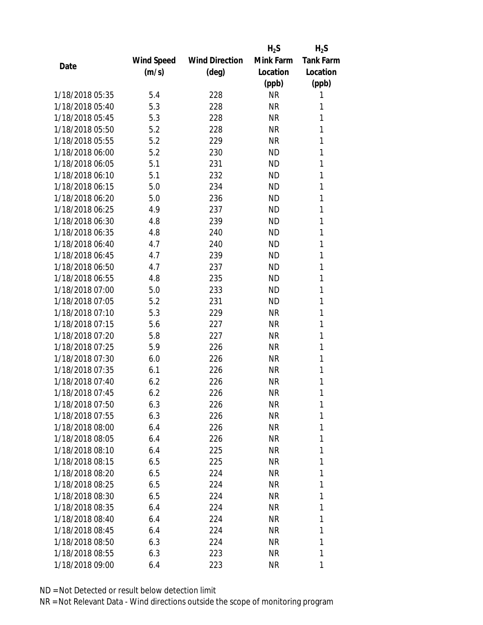|                 |            |                       | $H_2S$    | $H_2S$           |
|-----------------|------------|-----------------------|-----------|------------------|
|                 | Wind Speed | <b>Wind Direction</b> | Mink Farm | <b>Tank Farm</b> |
| Date            | (m/s)      | $(\text{deg})$        | Location  | Location         |
|                 |            |                       | (ppb)     | (ppb)            |
| 1/18/2018 05:35 | 5.4        | 228                   | <b>NR</b> | 1                |
| 1/18/2018 05:40 | 5.3        | 228                   | <b>NR</b> | 1                |
| 1/18/2018 05:45 | 5.3        | 228                   | <b>NR</b> | 1                |
| 1/18/2018 05:50 | 5.2        | 228                   | <b>NR</b> | 1                |
| 1/18/2018 05:55 | 5.2        | 229                   | <b>NR</b> | 1                |
| 1/18/2018 06:00 | 5.2        | 230                   | <b>ND</b> | 1                |
| 1/18/2018 06:05 | 5.1        | 231                   | <b>ND</b> | 1                |
| 1/18/2018 06:10 | 5.1        | 232                   | <b>ND</b> | 1                |
| 1/18/2018 06:15 | 5.0        | 234                   | <b>ND</b> | 1                |
| 1/18/2018 06:20 | 5.0        | 236                   | <b>ND</b> | 1                |
| 1/18/2018 06:25 | 4.9        | 237                   | ND        | 1                |
| 1/18/2018 06:30 | 4.8        | 239                   | <b>ND</b> | 1                |
| 1/18/2018 06:35 | 4.8        | 240                   | <b>ND</b> | 1                |
| 1/18/2018 06:40 | 4.7        | 240                   | <b>ND</b> | 1                |
| 1/18/2018 06:45 | 4.7        | 239                   | <b>ND</b> | 1                |
| 1/18/2018 06:50 | 4.7        | 237                   | <b>ND</b> | 1                |
| 1/18/2018 06:55 | 4.8        | 235                   | <b>ND</b> | 1                |
| 1/18/2018 07:00 | 5.0        | 233                   | ND        | 1                |
| 1/18/2018 07:05 | 5.2        | 231                   | <b>ND</b> | 1                |
| 1/18/2018 07:10 | 5.3        | 229                   | <b>NR</b> | 1                |
| 1/18/2018 07:15 | 5.6        | 227                   | <b>NR</b> | 1                |
| 1/18/2018 07:20 | 5.8        | 227                   | <b>NR</b> | 1                |
| 1/18/2018 07:25 | 5.9        | 226                   | <b>NR</b> | 1                |
| 1/18/2018 07:30 | 6.0        | 226                   | <b>NR</b> | 1                |
| 1/18/2018 07:35 | 6.1        | 226                   | <b>NR</b> | 1                |
| 1/18/2018 07:40 | 6.2        | 226                   | <b>NR</b> | 1                |
| 1/18/2018 07:45 | 6.2        | 226                   | <b>NR</b> | 1                |
| 1/18/2018 07:50 | 6.3        | 226                   | ΝR        | 1                |
| 1/18/2018 07:55 | 6.3        | 226                   | <b>NR</b> | 1                |
| 1/18/2018 08:00 | 6.4        | 226                   | NR        | 1                |
| 1/18/2018 08:05 | 6.4        | 226                   | NR        | 1                |
| 1/18/2018 08:10 | 6.4        | 225                   | NR        | 1                |
| 1/18/2018 08:15 | 6.5        | 225                   | NR        | 1                |
| 1/18/2018 08:20 | 6.5        | 224                   | <b>NR</b> | 1                |
| 1/18/2018 08:25 | 6.5        | 224                   | NR        | 1                |
| 1/18/2018 08:30 | 6.5        | 224                   | NR        | 1                |
| 1/18/2018 08:35 | 6.4        | 224                   | NR        | 1                |
| 1/18/2018 08:40 | 6.4        |                       | NR        | 1                |
| 1/18/2018 08:45 | 6.4        | 224<br>224            | NR        | 1                |
| 1/18/2018 08:50 | 6.3        | 224                   | NR        | 1                |
| 1/18/2018 08:55 |            |                       |           | 1                |
|                 | 6.3        | 223                   | <b>NR</b> |                  |
| 1/18/2018 09:00 | 6.4        | 223                   | <b>NR</b> | 1                |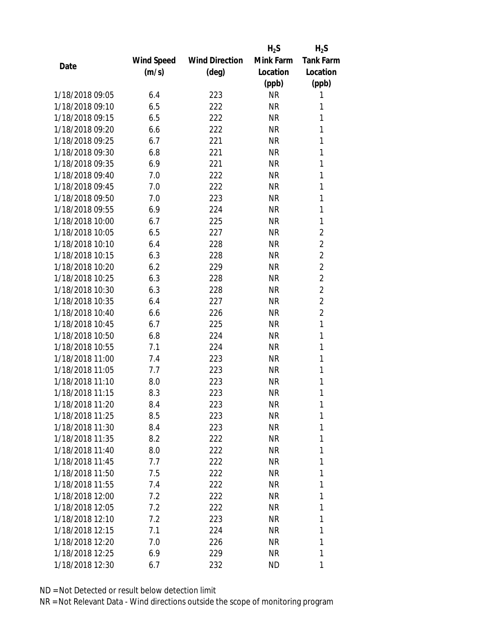|                 |            |                       | $H_2S$    | $H_2S$           |
|-----------------|------------|-----------------------|-----------|------------------|
|                 | Wind Speed | <b>Wind Direction</b> | Mink Farm | <b>Tank Farm</b> |
| Date            | (m/s)      | $(\text{deg})$        | Location  | Location         |
|                 |            |                       | (ppb)     | (ppb)            |
| 1/18/2018 09:05 | 6.4        | 223                   | <b>NR</b> | 1                |
| 1/18/2018 09:10 | 6.5        | 222                   | <b>NR</b> | 1                |
| 1/18/2018 09:15 | 6.5        | 222                   | <b>NR</b> | 1                |
| 1/18/2018 09:20 | 6.6        | 222                   | <b>NR</b> | 1                |
| 1/18/2018 09:25 | 6.7        | 221                   | <b>NR</b> | 1                |
| 1/18/2018 09:30 | 6.8        | 221                   | <b>NR</b> | 1                |
| 1/18/2018 09:35 | 6.9        | 221                   | <b>NR</b> | 1                |
| 1/18/2018 09:40 | 7.0        | 222                   | <b>NR</b> | 1                |
| 1/18/2018 09:45 | 7.0        | 222                   | <b>NR</b> | 1                |
| 1/18/2018 09:50 | 7.0        | 223                   | <b>NR</b> | 1                |
| 1/18/2018 09:55 | 6.9        | 224                   | <b>NR</b> | 1                |
| 1/18/2018 10:00 | 6.7        | 225                   | <b>NR</b> | 1                |
| 1/18/2018 10:05 | 6.5        | 227                   | <b>NR</b> | $\overline{2}$   |
| 1/18/2018 10:10 | 6.4        | 228                   | <b>NR</b> | $\overline{2}$   |
| 1/18/2018 10:15 | 6.3        | 228                   | <b>NR</b> | $\overline{2}$   |
| 1/18/2018 10:20 | 6.2        | 229                   | <b>NR</b> | $\overline{2}$   |
| 1/18/2018 10:25 | 6.3        | 228                   | <b>NR</b> | $\overline{2}$   |
| 1/18/2018 10:30 | 6.3        | 228                   | <b>NR</b> | $\overline{2}$   |
| 1/18/2018 10:35 | 6.4        | 227                   | <b>NR</b> | $\overline{2}$   |
| 1/18/2018 10:40 | 6.6        | 226                   | <b>NR</b> | $\overline{2}$   |
| 1/18/2018 10:45 | 6.7        | 225                   | <b>NR</b> | 1                |
| 1/18/2018 10:50 | 6.8        | 224                   | <b>NR</b> | 1                |
| 1/18/2018 10:55 | 7.1        | 224                   | <b>NR</b> | 1                |
| 1/18/2018 11:00 | 7.4        | 223                   | <b>NR</b> | 1                |
| 1/18/2018 11:05 | 7.7        | 223                   | <b>NR</b> | 1                |
| 1/18/2018 11:10 | 8.0        | 223                   | <b>NR</b> | 1                |
| 1/18/2018 11:15 | 8.3        | 223                   | <b>NR</b> | 1                |
| 1/18/2018 11:20 | 8.4        | 223                   | ΝR        | 1                |
| 1/18/2018 11:25 | 8.5        | 223                   | <b>NR</b> | 1                |
| 1/18/2018 11:30 | 8.4        | 223                   | NR        | 1                |
| 1/18/2018 11:35 | 8.2        | 222                   | NR        | 1                |
| 1/18/2018 11:40 | 8.0        | 222                   | NR        | 1                |
| 1/18/2018 11:45 | 7.7        | 222                   | NR        | 1                |
| 1/18/2018 11:50 | 7.5        | 222                   | <b>NR</b> | 1                |
| 1/18/2018 11:55 | 7.4        | 222                   | NR        | 1                |
| 1/18/2018 12:00 | 7.2        | 222                   | <b>NR</b> | 1                |
| 1/18/2018 12:05 | 7.2        | 222                   | NR        | 1                |
| 1/18/2018 12:10 | 7.2        | 223                   | NR        | 1                |
| 1/18/2018 12:15 | 7.1        | 224                   | NR        | 1                |
| 1/18/2018 12:20 | 7.0        |                       | NR        | 1                |
|                 |            | 226                   |           |                  |
| 1/18/2018 12:25 | 6.9        | 229                   | <b>NR</b> | 1                |
| 1/18/2018 12:30 | 6.7        | 232                   | ND        | 1                |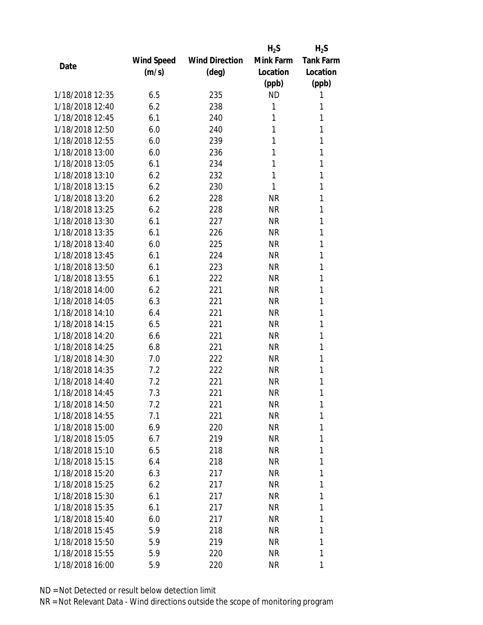|                 |            |                       | $H_2S$    | $H_2S$           |
|-----------------|------------|-----------------------|-----------|------------------|
|                 | Wind Speed | <b>Wind Direction</b> | Mink Farm | <b>Tank Farm</b> |
| Date            | (m/s)      | $(\text{deg})$        | Location  | Location         |
|                 |            |                       | (ppb)     | (ppb)            |
| 1/18/2018 12:35 | 6.5        | 235                   | <b>ND</b> | 1                |
| 1/18/2018 12:40 | 6.2        | 238                   | 1         | 1                |
| 1/18/2018 12:45 | 6.1        | 240                   | 1         | 1                |
| 1/18/2018 12:50 | 6.0        | 240                   | 1         | 1                |
| 1/18/2018 12:55 | 6.0        | 239                   | 1         | 1                |
| 1/18/2018 13:00 | 6.0        | 236                   | 1         | 1                |
| 1/18/2018 13:05 | 6.1        | 234                   | 1         | 1                |
| 1/18/2018 13:10 | 6.2        | 232                   | 1         | 1                |
| 1/18/2018 13:15 | 6.2        | 230                   | 1         | 1                |
| 1/18/2018 13:20 | 6.2        | 228                   | <b>NR</b> | 1                |
| 1/18/2018 13:25 | 6.2        | 228                   | <b>NR</b> | 1                |
| 1/18/2018 13:30 | 6.1        | 227                   | <b>NR</b> | 1                |
| 1/18/2018 13:35 | 6.1        | 226                   | <b>NR</b> | 1                |
| 1/18/2018 13:40 | 6.0        | 225                   | <b>NR</b> | 1                |
| 1/18/2018 13:45 | 6.1        | 224                   | <b>NR</b> | 1                |
| 1/18/2018 13:50 | 6.1        | 223                   | <b>NR</b> | 1                |
| 1/18/2018 13:55 | 6.1        | 222                   | <b>NR</b> | 1                |
| 1/18/2018 14:00 | 6.2        | 221                   | <b>NR</b> | 1                |
| 1/18/2018 14:05 | 6.3        | 221                   | <b>NR</b> | 1                |
| 1/18/2018 14:10 | 6.4        | 221                   | <b>NR</b> | 1                |
| 1/18/2018 14:15 | 6.5        | 221                   | <b>NR</b> | 1                |
| 1/18/2018 14:20 | 6.6        | 221                   | <b>NR</b> | 1                |
| 1/18/2018 14:25 | 6.8        | 221                   | <b>NR</b> | 1                |
| 1/18/2018 14:30 | 7.0        | 222                   | <b>NR</b> | 1                |
| 1/18/2018 14:35 | 7.2        | 222                   | NR        | 1                |
| 1/18/2018 14:40 | 7.2        | 221                   | NR        | 1                |
| 1/18/2018 14:45 | 7.3        | 221                   | <b>NR</b> | 1                |
| 1/18/2018 14:50 | 7.2        | 221                   | NR        | 1                |
| 1/18/2018 14:55 | 7.1        | 221                   | <b>NR</b> | 1                |
| 1/18/2018 15:00 | 6.9        | 220                   | NR        | 1                |
| 1/18/2018 15:05 | 6.7        | 219                   | <b>NR</b> | 1                |
| 1/18/2018 15:10 | 6.5        | 218                   | NR        | 1                |
| 1/18/2018 15:15 | 6.4        | 218                   | NR        | 1                |
| 1/18/2018 15:20 | 6.3        | 217                   | <b>NR</b> | 1                |
| 1/18/2018 15:25 | 6.2        | 217                   | NR        | 1                |
| 1/18/2018 15:30 | 6.1        | 217                   | <b>NR</b> | 1                |
| 1/18/2018 15:35 | 6.1        | 217                   | NR        | 1                |
| 1/18/2018 15:40 | 6.0        | 217                   | NR        | 1                |
| 1/18/2018 15:45 | 5.9        | 218                   | NR        | 1                |
| 1/18/2018 15:50 | 5.9        | 219                   | NR        | 1                |
| 1/18/2018 15:55 | 5.9        |                       |           | 1                |
|                 |            | 220                   | <b>NR</b> |                  |
| 1/18/2018 16:00 | 5.9        | 220                   | <b>NR</b> | 1                |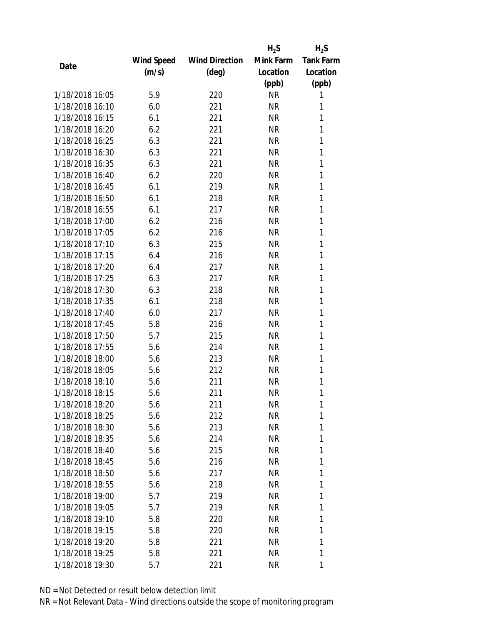|                 |            |                       | $H_2S$    | $H_2S$           |
|-----------------|------------|-----------------------|-----------|------------------|
|                 | Wind Speed | <b>Wind Direction</b> | Mink Farm | <b>Tank Farm</b> |
| Date            | (m/s)      | (deg)                 | Location  | Location         |
|                 |            |                       | (ppb)     | (ppb)            |
| 1/18/2018 16:05 | 5.9        | 220                   | <b>NR</b> | 1                |
| 1/18/2018 16:10 | 6.0        | 221                   | <b>NR</b> | 1                |
| 1/18/2018 16:15 | 6.1        | 221                   | <b>NR</b> | 1                |
| 1/18/2018 16:20 | 6.2        | 221                   | <b>NR</b> | 1                |
| 1/18/2018 16:25 | 6.3        | 221                   | <b>NR</b> | 1                |
| 1/18/2018 16:30 | 6.3        | 221                   | <b>NR</b> | 1                |
| 1/18/2018 16:35 | 6.3        | 221                   | <b>NR</b> | 1                |
| 1/18/2018 16:40 | 6.2        | 220                   | <b>NR</b> | 1                |
| 1/18/2018 16:45 | 6.1        | 219                   | <b>NR</b> | 1                |
| 1/18/2018 16:50 | 6.1        | 218                   | <b>NR</b> | 1                |
| 1/18/2018 16:55 | 6.1        | 217                   | NR        | 1                |
| 1/18/2018 17:00 | 6.2        | 216                   | <b>NR</b> | 1                |
| 1/18/2018 17:05 | 6.2        | 216                   | <b>NR</b> | 1                |
| 1/18/2018 17:10 | 6.3        | 215                   | <b>NR</b> | 1                |
| 1/18/2018 17:15 | 6.4        | 216                   | <b>NR</b> | 1                |
| 1/18/2018 17:20 | 6.4        | 217                   | <b>NR</b> | 1                |
| 1/18/2018 17:25 | 6.3        | 217                   | <b>NR</b> | 1                |
| 1/18/2018 17:30 | 6.3        | 218                   | <b>NR</b> | 1                |
| 1/18/2018 17:35 | 6.1        | 218                   | <b>NR</b> | 1                |
| 1/18/2018 17:40 | 6.0        | 217                   | <b>NR</b> | 1                |
| 1/18/2018 17:45 | 5.8        | 216                   | <b>NR</b> | 1                |
| 1/18/2018 17:50 | 5.7        | 215                   | <b>NR</b> | 1                |
| 1/18/2018 17:55 | 5.6        | 214                   | <b>NR</b> | 1                |
| 1/18/2018 18:00 | 5.6        | 213                   | <b>NR</b> | 1                |
| 1/18/2018 18:05 | 5.6        | 212                   | <b>NR</b> | 1                |
| 1/18/2018 18:10 | 5.6        | 211                   | <b>NR</b> | 1                |
| 1/18/2018 18:15 | 5.6        | 211                   | <b>NR</b> | 1                |
| 1/18/2018 18:20 | 5.6        | 211                   | NR        | 1                |
| 1/18/2018 18:25 | 5.6        | 212                   | <b>NR</b> | 1                |
| 1/18/2018 18:30 | 5.6        | 213                   | NR        | 1                |
| 1/18/2018 18:35 | 5.6        | 214                   | NR        | 1                |
| 1/18/2018 18:40 | 5.6        | 215                   | <b>NR</b> | 1                |
| 1/18/2018 18:45 | 5.6        | 216                   | NR        | 1                |
| 1/18/2018 18:50 | 5.6        | 217                   | <b>NR</b> | 1                |
| 1/18/2018 18:55 | 5.6        | 218                   | NR        | 1                |
| 1/18/2018 19:00 | 5.7        | 219                   | NR        | 1                |
| 1/18/2018 19:05 | 5.7        | 219                   | NR        | 1                |
| 1/18/2018 19:10 | 5.8        | 220                   | NR        | 1                |
| 1/18/2018 19:15 | 5.8        | 220                   | NR        | 1                |
| 1/18/2018 19:20 | 5.8        | 221                   | NR        | 1                |
| 1/18/2018 19:25 | 5.8        | 221                   | <b>NR</b> | 1                |
| 1/18/2018 19:30 | 5.7        | 221                   | NR        | 1                |
|                 |            |                       |           |                  |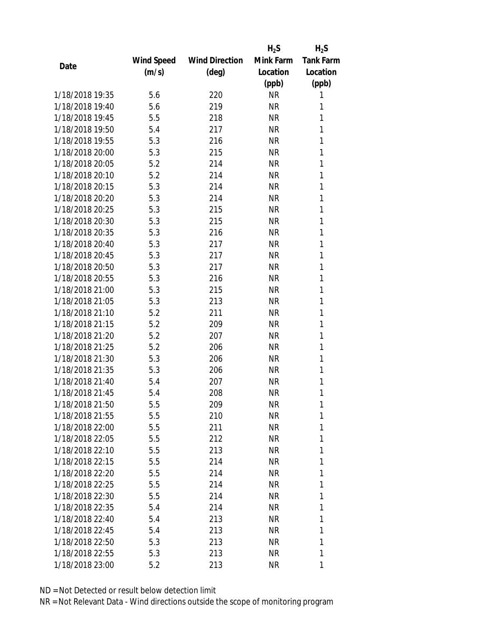|                 |            |                       | $H_2S$    | $H_2S$           |
|-----------------|------------|-----------------------|-----------|------------------|
|                 | Wind Speed | <b>Wind Direction</b> | Mink Farm | <b>Tank Farm</b> |
| Date            | (m/s)      | $(\text{deg})$        | Location  | Location         |
|                 |            |                       | (ppb)     | (ppb)            |
| 1/18/2018 19:35 | 5.6        | 220                   | <b>NR</b> | 1                |
| 1/18/2018 19:40 | 5.6        | 219                   | <b>NR</b> | 1                |
| 1/18/2018 19:45 | 5.5        | 218                   | <b>NR</b> | 1                |
| 1/18/2018 19:50 | 5.4        | 217                   | <b>NR</b> | 1                |
| 1/18/2018 19:55 | 5.3        | 216                   | <b>NR</b> | 1                |
| 1/18/2018 20:00 | 5.3        | 215                   | <b>NR</b> | 1                |
| 1/18/2018 20:05 | 5.2        | 214                   | <b>NR</b> | 1                |
| 1/18/2018 20:10 | 5.2        | 214                   | <b>NR</b> | 1                |
| 1/18/2018 20:15 | 5.3        | 214                   | <b>NR</b> | 1                |
| 1/18/2018 20:20 | 5.3        | 214                   | <b>NR</b> | 1                |
| 1/18/2018 20:25 | 5.3        | 215                   | <b>NR</b> | 1                |
| 1/18/2018 20:30 | 5.3        | 215                   | <b>NR</b> | 1                |
| 1/18/2018 20:35 | 5.3        | 216                   | <b>NR</b> | 1                |
| 1/18/2018 20:40 | 5.3        | 217                   | <b>NR</b> | 1                |
| 1/18/2018 20:45 | 5.3        | 217                   | <b>NR</b> | 1                |
| 1/18/2018 20:50 | 5.3        | 217                   | <b>NR</b> | 1                |
| 1/18/2018 20:55 | 5.3        | 216                   | <b>NR</b> | 1                |
| 1/18/2018 21:00 | 5.3        | 215                   | <b>NR</b> | 1                |
| 1/18/2018 21:05 | 5.3        | 213                   | <b>NR</b> | 1                |
| 1/18/2018 21:10 | 5.2        | 211                   | <b>NR</b> | 1                |
| 1/18/2018 21:15 | 5.2        | 209                   | <b>NR</b> | 1                |
| 1/18/2018 21:20 | 5.2        | 207                   | <b>NR</b> | 1                |
| 1/18/2018 21:25 | 5.2        | 206                   | <b>NR</b> | 1                |
| 1/18/2018 21:30 | 5.3        | 206                   | <b>NR</b> | 1                |
| 1/18/2018 21:35 | 5.3        | 206                   | <b>NR</b> | 1                |
| 1/18/2018 21:40 | 5.4        | 207                   | <b>NR</b> | 1                |
| 1/18/2018 21:45 | 5.4        | 208                   | <b>NR</b> | 1                |
| 1/18/2018 21:50 | 5.5        | 209                   | NR        | 1                |
| 1/18/2018 21:55 | 5.5        | 210                   | <b>NR</b> | 1                |
| 1/18/2018 22:00 | 5.5        | 211                   | NR        | 1                |
| 1/18/2018 22:05 | 5.5        | 212                   | NR        | 1                |
| 1/18/2018 22:10 | 5.5        | 213                   | <b>NR</b> | 1                |
| 1/18/2018 22:15 | 5.5        | 214                   | NR        | 1                |
| 1/18/2018 22:20 | 5.5        | 214                   | <b>NR</b> | 1                |
| 1/18/2018 22:25 | 5.5        | 214                   | NR        | 1                |
| 1/18/2018 22:30 | 5.5        | 214                   | NR        | 1                |
| 1/18/2018 22:35 | 5.4        | 214                   | NR        | 1                |
| 1/18/2018 22:40 | 5.4        | 213                   | NR        | 1                |
| 1/18/2018 22:45 | 5.4        | 213                   | <b>NR</b> | 1                |
| 1/18/2018 22:50 | 5.3        | 213                   | NR        | 1                |
| 1/18/2018 22:55 | 5.3        | 213                   | <b>NR</b> | 1                |
| 1/18/2018 23:00 | 5.2        | 213                   | <b>NR</b> | 1                |
|                 |            |                       |           |                  |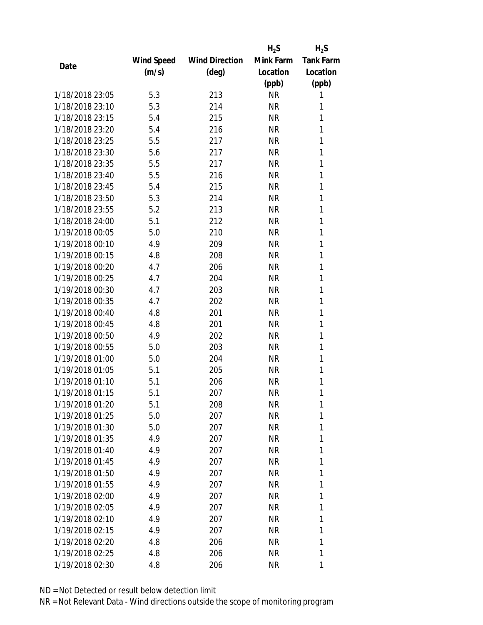|      |                 |            |                       | $H_2S$    | $H_2S$           |
|------|-----------------|------------|-----------------------|-----------|------------------|
|      |                 | Wind Speed | <b>Wind Direction</b> | Mink Farm | <b>Tank Farm</b> |
| Date |                 | (m/s)      | (deg)                 | Location  | Location         |
|      |                 |            |                       | (ppb)     | (ppb)            |
|      | 1/18/2018 23:05 | 5.3        | 213                   | <b>NR</b> | 1                |
|      | 1/18/2018 23:10 | 5.3        | 214                   | <b>NR</b> | 1                |
|      | 1/18/2018 23:15 | 5.4        | 215                   | <b>NR</b> | 1                |
|      | 1/18/2018 23:20 | 5.4        | 216                   | <b>NR</b> | 1                |
|      | 1/18/2018 23:25 | 5.5        | 217                   | <b>NR</b> | 1                |
|      | 1/18/2018 23:30 | 5.6        | 217                   | <b>NR</b> | 1                |
|      | 1/18/2018 23:35 | 5.5        | 217                   | <b>NR</b> | 1                |
|      | 1/18/2018 23:40 | 5.5        | 216                   | <b>NR</b> | 1                |
|      | 1/18/2018 23:45 | 5.4        | 215                   | <b>NR</b> | 1                |
|      | 1/18/2018 23:50 | 5.3        | 214                   | <b>NR</b> | 1                |
|      | 1/18/2018 23:55 | 5.2        | 213                   | <b>NR</b> | 1                |
|      | 1/18/2018 24:00 | 5.1        | 212                   | <b>NR</b> | 1                |
|      | 1/19/2018 00:05 | 5.0        | 210                   | <b>NR</b> | 1                |
|      | 1/19/2018 00:10 | 4.9        | 209                   | <b>NR</b> | 1                |
|      | 1/19/2018 00:15 | 4.8        | 208                   | <b>NR</b> | 1                |
|      | 1/19/2018 00:20 | 4.7        | 206                   | <b>NR</b> | 1                |
|      | 1/19/2018 00:25 | 4.7        | 204                   | <b>NR</b> | 1                |
|      | 1/19/2018 00:30 | 4.7        | 203                   | <b>NR</b> | 1                |
|      | 1/19/2018 00:35 | 4.7        | 202                   | <b>NR</b> | 1                |
|      | 1/19/2018 00:40 | 4.8        | 201                   | <b>NR</b> | 1                |
|      | 1/19/2018 00:45 | 4.8        | 201                   | <b>NR</b> | 1                |
|      | 1/19/2018 00:50 | 4.9        | 202                   | <b>NR</b> | 1                |
|      | 1/19/2018 00:55 | 5.0        | 203                   | <b>NR</b> | 1                |
|      | 1/19/2018 01:00 | 5.0        | 204                   | <b>NR</b> | 1                |
|      | 1/19/2018 01:05 | 5.1        | 205                   | <b>NR</b> | 1                |
|      | 1/19/2018 01:10 | 5.1        | 206                   | <b>NR</b> | 1                |
|      | 1/19/2018 01:15 | 5.1        | 207                   | <b>NR</b> | 1                |
|      | 1/19/2018 01:20 | 5.1        | 208                   | ΝR        | 1                |
|      | 1/19/2018 01:25 | 5.0        | 207                   | <b>NR</b> | 1                |
|      | 1/19/2018 01:30 | 5.0        | 207                   | <b>NR</b> | 1                |
|      | 1/19/2018 01:35 | 4.9        | 207                   | NR        | 1                |
|      | 1/19/2018 01:40 | 4.9        | 207                   | <b>NR</b> | 1                |
|      | 1/19/2018 01:45 | 4.9        | 207                   | NR        | 1                |
|      | 1/19/2018 01:50 | 4.9        | 207                   | <b>NR</b> | 1                |
|      | 1/19/2018 01:55 | 4.9        | 207                   | NR        | 1                |
|      | 1/19/2018 02:00 | 4.9        | 207                   | NR        | 1                |
|      | 1/19/2018 02:05 | 4.9        | 207                   | <b>NR</b> | 1                |
|      | 1/19/2018 02:10 | 4.9        | 207                   | NR        | 1                |
|      | 1/19/2018 02:15 | 4.9        | 207                   | <b>NR</b> | 1                |
|      | 1/19/2018 02:20 | 4.8        | 206                   | NR        | 1                |
|      | 1/19/2018 02:25 | 4.8        | 206                   | NR        | 1                |
|      |                 |            |                       | <b>NR</b> | 1                |
|      | 1/19/2018 02:30 | 4.8        | 206                   |           |                  |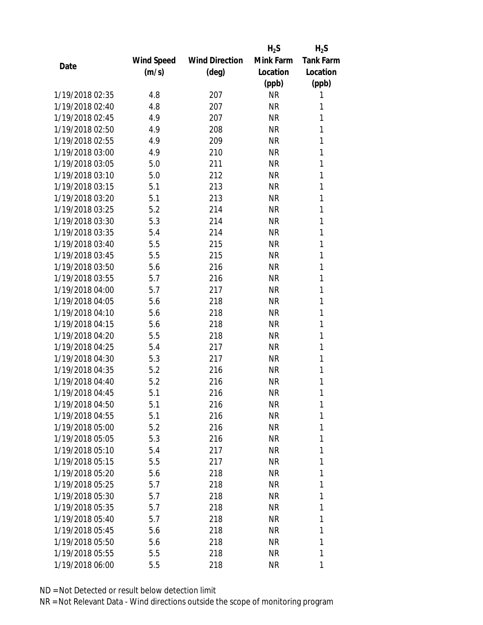|                 |            |                       | $H_2S$    | $H_2S$           |
|-----------------|------------|-----------------------|-----------|------------------|
|                 | Wind Speed | <b>Wind Direction</b> | Mink Farm | <b>Tank Farm</b> |
| Date            | (m/s)      | (deg)                 | Location  | Location         |
|                 |            |                       | (ppb)     | (ppb)            |
| 1/19/2018 02:35 | 4.8        | 207                   | <b>NR</b> | 1                |
| 1/19/2018 02:40 | 4.8        | 207                   | <b>NR</b> | 1                |
| 1/19/2018 02:45 | 4.9        | 207                   | <b>NR</b> | 1                |
| 1/19/2018 02:50 | 4.9        | 208                   | <b>NR</b> | 1                |
| 1/19/2018 02:55 | 4.9        | 209                   | <b>NR</b> | 1                |
| 1/19/2018 03:00 | 4.9        | 210                   | <b>NR</b> | 1                |
| 1/19/2018 03:05 | 5.0        | 211                   | <b>NR</b> | 1                |
| 1/19/2018 03:10 | 5.0        | 212                   | <b>NR</b> | 1                |
| 1/19/2018 03:15 | 5.1        | 213                   | <b>NR</b> | 1                |
| 1/19/2018 03:20 | 5.1        | 213                   | <b>NR</b> | 1                |
| 1/19/2018 03:25 | 5.2        | 214                   | <b>NR</b> | 1                |
| 1/19/2018 03:30 | 5.3        | 214                   | <b>NR</b> | 1                |
| 1/19/2018 03:35 | 5.4        | 214                   | <b>NR</b> | 1                |
| 1/19/2018 03:40 | 5.5        | 215                   | <b>NR</b> | 1                |
| 1/19/2018 03:45 | 5.5        | 215                   | <b>NR</b> | 1                |
| 1/19/2018 03:50 | 5.6        | 216                   | <b>NR</b> | 1                |
| 1/19/2018 03:55 | 5.7        | 216                   | <b>NR</b> | 1                |
| 1/19/2018 04:00 | 5.7        | 217                   | <b>NR</b> | 1                |
| 1/19/2018 04:05 | 5.6        | 218                   | <b>NR</b> | 1                |
| 1/19/2018 04:10 | 5.6        | 218                   | <b>NR</b> | 1                |
| 1/19/2018 04:15 | 5.6        | 218                   | <b>NR</b> | 1                |
| 1/19/2018 04:20 | 5.5        | 218                   | <b>NR</b> | 1                |
| 1/19/2018 04:25 | 5.4        | 217                   | <b>NR</b> | 1                |
| 1/19/2018 04:30 | 5.3        | 217                   | <b>NR</b> | 1                |
| 1/19/2018 04:35 | 5.2        | 216                   | <b>NR</b> | 1                |
| 1/19/2018 04:40 | 5.2        | 216                   | <b>NR</b> | 1                |
| 1/19/2018 04:45 | 5.1        | 216                   | <b>NR</b> | 1                |
| 1/19/2018 04:50 | 5.1        | 216                   | ΝR        | 1                |
| 1/19/2018 04:55 | 5.1        | 216                   | <b>NR</b> | 1                |
| 1/19/2018 05:00 | 5.2        | 216                   | NR        | 1                |
| 1/19/2018 05:05 | 5.3        | 216                   | NR        | 1                |
| 1/19/2018 05:10 | 5.4        | 217                   | <b>NR</b> | 1                |
| 1/19/2018 05:15 | 5.5        | 217                   | NR        | 1                |
| 1/19/2018 05:20 | 5.6        | 218                   | <b>NR</b> | 1                |
| 1/19/2018 05:25 | 5.7        | 218                   | NR        | 1                |
| 1/19/2018 05:30 | 5.7        | 218                   | <b>NR</b> | 1                |
| 1/19/2018 05:35 | 5.7        | 218                   | NR        | 1                |
| 1/19/2018 05:40 | 5.7        | 218                   | NR        | 1                |
| 1/19/2018 05:45 | 5.6        | 218                   | <b>NR</b> | 1                |
| 1/19/2018 05:50 | 5.6        | 218                   | NR        | 1                |
| 1/19/2018 05:55 | 5.5        | 218                   | <b>NR</b> | 1                |
| 1/19/2018 06:00 | 5.5        | 218                   | <b>NR</b> | 1                |
|                 |            |                       |           |                  |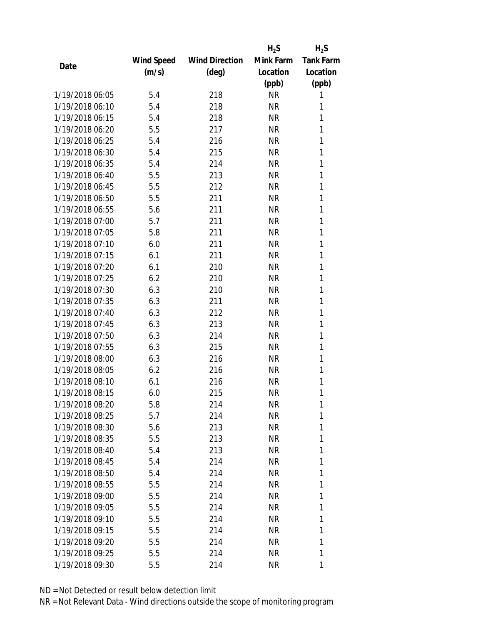|                 |            |                       | $H_2S$    | $H_2S$           |
|-----------------|------------|-----------------------|-----------|------------------|
|                 | Wind Speed | <b>Wind Direction</b> | Mink Farm | <b>Tank Farm</b> |
| Date            | (m/s)      | (deg)                 | Location  | Location         |
|                 |            |                       | (ppb)     | (ppb)            |
| 1/19/2018 06:05 | 5.4        | 218                   | <b>NR</b> | 1                |
| 1/19/2018 06:10 | 5.4        | 218                   | <b>NR</b> | 1                |
| 1/19/2018 06:15 | 5.4        | 218                   | <b>NR</b> | 1                |
| 1/19/2018 06:20 | 5.5        | 217                   | <b>NR</b> | 1                |
| 1/19/2018 06:25 | 5.4        | 216                   | <b>NR</b> | 1                |
| 1/19/2018 06:30 | 5.4        | 215                   | <b>NR</b> | 1                |
| 1/19/2018 06:35 | 5.4        | 214                   | <b>NR</b> | 1                |
| 1/19/2018 06:40 | 5.5        | 213                   | <b>NR</b> | 1                |
| 1/19/2018 06:45 | 5.5        | 212                   | <b>NR</b> | 1                |
| 1/19/2018 06:50 | 5.5        | 211                   | <b>NR</b> | 1                |
| 1/19/2018 06:55 | 5.6        | 211                   | <b>NR</b> | 1                |
| 1/19/2018 07:00 | 5.7        | 211                   | <b>NR</b> | 1                |
| 1/19/2018 07:05 | 5.8        | 211                   | <b>NR</b> | 1                |
| 1/19/2018 07:10 | 6.0        | 211                   | <b>NR</b> | 1                |
| 1/19/2018 07:15 | 6.1        | 211                   | <b>NR</b> | 1                |
| 1/19/2018 07:20 | 6.1        | 210                   | <b>NR</b> | 1                |
| 1/19/2018 07:25 | 6.2        | 210                   | <b>NR</b> | 1                |
| 1/19/2018 07:30 | 6.3        | 210                   | <b>NR</b> | 1                |
| 1/19/2018 07:35 | 6.3        | 211                   | <b>NR</b> | 1                |
| 1/19/2018 07:40 | 6.3        | 212                   | <b>NR</b> | 1                |
| 1/19/2018 07:45 | 6.3        | 213                   | <b>NR</b> | 1                |
| 1/19/2018 07:50 | 6.3        | 214                   | <b>NR</b> | 1                |
| 1/19/2018 07:55 | 6.3        | 215                   | <b>NR</b> | 1                |
| 1/19/2018 08:00 | 6.3        | 216                   | <b>NR</b> | 1                |
| 1/19/2018 08:05 | 6.2        | 216                   | <b>NR</b> | 1                |
| 1/19/2018 08:10 | 6.1        | 216                   | <b>NR</b> | 1                |
| 1/19/2018 08:15 | 6.0        | 215                   | <b>NR</b> | 1                |
| 1/19/2018 08:20 | 5.8        | 214                   | NR        | 1                |
| 1/19/2018 08:25 | 5.7        | 214                   | <b>NR</b> | 1                |
| 1/19/2018 08:30 | 5.6        | 213                   | NR        | 1                |
| 1/19/2018 08:35 | 5.5        | 213                   | NR        | 1                |
| 1/19/2018 08:40 | 5.4        | 213                   | <b>NR</b> | 1                |
| 1/19/2018 08:45 | 5.4        | 214                   | NR        | 1                |
| 1/19/2018 08:50 | 5.4        | 214                   | <b>NR</b> | 1                |
| 1/19/2018 08:55 | 5.5        | 214                   | NR        | 1                |
| 1/19/2018 09:00 | 5.5        | 214                   | NR        | 1                |
| 1/19/2018 09:05 | 5.5        | 214                   | NR        | 1                |
| 1/19/2018 09:10 | 5.5        | 214                   | NR        | 1                |
| 1/19/2018 09:15 | 5.5        | 214                   | <b>NR</b> | 1                |
| 1/19/2018 09:20 | 5.5        | 214                   | NR        | 1                |
| 1/19/2018 09:25 | 5.5        | 214                   | <b>NR</b> | 1                |
| 1/19/2018 09:30 |            |                       |           |                  |
|                 | 5.5        | 214                   | NR        | 1                |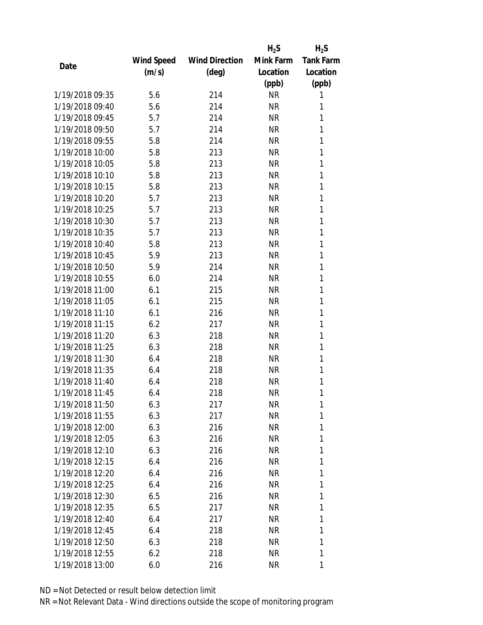|                 |            |                       | $H_2S$    | $H_2S$           |
|-----------------|------------|-----------------------|-----------|------------------|
|                 | Wind Speed | <b>Wind Direction</b> | Mink Farm | <b>Tank Farm</b> |
| Date            | (m/s)      | (deg)                 | Location  | Location         |
|                 |            |                       | (ppb)     | (ppb)            |
| 1/19/2018 09:35 | 5.6        | 214                   | <b>NR</b> | 1                |
| 1/19/2018 09:40 | 5.6        | 214                   | <b>NR</b> | 1                |
| 1/19/2018 09:45 | 5.7        | 214                   | <b>NR</b> | 1                |
| 1/19/2018 09:50 | 5.7        | 214                   | <b>NR</b> | 1                |
| 1/19/2018 09:55 | 5.8        | 214                   | <b>NR</b> | 1                |
| 1/19/2018 10:00 | 5.8        | 213                   | <b>NR</b> | 1                |
| 1/19/2018 10:05 | 5.8        | 213                   | <b>NR</b> | 1                |
| 1/19/2018 10:10 | 5.8        | 213                   | <b>NR</b> | 1                |
| 1/19/2018 10:15 | 5.8        | 213                   | <b>NR</b> | 1                |
| 1/19/2018 10:20 | 5.7        | 213                   | <b>NR</b> | 1                |
| 1/19/2018 10:25 | 5.7        | 213                   | <b>NR</b> | 1                |
| 1/19/2018 10:30 | 5.7        | 213                   | <b>NR</b> | 1                |
| 1/19/2018 10:35 | 5.7        | 213                   | <b>NR</b> | 1                |
| 1/19/2018 10:40 | 5.8        | 213                   | <b>NR</b> | 1                |
| 1/19/2018 10:45 | 5.9        | 213                   | <b>NR</b> | 1                |
| 1/19/2018 10:50 | 5.9        | 214                   | <b>NR</b> | 1                |
| 1/19/2018 10:55 | 6.0        | 214                   | <b>NR</b> | 1                |
| 1/19/2018 11:00 | 6.1        | 215                   | <b>NR</b> | 1                |
| 1/19/2018 11:05 | 6.1        | 215                   | <b>NR</b> | 1                |
| 1/19/2018 11:10 | 6.1        | 216                   | <b>NR</b> | 1                |
| 1/19/2018 11:15 | 6.2        | 217                   | <b>NR</b> | 1                |
| 1/19/2018 11:20 | 6.3        | 218                   | <b>NR</b> | 1                |
| 1/19/2018 11:25 | 6.3        | 218                   | <b>NR</b> | 1                |
| 1/19/2018 11:30 | 6.4        | 218                   | <b>NR</b> | 1                |
| 1/19/2018 11:35 | 6.4        | 218                   | <b>NR</b> | 1                |
| 1/19/2018 11:40 | 6.4        | 218                   | <b>NR</b> | 1                |
| 1/19/2018 11:45 | 6.4        | 218                   | <b>NR</b> | 1                |
| 1/19/2018 11:50 | 6.3        | 217                   | NR        | 1                |
| 1/19/2018 11:55 | 6.3        | 217                   | <b>NR</b> | 1                |
| 1/19/2018 12:00 | 6.3        | 216                   | NR        | 1                |
| 1/19/2018 12:05 | 6.3        | 216                   | NR        | 1                |
| 1/19/2018 12:10 | 6.3        | 216                   | NR        | 1                |
| 1/19/2018 12:15 | 6.4        | 216                   | NR        | 1                |
| 1/19/2018 12:20 | 6.4        | 216                   | <b>NR</b> | 1                |
| 1/19/2018 12:25 |            |                       |           | 1                |
|                 | 6.4        | 216                   | NR        | 1                |
| 1/19/2018 12:30 | 6.5        | 216                   | NR        |                  |
| 1/19/2018 12:35 | 6.5        | 217                   | NR        | 1                |
| 1/19/2018 12:40 | 6.4        | 217                   | NR        | 1                |
| 1/19/2018 12:45 | 6.4        | 218                   | NR        | 1                |
| 1/19/2018 12:50 | 6.3        | 218                   | NR        | 1                |
| 1/19/2018 12:55 | 6.2        | 218                   | <b>NR</b> | 1                |
| 1/19/2018 13:00 | 6.0        | 216                   | <b>NR</b> | 1                |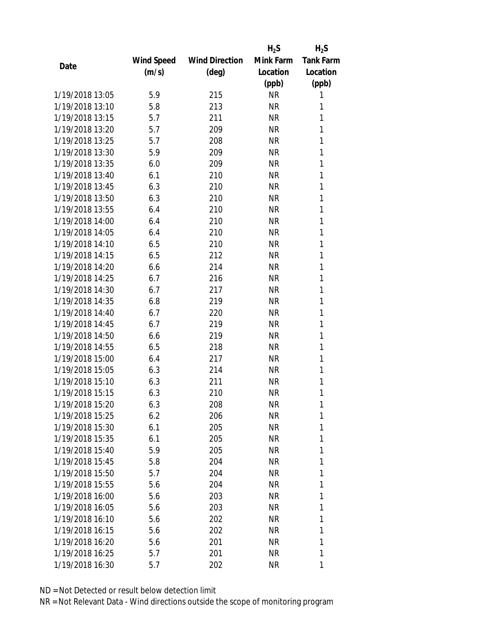|                 |            |                       | $H_2S$    | $H_2S$           |
|-----------------|------------|-----------------------|-----------|------------------|
|                 | Wind Speed | <b>Wind Direction</b> | Mink Farm | <b>Tank Farm</b> |
| Date            | (m/s)      | (deg)                 | Location  | Location         |
|                 |            |                       | (ppb)     | (ppb)            |
| 1/19/2018 13:05 | 5.9        | 215                   | <b>NR</b> | 1                |
| 1/19/2018 13:10 | 5.8        | 213                   | <b>NR</b> | 1                |
| 1/19/2018 13:15 | 5.7        | 211                   | <b>NR</b> | 1                |
| 1/19/2018 13:20 | 5.7        | 209                   | <b>NR</b> | 1                |
| 1/19/2018 13:25 | 5.7        | 208                   | <b>NR</b> | 1                |
| 1/19/2018 13:30 | 5.9        | 209                   | <b>NR</b> | 1                |
| 1/19/2018 13:35 | 6.0        | 209                   | <b>NR</b> | 1                |
| 1/19/2018 13:40 | 6.1        | 210                   | <b>NR</b> | 1                |
| 1/19/2018 13:45 | 6.3        | 210                   | <b>NR</b> | 1                |
| 1/19/2018 13:50 | 6.3        | 210                   | <b>NR</b> | 1                |
| 1/19/2018 13:55 | 6.4        | 210                   | <b>NR</b> | 1                |
| 1/19/2018 14:00 | 6.4        | 210                   | <b>NR</b> | 1                |
| 1/19/2018 14:05 | 6.4        | 210                   | <b>NR</b> | 1                |
| 1/19/2018 14:10 | 6.5        | 210                   | <b>NR</b> | 1                |
| 1/19/2018 14:15 | 6.5        | 212                   | <b>NR</b> | 1                |
| 1/19/2018 14:20 | 6.6        | 214                   | <b>NR</b> | 1                |
| 1/19/2018 14:25 | 6.7        | 216                   | <b>NR</b> | 1                |
| 1/19/2018 14:30 | 6.7        | 217                   | <b>NR</b> | 1                |
| 1/19/2018 14:35 | 6.8        | 219                   | <b>NR</b> | 1                |
| 1/19/2018 14:40 | 6.7        | 220                   | <b>NR</b> | 1                |
| 1/19/2018 14:45 | 6.7        | 219                   | <b>NR</b> | 1                |
| 1/19/2018 14:50 | 6.6        | 219                   | <b>NR</b> | 1                |
| 1/19/2018 14:55 | 6.5        | 218                   | <b>NR</b> | 1                |
| 1/19/2018 15:00 | 6.4        | 217                   | <b>NR</b> | 1                |
| 1/19/2018 15:05 | 6.3        | 214                   | <b>NR</b> | 1                |
| 1/19/2018 15:10 | 6.3        | 211                   | <b>NR</b> | 1                |
| 1/19/2018 15:15 | 6.3        | 210                   | <b>NR</b> | 1                |
| 1/19/2018 15:20 | 6.3        | 208                   | ΝR        | 1                |
| 1/19/2018 15:25 | 6.2        | 206                   | <b>NR</b> | 1                |
| 1/19/2018 15:30 | 6.1        | 205                   | NR        | 1                |
| 1/19/2018 15:35 | 6.1        | 205                   | NR        | 1                |
| 1/19/2018 15:40 | 5.9        | 205                   | <b>NR</b> | 1                |
| 1/19/2018 15:45 | 5.8        | 204                   | NR        | 1                |
| 1/19/2018 15:50 | 5.7        | 204                   | <b>NR</b> | 1                |
| 1/19/2018 15:55 | 5.6        | 204                   | NR        | 1                |
| 1/19/2018 16:00 | 5.6        | 203                   | <b>NR</b> | 1                |
| 1/19/2018 16:05 | 5.6        | 203                   | NR        | 1                |
| 1/19/2018 16:10 | 5.6        | 202                   | NR        | 1                |
| 1/19/2018 16:15 | 5.6        | 202                   | <b>NR</b> | 1                |
| 1/19/2018 16:20 | 5.6        | 201                   | NR        | 1                |
| 1/19/2018 16:25 | 5.7        | 201                   | <b>NR</b> | 1                |
| 1/19/2018 16:30 | 5.7        | 202                   | <b>NR</b> | 1                |
|                 |            |                       |           |                  |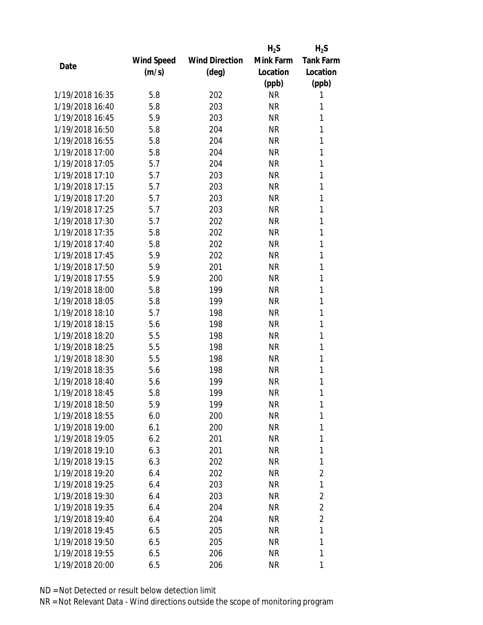|                 |                   |                       | $H_2S$    | $H_2S$           |
|-----------------|-------------------|-----------------------|-----------|------------------|
|                 | <b>Wind Speed</b> | <b>Wind Direction</b> | Mink Farm | <b>Tank Farm</b> |
| Date            | (m/s)             | $(\text{deg})$        | Location  | Location         |
|                 |                   |                       | (ppb)     | (ppb)            |
| 1/19/2018 16:35 | 5.8               | 202                   | <b>NR</b> | 1                |
| 1/19/2018 16:40 | 5.8               | 203                   | <b>NR</b> | 1                |
| 1/19/2018 16:45 | 5.9               | 203                   | <b>NR</b> | 1                |
| 1/19/2018 16:50 | 5.8               | 204                   | <b>NR</b> | 1                |
| 1/19/2018 16:55 | 5.8               | 204                   | <b>NR</b> | 1                |
| 1/19/2018 17:00 | 5.8               | 204                   | <b>NR</b> | 1                |
| 1/19/2018 17:05 | 5.7               | 204                   | <b>NR</b> | 1                |
| 1/19/2018 17:10 | 5.7               | 203                   | <b>NR</b> | 1                |
| 1/19/2018 17:15 | 5.7               | 203                   | <b>NR</b> | 1                |
| 1/19/2018 17:20 | 5.7               | 203                   | <b>NR</b> | 1                |
| 1/19/2018 17:25 | 5.7               | 203                   | <b>NR</b> | 1                |
| 1/19/2018 17:30 | 5.7               | 202                   | <b>NR</b> | 1                |
| 1/19/2018 17:35 | 5.8               | 202                   | <b>NR</b> | 1                |
| 1/19/2018 17:40 | 5.8               | 202                   | <b>NR</b> | 1                |
| 1/19/2018 17:45 | 5.9               | 202                   | <b>NR</b> | 1                |
| 1/19/2018 17:50 | 5.9               | 201                   | <b>NR</b> | 1                |
| 1/19/2018 17:55 | 5.9               | 200                   | <b>NR</b> | 1                |
| 1/19/2018 18:00 | 5.8               | 199                   | <b>NR</b> | 1                |
| 1/19/2018 18:05 | 5.8               | 199                   | <b>NR</b> | 1                |
| 1/19/2018 18:10 | 5.7               | 198                   | <b>NR</b> | 1                |
| 1/19/2018 18:15 | 5.6               | 198                   | <b>NR</b> | 1                |
| 1/19/2018 18:20 | 5.5               | 198                   | <b>NR</b> | 1                |
| 1/19/2018 18:25 | 5.5               | 198                   | <b>NR</b> | 1                |
| 1/19/2018 18:30 | 5.5               | 198                   | <b>NR</b> | 1                |
| 1/19/2018 18:35 | 5.6               | 198                   | <b>NR</b> | 1                |
| 1/19/2018 18:40 | 5.6               | 199                   | <b>NR</b> | 1                |
| 1/19/2018 18:45 | 5.8               | 199                   | <b>NR</b> | 1                |
| 1/19/2018 18:50 | 5.9               | 199                   | ΝR        | 1                |
| 1/19/2018 18:55 | 6.0               | 200                   | <b>NR</b> | 1                |
| 1/19/2018 19:00 | 6.1               | 200                   | NR        | 1                |
| 1/19/2018 19:05 | 6.2               | 201                   | NR        | 1                |
| 1/19/2018 19:10 | 6.3               | 201                   | ΝR        | 1                |
| 1/19/2018 19:15 | 6.3               | 202                   | NR        | 1                |
| 1/19/2018 19:20 | 6.4               | 202                   | <b>NR</b> | $\overline{2}$   |
| 1/19/2018 19:25 | 6.4               | 203                   | NR        | 1                |
| 1/19/2018 19:30 | 6.4               | 203                   | <b>NR</b> | $\overline{2}$   |
| 1/19/2018 19:35 | 6.4               | 204                   | NR        | $\overline{2}$   |
| 1/19/2018 19:40 | 6.4               | 204                   | NR        | $\overline{2}$   |
| 1/19/2018 19:45 | 6.5               | 205                   | NR        | 1                |
| 1/19/2018 19:50 | 6.5               | 205                   | NR        | 1                |
| 1/19/2018 19:55 | 6.5               | 206                   | <b>NR</b> | 1                |
| 1/19/2018 20:00 | 6.5               | 206                   | <b>NR</b> | 1                |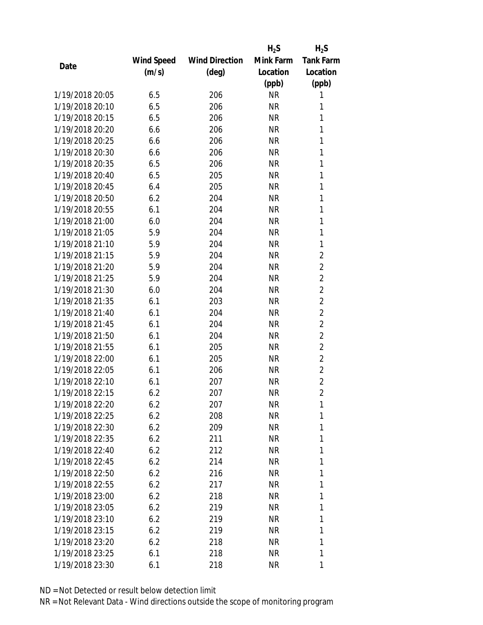|                 |            |                       | $H_2S$    | $H_2S$           |
|-----------------|------------|-----------------------|-----------|------------------|
|                 | Wind Speed | <b>Wind Direction</b> | Mink Farm | <b>Tank Farm</b> |
| Date            | (m/s)      | $(\text{deg})$        | Location  | Location         |
|                 |            |                       | (ppb)     | (ppb)            |
| 1/19/2018 20:05 | 6.5        | 206                   | <b>NR</b> | 1                |
| 1/19/2018 20:10 | 6.5        | 206                   | <b>NR</b> | 1                |
| 1/19/2018 20:15 | 6.5        | 206                   | <b>NR</b> | 1                |
| 1/19/2018 20:20 | 6.6        | 206                   | <b>NR</b> | 1                |
| 1/19/2018 20:25 | 6.6        | 206                   | <b>NR</b> | 1                |
| 1/19/2018 20:30 | 6.6        | 206                   | <b>NR</b> | 1                |
| 1/19/2018 20:35 | 6.5        | 206                   | <b>NR</b> | 1                |
| 1/19/2018 20:40 | 6.5        | 205                   | <b>NR</b> | 1                |
| 1/19/2018 20:45 | 6.4        | 205                   | <b>NR</b> | 1                |
| 1/19/2018 20:50 | 6.2        | 204                   | <b>NR</b> | 1                |
| 1/19/2018 20:55 | 6.1        | 204                   | <b>NR</b> | 1                |
| 1/19/2018 21:00 | 6.0        | 204                   | <b>NR</b> | 1                |
| 1/19/2018 21:05 | 5.9        | 204                   | <b>NR</b> | 1                |
| 1/19/2018 21:10 | 5.9        | 204                   | <b>NR</b> | 1                |
| 1/19/2018 21:15 | 5.9        | 204                   | <b>NR</b> | $\overline{2}$   |
| 1/19/2018 21:20 | 5.9        | 204                   | <b>NR</b> | $\overline{2}$   |
| 1/19/2018 21:25 | 5.9        | 204                   | <b>NR</b> | $\overline{2}$   |
| 1/19/2018 21:30 | 6.0        | 204                   | <b>NR</b> | $\overline{2}$   |
| 1/19/2018 21:35 | 6.1        | 203                   | <b>NR</b> | $\overline{2}$   |
| 1/19/2018 21:40 | 6.1        | 204                   | <b>NR</b> | $\overline{2}$   |
| 1/19/2018 21:45 | 6.1        | 204                   | <b>NR</b> | $\overline{2}$   |
| 1/19/2018 21:50 | 6.1        | 204                   | <b>NR</b> | $\overline{2}$   |
| 1/19/2018 21:55 | 6.1        | 205                   | <b>NR</b> | $\overline{2}$   |
| 1/19/2018 22:00 | 6.1        | 205                   | <b>NR</b> | $\overline{2}$   |
| 1/19/2018 22:05 | 6.1        | 206                   | NR        | $\overline{2}$   |
| 1/19/2018 22:10 | 6.1        | 207                   | <b>NR</b> | $\overline{2}$   |
| 1/19/2018 22:15 | 6.2        | 207                   | <b>NR</b> | $\overline{2}$   |
| 1/19/2018 22:20 | 6.2        | 207                   | NR        | 1                |
| 1/19/2018 22:25 | 6.2        | 208                   | <b>NR</b> | 1                |
| 1/19/2018 22:30 | 6.2        | 209                   | NR        | 1                |
| 1/19/2018 22:35 | 6.2        | 211                   | <b>NR</b> | 1                |
| 1/19/2018 22:40 | 6.2        | 212                   | NR        | 1                |
| 1/19/2018 22:45 | 6.2        | 214                   | NR        | 1                |
| 1/19/2018 22:50 | 6.2        | 216                   | <b>NR</b> | 1                |
| 1/19/2018 22:55 | 6.2        | 217                   | NR        | 1                |
| 1/19/2018 23:00 | 6.2        | 218                   | <b>NR</b> | 1                |
| 1/19/2018 23:05 | 6.2        | 219                   | NR        | 1                |
| 1/19/2018 23:10 | 6.2        | 219                   | NR        | 1                |
| 1/19/2018 23:15 | 6.2        | 219                   | NR        | 1                |
| 1/19/2018 23:20 | 6.2        | 218                   | NR        | 1                |
| 1/19/2018 23:25 | 6.1        | 218                   | <b>NR</b> | 1                |
| 1/19/2018 23:30 | 6.1        | 218                   | <b>NR</b> | 1                |
|                 |            |                       |           |                  |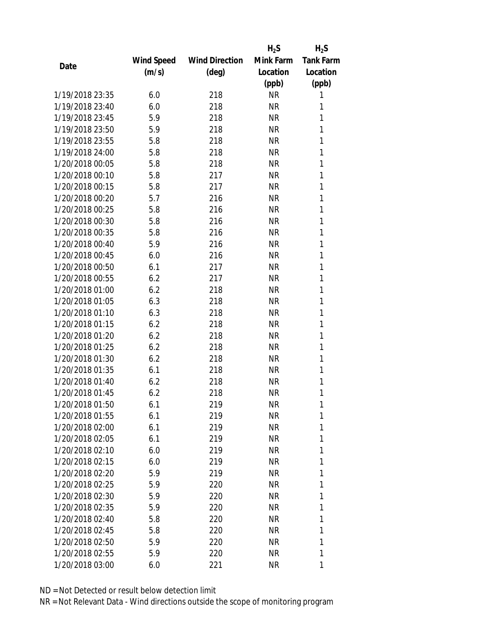|                 |            |                       | $H_2S$    | $H_2S$           |
|-----------------|------------|-----------------------|-----------|------------------|
|                 | Wind Speed | <b>Wind Direction</b> | Mink Farm | <b>Tank Farm</b> |
| Date            | (m/s)      | (deg)                 | Location  | Location         |
|                 |            |                       | (ppb)     | (ppb)            |
| 1/19/2018 23:35 | 6.0        | 218                   | <b>NR</b> | 1                |
| 1/19/2018 23:40 | 6.0        | 218                   | <b>NR</b> | 1                |
| 1/19/2018 23:45 | 5.9        | 218                   | <b>NR</b> | 1                |
| 1/19/2018 23:50 | 5.9        | 218                   | <b>NR</b> | 1                |
| 1/19/2018 23:55 | 5.8        | 218                   | <b>NR</b> | 1                |
| 1/19/2018 24:00 | 5.8        | 218                   | <b>NR</b> | 1                |
| 1/20/2018 00:05 | 5.8        | 218                   | <b>NR</b> | 1                |
| 1/20/2018 00:10 | 5.8        | 217                   | <b>NR</b> | 1                |
| 1/20/2018 00:15 | 5.8        | 217                   | <b>NR</b> | 1                |
| 1/20/2018 00:20 | 5.7        | 216                   | <b>NR</b> | 1                |
| 1/20/2018 00:25 | 5.8        | 216                   | NR        | 1                |
| 1/20/2018 00:30 | 5.8        | 216                   | <b>NR</b> | 1                |
| 1/20/2018 00:35 | 5.8        | 216                   | <b>NR</b> | 1                |
| 1/20/2018 00:40 | 5.9        | 216                   | <b>NR</b> | 1                |
| 1/20/2018 00:45 | 6.0        | 216                   | <b>NR</b> | 1                |
| 1/20/2018 00:50 | 6.1        | 217                   | <b>NR</b> | 1                |
| 1/20/2018 00:55 | 6.2        | 217                   | <b>NR</b> | 1                |
| 1/20/2018 01:00 | 6.2        | 218                   | <b>NR</b> | 1                |
| 1/20/2018 01:05 | 6.3        | 218                   | <b>NR</b> | 1                |
| 1/20/2018 01:10 | 6.3        | 218                   | <b>NR</b> | 1                |
| 1/20/2018 01:15 | 6.2        | 218                   | <b>NR</b> | 1                |
| 1/20/2018 01:20 | 6.2        | 218                   | <b>NR</b> | 1                |
| 1/20/2018 01:25 | 6.2        | 218                   | <b>NR</b> | 1                |
| 1/20/2018 01:30 | 6.2        | 218                   | <b>NR</b> | 1                |
| 1/20/2018 01:35 | 6.1        | 218                   | <b>NR</b> | 1                |
| 1/20/2018 01:40 | 6.2        | 218                   | <b>NR</b> | 1                |
| 1/20/2018 01:45 | 6.2        | 218                   | <b>NR</b> | 1                |
| 1/20/2018 01:50 | 6.1        | 219                   | NR        | 1                |
| 1/20/2018 01:55 | 6.1        | 219                   | <b>NR</b> | 1                |
| 1/20/2018 02:00 | 6.1        | 219                   | NR        | 1                |
| 1/20/2018 02:05 | 6.1        | 219                   | NR        | 1                |
| 1/20/2018 02:10 | 6.0        | 219                   | <b>NR</b> | 1                |
| 1/20/2018 02:15 | 6.0        | 219                   | NR        | 1                |
| 1/20/2018 02:20 | 5.9        | 219                   | <b>NR</b> | 1                |
| 1/20/2018 02:25 | 5.9        | 220                   | NR        | 1                |
| 1/20/2018 02:30 | 5.9        | 220                   | NR        | 1                |
| 1/20/2018 02:35 | 5.9        | 220                   | NR        | 1                |
| 1/20/2018 02:40 | 5.8        | 220                   | NR        | 1                |
| 1/20/2018 02:45 | 5.8        | 220                   | <b>NR</b> | 1                |
| 1/20/2018 02:50 | 5.9        | 220                   | NR        | 1                |
| 1/20/2018 02:55 | 5.9        | 220                   | <b>NR</b> | 1                |
| 1/20/2018 03:00 | 6.0        | 221                   | <b>NR</b> | 1                |
|                 |            |                       |           |                  |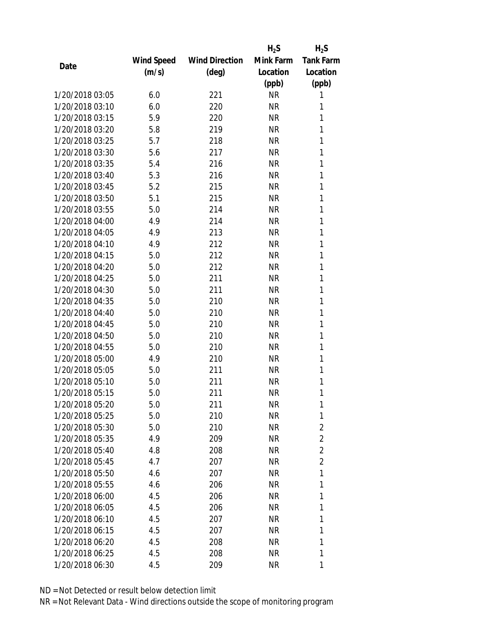|                 |            |                       | $H_2S$    | $H_2S$           |
|-----------------|------------|-----------------------|-----------|------------------|
|                 | Wind Speed | <b>Wind Direction</b> | Mink Farm | <b>Tank Farm</b> |
| Date            | (m/s)      | $(\text{deg})$        | Location  | Location         |
|                 |            |                       | (ppb)     | (ppb)            |
| 1/20/2018 03:05 | 6.0        | 221                   | <b>NR</b> | 1                |
| 1/20/2018 03:10 | 6.0        | 220                   | <b>NR</b> | 1                |
| 1/20/2018 03:15 | 5.9        | 220                   | <b>NR</b> | 1                |
| 1/20/2018 03:20 | 5.8        | 219                   | <b>NR</b> | 1                |
| 1/20/2018 03:25 | 5.7        | 218                   | <b>NR</b> | 1                |
| 1/20/2018 03:30 | 5.6        | 217                   | <b>NR</b> | 1                |
| 1/20/2018 03:35 | 5.4        | 216                   | <b>NR</b> | 1                |
| 1/20/2018 03:40 | 5.3        | 216                   | <b>NR</b> | 1                |
| 1/20/2018 03:45 | 5.2        | 215                   | <b>NR</b> | 1                |
| 1/20/2018 03:50 | 5.1        | 215                   | <b>NR</b> | 1                |
| 1/20/2018 03:55 | 5.0        | 214                   | <b>NR</b> | 1                |
| 1/20/2018 04:00 | 4.9        | 214                   | <b>NR</b> | 1                |
| 1/20/2018 04:05 | 4.9        | 213                   | <b>NR</b> | 1                |
| 1/20/2018 04:10 | 4.9        | 212                   | <b>NR</b> | 1                |
| 1/20/2018 04:15 | 5.0        | 212                   | <b>NR</b> | 1                |
| 1/20/2018 04:20 | 5.0        | 212                   | <b>NR</b> | 1                |
| 1/20/2018 04:25 | 5.0        | 211                   | <b>NR</b> | 1                |
| 1/20/2018 04:30 | 5.0        | 211                   | <b>NR</b> | 1                |
| 1/20/2018 04:35 | 5.0        | 210                   | <b>NR</b> | 1                |
| 1/20/2018 04:40 | 5.0        | 210                   | <b>NR</b> | 1                |
| 1/20/2018 04:45 | 5.0        | 210                   | <b>NR</b> | 1                |
| 1/20/2018 04:50 | 5.0        | 210                   | <b>NR</b> | 1                |
| 1/20/2018 04:55 | 5.0        | 210                   | <b>NR</b> | 1                |
| 1/20/2018 05:00 | 4.9        | 210                   | <b>NR</b> | 1                |
| 1/20/2018 05:05 | 5.0        | 211                   | <b>NR</b> | 1                |
| 1/20/2018 05:10 | 5.0        | 211                   | <b>NR</b> | 1                |
| 1/20/2018 05:15 | 5.0        | 211                   | <b>NR</b> | 1                |
| 1/20/2018 05:20 | 5.0        | 211                   | ΝR        | 1                |
| 1/20/2018 05:25 | 5.0        | 210                   | <b>NR</b> | 1                |
| 1/20/2018 05:30 | 5.0        | 210                   | NR        | $\overline{2}$   |
| 1/20/2018 05:35 | 4.9        | 209                   | NR        | 2                |
| 1/20/2018 05:40 | 4.8        | 208                   | <b>NR</b> | $\overline{2}$   |
| 1/20/2018 05:45 | 4.7        | 207                   | NR        | $\overline{2}$   |
| 1/20/2018 05:50 | 4.6        | 207                   | <b>NR</b> | 1                |
| 1/20/2018 05:55 | 4.6        | 206                   | NR        | 1                |
| 1/20/2018 06:00 | 4.5        | 206                   | <b>NR</b> | 1                |
| 1/20/2018 06:05 | 4.5        | 206                   | NR        | 1                |
| 1/20/2018 06:10 | 4.5        | 207                   | NR        | 1                |
| 1/20/2018 06:15 | 4.5        | 207                   | <b>NR</b> | 1                |
| 1/20/2018 06:20 | 4.5        | 208                   | NR        | 1                |
| 1/20/2018 06:25 | 4.5        | 208                   | <b>NR</b> | 1                |
| 1/20/2018 06:30 | 4.5        | 209                   | <b>NR</b> | 1                |
|                 |            |                       |           |                  |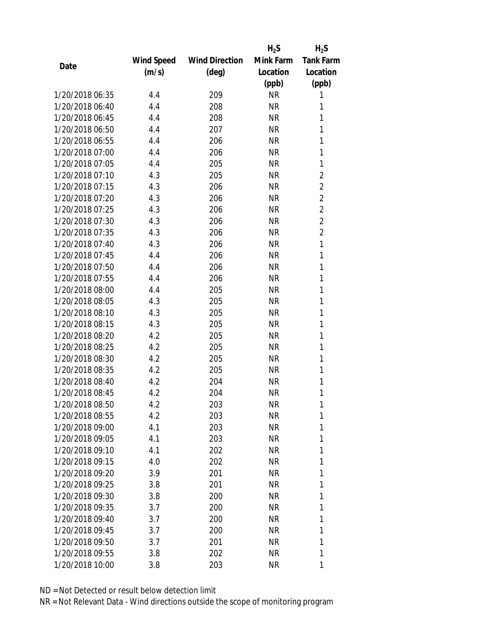|                 |            |                       | $H_2S$    | $H_2S$           |
|-----------------|------------|-----------------------|-----------|------------------|
|                 | Wind Speed | <b>Wind Direction</b> | Mink Farm | <b>Tank Farm</b> |
| Date            | (m/s)      | $(\text{deg})$        | Location  | Location         |
|                 |            |                       | (ppb)     | (ppb)            |
| 1/20/2018 06:35 | 4.4        | 209                   | <b>NR</b> | 1                |
| 1/20/2018 06:40 | 4.4        | 208                   | <b>NR</b> | 1                |
| 1/20/2018 06:45 | 4.4        | 208                   | <b>NR</b> | 1                |
| 1/20/2018 06:50 | 4.4        | 207                   | NR        | 1                |
| 1/20/2018 06:55 | 4.4        | 206                   | <b>NR</b> | 1                |
| 1/20/2018 07:00 | 4.4        | 206                   | <b>NR</b> | 1                |
| 1/20/2018 07:05 | 4.4        | 205                   | <b>NR</b> | 1                |
| 1/20/2018 07:10 | 4.3        | 205                   | <b>NR</b> | $\overline{2}$   |
| 1/20/2018 07:15 | 4.3        | 206                   | <b>NR</b> | $\overline{2}$   |
| 1/20/2018 07:20 | 4.3        | 206                   | <b>NR</b> | $\overline{2}$   |
| 1/20/2018 07:25 | 4.3        | 206                   | NR        | $\overline{2}$   |
| 1/20/2018 07:30 | 4.3        | 206                   | <b>NR</b> | $\overline{2}$   |
| 1/20/2018 07:35 | 4.3        | 206                   | <b>NR</b> | $\overline{2}$   |
| 1/20/2018 07:40 | 4.3        | 206                   | <b>NR</b> | 1                |
| 1/20/2018 07:45 | 4.4        | 206                   | <b>NR</b> | 1                |
| 1/20/2018 07:50 | 4.4        | 206                   | <b>NR</b> | 1                |
| 1/20/2018 07:55 | 4.4        | 206                   | <b>NR</b> | 1                |
| 1/20/2018 08:00 | 4.4        | 205                   | <b>NR</b> | 1                |
| 1/20/2018 08:05 | 4.3        | 205                   | <b>NR</b> | 1                |
| 1/20/2018 08:10 | 4.3        | 205                   | <b>NR</b> | 1                |
| 1/20/2018 08:15 | 4.3        | 205                   | <b>NR</b> | 1                |
| 1/20/2018 08:20 | 4.2        | 205                   | <b>NR</b> | 1                |
| 1/20/2018 08:25 | 4.2        | 205                   | <b>NR</b> | 1                |
| 1/20/2018 08:30 | 4.2        | 205                   | <b>NR</b> | 1                |
| 1/20/2018 08:35 | 4.2        | 205                   | NR        | 1                |
| 1/20/2018 08:40 | 4.2        | 204                   | <b>NR</b> | 1                |
| 1/20/2018 08:45 | 4.2        | 204                   | <b>NR</b> | 1                |
| 1/20/2018 08:50 | 4.2        | 203                   | ΝR        | 1                |
| 1/20/2018 08:55 | 4.2        | 203                   | <b>NR</b> | 1                |
| 1/20/2018 09:00 | 4.1        | 203                   | NR        | 1                |
| 1/20/2018 09:05 | 4.1        | 203                   | <b>NR</b> | 1                |
| 1/20/2018 09:10 | 4.1        | 202                   | NR        | 1                |
| 1/20/2018 09:15 | 4.0        | 202                   | ΝR        | 1                |
| 1/20/2018 09:20 | 3.9        | 201                   | <b>NR</b> | 1                |
| 1/20/2018 09:25 | 3.8        | 201                   | NR        | 1                |
| 1/20/2018 09:30 | 3.8        | 200                   | <b>NR</b> | 1                |
| 1/20/2018 09:35 | 3.7        | 200                   | NR        | 1                |
| 1/20/2018 09:40 | 3.7        | 200                   | NR        | 1                |
| 1/20/2018 09:45 | 3.7        | 200                   | NR        | 1                |
| 1/20/2018 09:50 | 3.7        | 201                   | NR        | 1                |
| 1/20/2018 09:55 | 3.8        | 202                   | <b>NR</b> | 1                |
| 1/20/2018 10:00 | 3.8        | 203                   | <b>NR</b> | 1                |
|                 |            |                       |           |                  |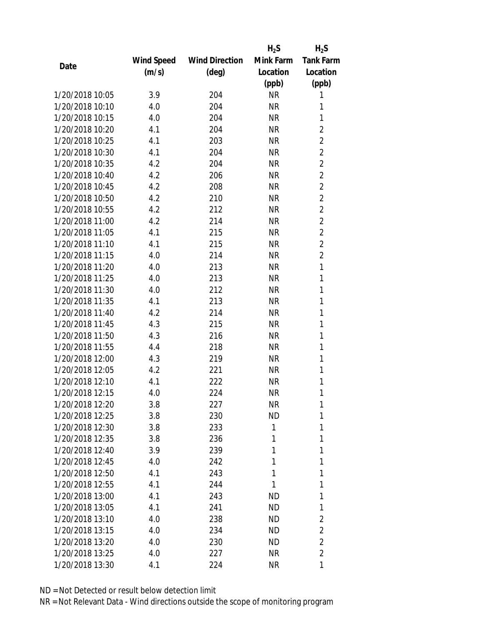|                 |            |                       | $H_2S$    | $H_2S$           |
|-----------------|------------|-----------------------|-----------|------------------|
|                 | Wind Speed | <b>Wind Direction</b> | Mink Farm | <b>Tank Farm</b> |
| Date            | (m/s)      | (deg)                 | Location  | Location         |
|                 |            |                       | (ppb)     | (ppb)            |
| 1/20/2018 10:05 | 3.9        | 204                   | <b>NR</b> | 1                |
| 1/20/2018 10:10 | 4.0        | 204                   | <b>NR</b> | 1                |
| 1/20/2018 10:15 | 4.0        | 204                   | <b>NR</b> | 1                |
| 1/20/2018 10:20 | 4.1        | 204                   | <b>NR</b> | $\overline{2}$   |
| 1/20/2018 10:25 | 4.1        | 203                   | <b>NR</b> | $\overline{2}$   |
| 1/20/2018 10:30 | 4.1        | 204                   | <b>NR</b> | $\overline{2}$   |
| 1/20/2018 10:35 | 4.2        | 204                   | <b>NR</b> | $\overline{2}$   |
| 1/20/2018 10:40 | 4.2        | 206                   | <b>NR</b> | $\overline{2}$   |
| 1/20/2018 10:45 | 4.2        | 208                   | <b>NR</b> | $\overline{2}$   |
| 1/20/2018 10:50 | 4.2        | 210                   | <b>NR</b> | $\overline{2}$   |
| 1/20/2018 10:55 | 4.2        | 212                   | <b>NR</b> | $\overline{2}$   |
| 1/20/2018 11:00 | 4.2        | 214                   | <b>NR</b> | $\overline{2}$   |
| 1/20/2018 11:05 | 4.1        | 215                   | <b>NR</b> | $\overline{2}$   |
| 1/20/2018 11:10 | 4.1        | 215                   | <b>NR</b> | $\overline{2}$   |
| 1/20/2018 11:15 | 4.0        | 214                   | <b>NR</b> | $\overline{2}$   |
| 1/20/2018 11:20 | 4.0        | 213                   | <b>NR</b> | 1                |
| 1/20/2018 11:25 | 4.0        | 213                   | <b>NR</b> | 1                |
| 1/20/2018 11:30 | 4.0        | 212                   | <b>NR</b> | 1                |
| 1/20/2018 11:35 | 4.1        | 213                   | <b>NR</b> | 1                |
| 1/20/2018 11:40 | 4.2        | 214                   | <b>NR</b> | 1                |
| 1/20/2018 11:45 | 4.3        | 215                   | <b>NR</b> | 1                |
| 1/20/2018 11:50 | 4.3        | 216                   | <b>NR</b> | 1                |
| 1/20/2018 11:55 | 4.4        | 218                   | <b>NR</b> | 1                |
| 1/20/2018 12:00 | 4.3        | 219                   | <b>NR</b> | 1                |
| 1/20/2018 12:05 | 4.2        | 221                   | <b>NR</b> | 1                |
| 1/20/2018 12:10 | 4.1        | 222                   | <b>NR</b> | 1                |
| 1/20/2018 12:15 | 4.0        | 224                   | <b>NR</b> | 1                |
| 1/20/2018 12:20 | 3.8        | 227                   | NR        | 1                |
| 1/20/2018 12:25 | 3.8        | 230                   | <b>ND</b> | 1                |
| 1/20/2018 12:30 | 3.8        | 233                   | 1         | 1                |
| 1/20/2018 12:35 | 3.8        | 236                   | 1         | 1                |
| 1/20/2018 12:40 | 3.9        | 239                   | 1         | 1                |
| 1/20/2018 12:45 | 4.0        | 242                   | 1         | 1                |
| 1/20/2018 12:50 | 4.1        | 243                   | 1         | 1                |
| 1/20/2018 12:55 | 4.1        | 244                   | 1         | 1                |
| 1/20/2018 13:00 | 4.1        | 243                   | ND        | 1                |
| 1/20/2018 13:05 | 4.1        | 241                   | ND        | 1                |
| 1/20/2018 13:10 | 4.0        | 238                   | ND        | 2                |
| 1/20/2018 13:15 | 4.0        | 234                   | <b>ND</b> | $\overline{2}$   |
| 1/20/2018 13:20 | 4.0        | 230                   | ND        | $\overline{2}$   |
| 1/20/2018 13:25 | 4.0        | 227                   | NR        | $\overline{2}$   |
| 1/20/2018 13:30 | 4.1        | 224                   | ΝR        | 1                |
|                 |            |                       |           |                  |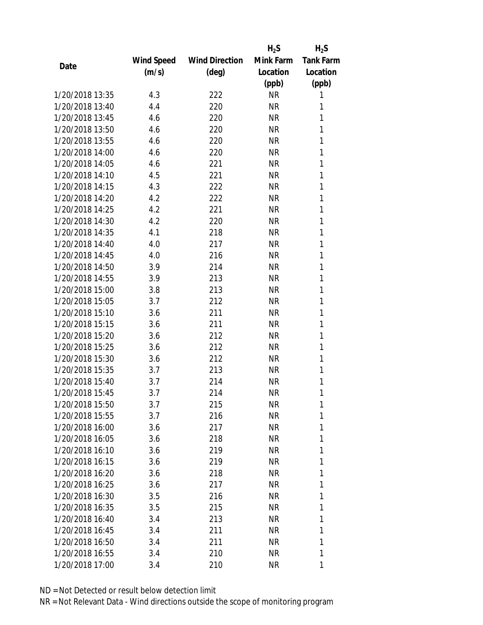|                 |            |                       | $H_2S$    | $H_2S$           |
|-----------------|------------|-----------------------|-----------|------------------|
|                 | Wind Speed | <b>Wind Direction</b> | Mink Farm | <b>Tank Farm</b> |
| Date            | (m/s)      | $(\text{deg})$        | Location  | Location         |
|                 |            |                       | (ppb)     | (ppb)            |
| 1/20/2018 13:35 | 4.3        | 222                   | <b>NR</b> | 1                |
| 1/20/2018 13:40 | 4.4        | 220                   | <b>NR</b> | 1                |
| 1/20/2018 13:45 | 4.6        | 220                   | <b>NR</b> | 1                |
| 1/20/2018 13:50 | 4.6        | 220                   | <b>NR</b> | 1                |
| 1/20/2018 13:55 | 4.6        | 220                   | <b>NR</b> | 1                |
| 1/20/2018 14:00 | 4.6        | 220                   | <b>NR</b> | 1                |
| 1/20/2018 14:05 | 4.6        | 221                   | <b>NR</b> | 1                |
| 1/20/2018 14:10 | 4.5        | 221                   | <b>NR</b> | 1                |
| 1/20/2018 14:15 | 4.3        | 222                   | <b>NR</b> | 1                |
| 1/20/2018 14:20 | 4.2        | 222                   | <b>NR</b> | 1                |
| 1/20/2018 14:25 | 4.2        | 221                   | <b>NR</b> | 1                |
| 1/20/2018 14:30 | 4.2        | 220                   | <b>NR</b> | 1                |
| 1/20/2018 14:35 | 4.1        | 218                   | <b>NR</b> | 1                |
| 1/20/2018 14:40 | 4.0        | 217                   | <b>NR</b> | 1                |
| 1/20/2018 14:45 | 4.0        | 216                   | <b>NR</b> | 1                |
| 1/20/2018 14:50 | 3.9        | 214                   | <b>NR</b> | 1                |
| 1/20/2018 14:55 | 3.9        | 213                   | <b>NR</b> | 1                |
| 1/20/2018 15:00 | 3.8        | 213                   | <b>NR</b> | 1                |
| 1/20/2018 15:05 | 3.7        | 212                   | <b>NR</b> | 1                |
| 1/20/2018 15:10 | 3.6        | 211                   | <b>NR</b> | 1                |
| 1/20/2018 15:15 | 3.6        | 211                   | <b>NR</b> | 1                |
| 1/20/2018 15:20 | 3.6        | 212                   | <b>NR</b> | 1                |
| 1/20/2018 15:25 | 3.6        | 212                   | <b>NR</b> | 1                |
| 1/20/2018 15:30 | 3.6        | 212                   | <b>NR</b> | 1                |
| 1/20/2018 15:35 | 3.7        | 213                   | <b>NR</b> | 1                |
| 1/20/2018 15:40 | 3.7        | 214                   | <b>NR</b> | 1                |
| 1/20/2018 15:45 | 3.7        | 214                   | <b>NR</b> | 1                |
| 1/20/2018 15:50 | 3.7        | 215                   | ΝR        | 1                |
| 1/20/2018 15:55 | 3.7        | 216                   | <b>NR</b> | 1                |
| 1/20/2018 16:00 | 3.6        | 217                   | NR        | 1                |
| 1/20/2018 16:05 | 3.6        | 218                   | NR        | 1                |
| 1/20/2018 16:10 | 3.6        | 219                   | NR        | 1                |
| 1/20/2018 16:15 | 3.6        | 219                   | NR        | 1                |
| 1/20/2018 16:20 | 3.6        | 218                   | <b>NR</b> | 1                |
| 1/20/2018 16:25 | 3.6        | 217                   | NR        | 1                |
| 1/20/2018 16:30 | 3.5        | 216                   | NR        | 1                |
| 1/20/2018 16:35 | 3.5        | 215                   | NR        | 1                |
| 1/20/2018 16:40 | 3.4        | 213                   | NR        | 1                |
| 1/20/2018 16:45 | 3.4        | 211                   | <b>NR</b> | 1                |
| 1/20/2018 16:50 | 3.4        | 211                   | NR        | 1                |
| 1/20/2018 16:55 | 3.4        | 210                   | <b>NR</b> | 1                |
| 1/20/2018 17:00 | 3.4        | 210                   | <b>NR</b> | 1                |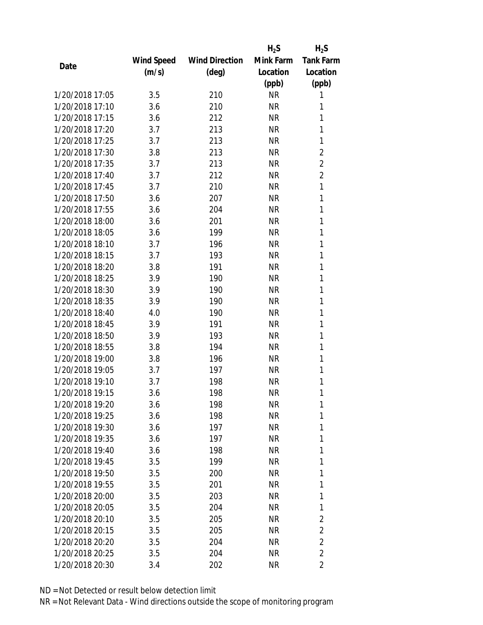|                 |            |                       | $H_2S$    | $H_2S$           |
|-----------------|------------|-----------------------|-----------|------------------|
|                 | Wind Speed | <b>Wind Direction</b> | Mink Farm | <b>Tank Farm</b> |
| Date            | (m/s)      | (deg)                 | Location  | Location         |
|                 |            |                       | (ppb)     | (ppb)            |
| 1/20/2018 17:05 | 3.5        | 210                   | <b>NR</b> | 1                |
| 1/20/2018 17:10 | 3.6        | 210                   | <b>NR</b> | 1                |
| 1/20/2018 17:15 | 3.6        | 212                   | <b>NR</b> | 1                |
| 1/20/2018 17:20 | 3.7        | 213                   | <b>NR</b> | 1                |
| 1/20/2018 17:25 | 3.7        | 213                   | <b>NR</b> | 1                |
| 1/20/2018 17:30 | 3.8        | 213                   | <b>NR</b> | $\overline{2}$   |
| 1/20/2018 17:35 | 3.7        | 213                   | <b>NR</b> | $\overline{2}$   |
| 1/20/2018 17:40 | 3.7        | 212                   | <b>NR</b> | $\overline{2}$   |
| 1/20/2018 17:45 | 3.7        | 210                   | <b>NR</b> | 1                |
| 1/20/2018 17:50 | 3.6        | 207                   | <b>NR</b> | 1                |
| 1/20/2018 17:55 | 3.6        | 204                   | <b>NR</b> | 1                |
| 1/20/2018 18:00 | 3.6        | 201                   | <b>NR</b> | 1                |
| 1/20/2018 18:05 | 3.6        | 199                   | <b>NR</b> | 1                |
| 1/20/2018 18:10 | 3.7        | 196                   | <b>NR</b> | 1                |
| 1/20/2018 18:15 | 3.7        | 193                   | <b>NR</b> | 1                |
| 1/20/2018 18:20 | 3.8        | 191                   | <b>NR</b> | 1                |
| 1/20/2018 18:25 | 3.9        | 190                   | <b>NR</b> | 1                |
| 1/20/2018 18:30 | 3.9        | 190                   | <b>NR</b> | 1                |
| 1/20/2018 18:35 | 3.9        | 190                   | <b>NR</b> | 1                |
| 1/20/2018 18:40 | 4.0        | 190                   | <b>NR</b> | 1                |
| 1/20/2018 18:45 | 3.9        | 191                   | <b>NR</b> | 1                |
| 1/20/2018 18:50 | 3.9        | 193                   | <b>NR</b> | 1                |
| 1/20/2018 18:55 | 3.8        | 194                   | <b>NR</b> | 1                |
| 1/20/2018 19:00 | 3.8        | 196                   | <b>NR</b> | 1                |
| 1/20/2018 19:05 | 3.7        | 197                   | <b>NR</b> | 1                |
| 1/20/2018 19:10 | 3.7        | 198                   | <b>NR</b> | 1                |
| 1/20/2018 19:15 | 3.6        | 198                   | <b>NR</b> | 1                |
| 1/20/2018 19:20 | 3.6        | 198                   | NR        | 1                |
| 1/20/2018 19:25 | 3.6        | 198                   | <b>NR</b> | 1                |
| 1/20/2018 19:30 | 3.6        | 197                   | NR        | 1                |
| 1/20/2018 19:35 | 3.6        | 197                   | NR        | 1                |
| 1/20/2018 19:40 | 3.6        | 198                   | <b>NR</b> | 1                |
| 1/20/2018 19:45 | 3.5        | 199                   | NR        | 1                |
| 1/20/2018 19:50 | 3.5        | 200                   | <b>NR</b> | 1                |
| 1/20/2018 19:55 | 3.5        | 201                   | NR        | 1                |
| 1/20/2018 20:00 | 3.5        | 203                   | NR        | 1                |
| 1/20/2018 20:05 | 3.5        | 204                   | NR        | 1                |
| 1/20/2018 20:10 | 3.5        | 205                   | NR        | 2                |
| 1/20/2018 20:15 | 3.5        | 205                   | <b>NR</b> | $\overline{2}$   |
| 1/20/2018 20:20 | 3.5        | 204                   | NR        | $\overline{2}$   |
| 1/20/2018 20:25 | 3.5        | 204                   | <b>NR</b> | $\overline{2}$   |
|                 |            |                       | <b>NR</b> |                  |
| 1/20/2018 20:30 | 3.4        | 202                   |           | 2                |